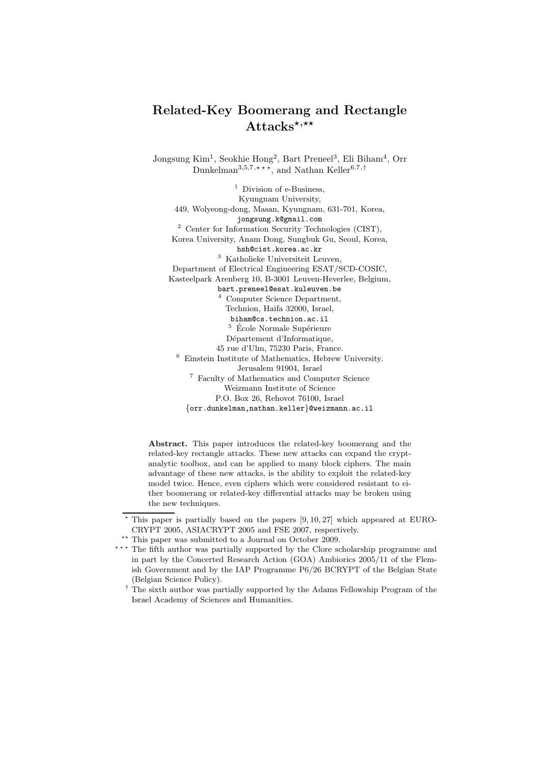# Related-Key Boomerang and Rectangle  $Attacks^{*,\star\star}$

Jongsung Kim<sup>1</sup>, Seokhie Hong<sup>2</sup>, Bart Preneel<sup>3</sup>, Eli Biham<sup>4</sup>, Orr Dunkelman<sup>3,5,7,\*</sup>\*\*, and Nathan Keller<sup>6,7,†</sup>

 $<sup>1</sup>$  Division of e-Business.</sup> Kyungnam University, 449, Wolyeong-dong, Masan, Kyungnam, 631-701, Korea, jongsung.k@gmail.com <sup>2</sup> Center for Information Security Technologies (CIST), Korea University, Anam Dong, Sungbuk Gu, Seoul, Korea, hsh@cist.korea.ac.kr <sup>3</sup> Katholieke Universiteit Leuven, Department of Electrical Engineering ESAT/SCD-COSIC, Kasteelpark Arenberg 10, B-3001 Leuven-Heverlee, Belgium, bart.preneel@esat.kuleuven.be <sup>4</sup> Computer Science Department, Technion, Haifa 32000, Israel, biham@cs.technion.ac.il  $^5\,$  École Normale Supérieure Département d'Informatique, 45 rue d'Ulm, 75230 Paris, France. <sup>6</sup> Einstein Institute of Mathematics, Hebrew University. Jerusalem 91904, Israel <sup>7</sup> Faculty of Mathematics and Computer Science Weizmann Institute of Science P.O. Box 26, Rehovot 76100, Israel {orr.dunkelman,nathan.keller}@weizmann.ac.il

Abstract. This paper introduces the related-key boomerang and the related-key rectangle attacks. These new attacks can expand the cryptanalytic toolbox, and can be applied to many block ciphers. The main advantage of these new attacks, is the ability to exploit the related-key model twice. Hence, even ciphers which were considered resistant to either boomerang or related-key differential attacks may be broken using the new techniques.

 $*$  This paper is partially based on the papers  $[9, 10, 27]$  which appeared at EURO-CRYPT 2005, ASIACRYPT 2005 and FSE 2007, respectively.

 $^{\star\star}$  This paper was submitted to a Journal on October 2009.

<sup>\*\*\*</sup> The fifth author was partially supported by the Clore scholarship programme and in part by the Concerted Research Action (GOA) Ambiorics 2005/11 of the Flemish Government and by the IAP Programme P6/26 BCRYPT of the Belgian State (Belgian Science Policy).

 $^\dagger$  The sixth author was partially supported by the Adams Fellowship Program of the Israel Academy of Sciences and Humanities.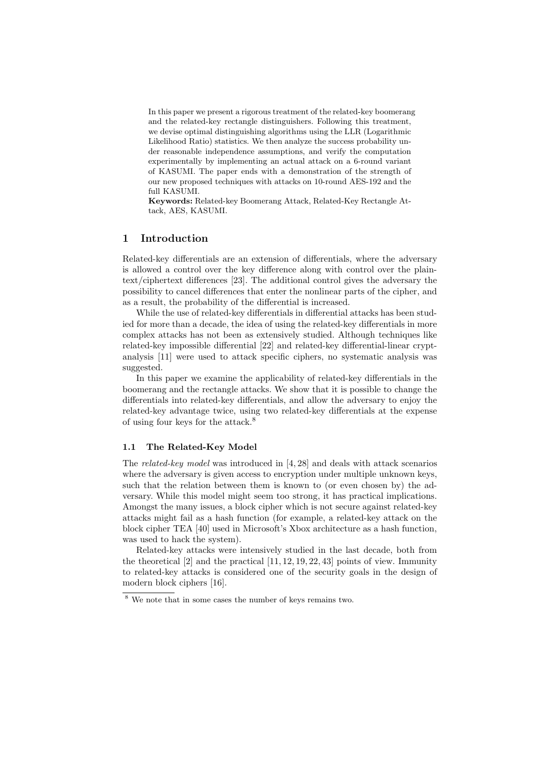In this paper we present a rigorous treatment of the related-key boomerang and the related-key rectangle distinguishers. Following this treatment, we devise optimal distinguishing algorithms using the LLR (Logarithmic Likelihood Ratio) statistics. We then analyze the success probability under reasonable independence assumptions, and verify the computation experimentally by implementing an actual attack on a 6-round variant of KASUMI. The paper ends with a demonstration of the strength of our new proposed techniques with attacks on 10-round AES-192 and the full KASUMI.

Keywords: Related-key Boomerang Attack, Related-Key Rectangle Attack, AES, KASUMI.

# 1 Introduction

Related-key differentials are an extension of differentials, where the adversary is allowed a control over the key difference along with control over the plaintext/ciphertext differences [23]. The additional control gives the adversary the possibility to cancel differences that enter the nonlinear parts of the cipher, and as a result, the probability of the differential is increased.

While the use of related-key differentials in differential attacks has been studied for more than a decade, the idea of using the related-key differentials in more complex attacks has not been as extensively studied. Although techniques like related-key impossible differential [22] and related-key differential-linear cryptanalysis [11] were used to attack specific ciphers, no systematic analysis was suggested.

In this paper we examine the applicability of related-key differentials in the boomerang and the rectangle attacks. We show that it is possible to change the differentials into related-key differentials, and allow the adversary to enjoy the related-key advantage twice, using two related-key differentials at the expense of using four keys for the attack.<sup>8</sup>

#### 1.1 The Related-Key Model

The *related-key model* was introduced in [4, 28] and deals with attack scenarios where the adversary is given access to encryption under multiple unknown keys, such that the relation between them is known to (or even chosen by) the adversary. While this model might seem too strong, it has practical implications. Amongst the many issues, a block cipher which is not secure against related-key attacks might fail as a hash function (for example, a related-key attack on the block cipher TEA [40] used in Microsoft's Xbox architecture as a hash function, was used to hack the system).

Related-key attacks were intensively studied in the last decade, both from the theoretical  $[2]$  and the practical  $[11, 12, 19, 22, 43]$  points of view. Immunity to related-key attacks is considered one of the security goals in the design of modern block ciphers [16].

<sup>8</sup> We note that in some cases the number of keys remains two.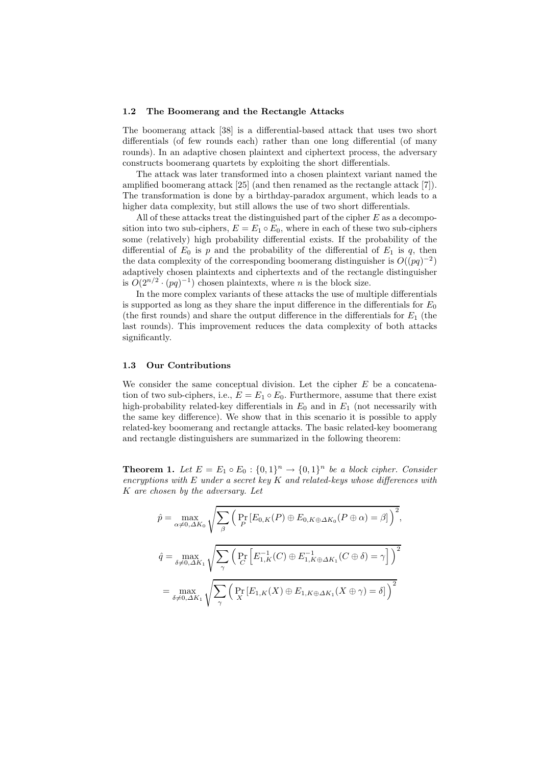#### 1.2 The Boomerang and the Rectangle Attacks

The boomerang attack [38] is a differential-based attack that uses two short differentials (of few rounds each) rather than one long differential (of many rounds). In an adaptive chosen plaintext and ciphertext process, the adversary constructs boomerang quartets by exploiting the short differentials.

The attack was later transformed into a chosen plaintext variant named the amplified boomerang attack [25] (and then renamed as the rectangle attack [7]). The transformation is done by a birthday-paradox argument, which leads to a higher data complexity, but still allows the use of two short differentials.

All of these attacks treat the distinguished part of the cipher  $E$  as a decomposition into two sub-ciphers,  $E = E_1 \circ E_0$ , where in each of these two sub-ciphers some (relatively) high probability differential exists. If the probability of the differential of  $E_0$  is p and the probability of the differential of  $E_1$  is q, then the data complexity of the corresponding boomerang distinguisher is  $O((pq)^{-2})$ adaptively chosen plaintexts and ciphertexts and of the rectangle distinguisher is  $O(2^{n/2} \cdot (pq)^{-1})$  chosen plaintexts, where *n* is the block size.

In the more complex variants of these attacks the use of multiple differentials is supported as long as they share the input difference in the differentials for  $E_0$ (the first rounds) and share the output difference in the differentials for  $E_1$  (the last rounds). This improvement reduces the data complexity of both attacks significantly.

#### 1.3 Our Contributions

We consider the same conceptual division. Let the cipher  $E$  be a concatenation of two sub-ciphers, i.e.,  $E = E_1 \circ E_0$ . Furthermore, assume that there exist high-probability related-key differentials in  $E_0$  and in  $E_1$  (not necessarily with the same key difference). We show that in this scenario it is possible to apply related-key boomerang and rectangle attacks. The basic related-key boomerang and rectangle distinguishers are summarized in the following theorem:

**Theorem 1.** Let  $E = E_1 \circ E_0 : \{0,1\}^n \rightarrow \{0,1\}^n$  be a block cipher. Consider *encryptions with* E *under a secret key* K *and related-keys whose differences with* K *are chosen by the adversary. Let*

$$
\hat{p} = \max_{\alpha \neq 0, \Delta K_0} \sqrt{\sum_{\beta} \left( \Pr_{P} [E_{0,K}(P) \oplus E_{0,K \oplus \Delta K_0}(P \oplus \alpha) = \beta] \right)^2},
$$
\n
$$
\hat{q} = \max_{\delta \neq 0, \Delta K_1} \sqrt{\sum_{\gamma} \left( \Pr_{C} [E_{1,K}^{-1}(C) \oplus E_{1,K \oplus \Delta K_1}^{-1}(C \oplus \delta) = \gamma] \right)^2}
$$
\n
$$
= \max_{\delta \neq 0, \Delta K_1} \sqrt{\sum_{\gamma} \left( \Pr_{X} [E_{1,K}(X) \oplus E_{1,K \oplus \Delta K_1}(X \oplus \gamma) = \delta] \right)^2}
$$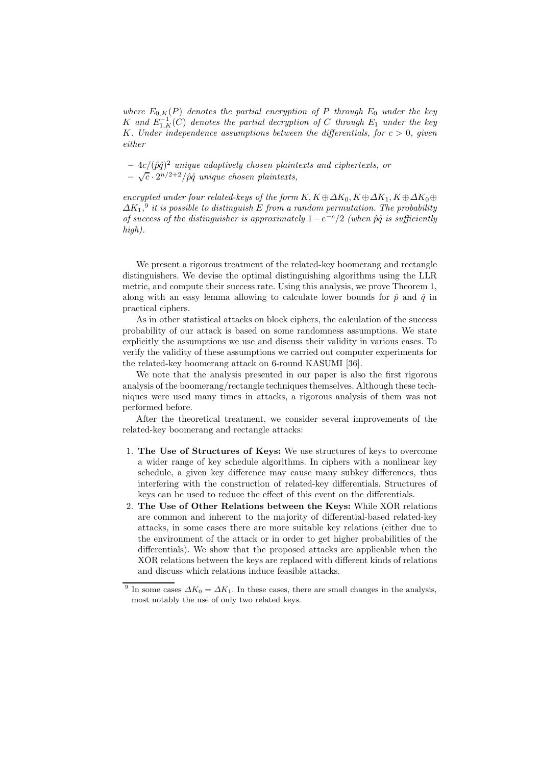*where*  $E_{0,K}(P)$  *denotes the partial encryption of* P *through*  $E_0$  *under the key*  $K$  and  $E^{-1}_{1,K}(C)$  denotes the partial decryption of C through  $E_1$  under the key K*. Under independence assumptions between the differentials, for* c > 0*, given either*

 $-4c/(\hat{p}\hat{q})^2$  *unique adaptively chosen plaintexts and ciphertexts, or*  $-\sqrt{c}\cdot 2^{n/2+2}/\hat{p}\hat{q}$  unique chosen plaintexts,

*encrypted under four related-keys of the form*  $K, K \oplus \Delta K_0, K \oplus \Delta K_1, K \oplus \Delta K_0 \oplus$  $\Delta K_1$ <sup>9</sup> it is possible to distinguish E from a random permutation. The probability *of success of the distinguisher is approximately*  $1-e^{-c/2}$  *(when*  $\hat{p}\hat{q}$  *is sufficiently high).*

We present a rigorous treatment of the related-key boomerang and rectangle distinguishers. We devise the optimal distinguishing algorithms using the LLR metric, and compute their success rate. Using this analysis, we prove Theorem 1, along with an easy lemma allowing to calculate lower bounds for  $\hat{p}$  and  $\hat{q}$  in practical ciphers.

As in other statistical attacks on block ciphers, the calculation of the success probability of our attack is based on some randomness assumptions. We state explicitly the assumptions we use and discuss their validity in various cases. To verify the validity of these assumptions we carried out computer experiments for the related-key boomerang attack on 6-round KASUMI [36].

We note that the analysis presented in our paper is also the first rigorous analysis of the boomerang/rectangle techniques themselves. Although these techniques were used many times in attacks, a rigorous analysis of them was not performed before.

After the theoretical treatment, we consider several improvements of the related-key boomerang and rectangle attacks:

- 1. The Use of Structures of Keys: We use structures of keys to overcome a wider range of key schedule algorithms. In ciphers with a nonlinear key schedule, a given key difference may cause many subkey differences, thus interfering with the construction of related-key differentials. Structures of keys can be used to reduce the effect of this event on the differentials.
- 2. The Use of Other Relations between the Keys: While XOR relations are common and inherent to the majority of differential-based related-key attacks, in some cases there are more suitable key relations (either due to the environment of the attack or in order to get higher probabilities of the differentials). We show that the proposed attacks are applicable when the XOR relations between the keys are replaced with different kinds of relations and discuss which relations induce feasible attacks.

<sup>&</sup>lt;sup>9</sup> In some cases  $\Delta K_0 = \Delta K_1$ . In these cases, there are small changes in the analysis, most notably the use of only two related keys.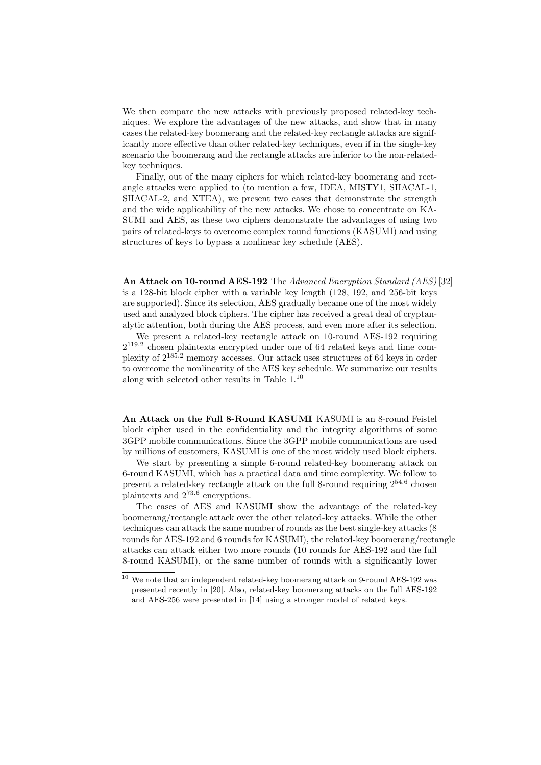We then compare the new attacks with previously proposed related-key techniques. We explore the advantages of the new attacks, and show that in many cases the related-key boomerang and the related-key rectangle attacks are significantly more effective than other related-key techniques, even if in the single-key scenario the boomerang and the rectangle attacks are inferior to the non-relatedkey techniques.

Finally, out of the many ciphers for which related-key boomerang and rectangle attacks were applied to (to mention a few, IDEA, MISTY1, SHACAL-1, SHACAL-2, and XTEA), we present two cases that demonstrate the strength and the wide applicability of the new attacks. We chose to concentrate on KA-SUMI and AES, as these two ciphers demonstrate the advantages of using two pairs of related-keys to overcome complex round functions (KASUMI) and using structures of keys to bypass a nonlinear key schedule (AES).

An Attack on 10-round AES-192 The *Advanced Encryption Standard (AES)* [32] is a 128-bit block cipher with a variable key length (128, 192, and 256-bit keys are supported). Since its selection, AES gradually became one of the most widely used and analyzed block ciphers. The cipher has received a great deal of cryptanalytic attention, both during the AES process, and even more after its selection.

We present a related-key rectangle attack on 10-round AES-192 requiring 2 119.2 chosen plaintexts encrypted under one of 64 related keys and time complexity of 2<sup>185</sup>.<sup>2</sup> memory accesses. Our attack uses structures of 64 keys in order to overcome the nonlinearity of the AES key schedule. We summarize our results along with selected other results in Table 1.<sup>10</sup>

An Attack on the Full 8-Round KASUMI KASUMI is an 8-round Feistel block cipher used in the confidentiality and the integrity algorithms of some 3GPP mobile communications. Since the 3GPP mobile communications are used by millions of customers, KASUMI is one of the most widely used block ciphers.

We start by presenting a simple 6-round related-key boomerang attack on 6-round KASUMI, which has a practical data and time complexity. We follow to present a related-key rectangle attack on the full 8-round requiring  $2^{54.6}$  chosen plaintexts and 2<sup>73</sup>.<sup>6</sup> encryptions.

The cases of AES and KASUMI show the advantage of the related-key boomerang/rectangle attack over the other related-key attacks. While the other techniques can attack the same number of rounds as the best single-key attacks (8 rounds for AES-192 and 6 rounds for KASUMI), the related-key boomerang/rectangle attacks can attack either two more rounds (10 rounds for AES-192 and the full 8-round KASUMI), or the same number of rounds with a significantly lower

 $^{\rm 10}$  We note that an independent related-key boomerang attack on 9-round AES-192 was presented recently in [20]. Also, related-key boomerang attacks on the full AES-192 and AES-256 were presented in [14] using a stronger model of related keys.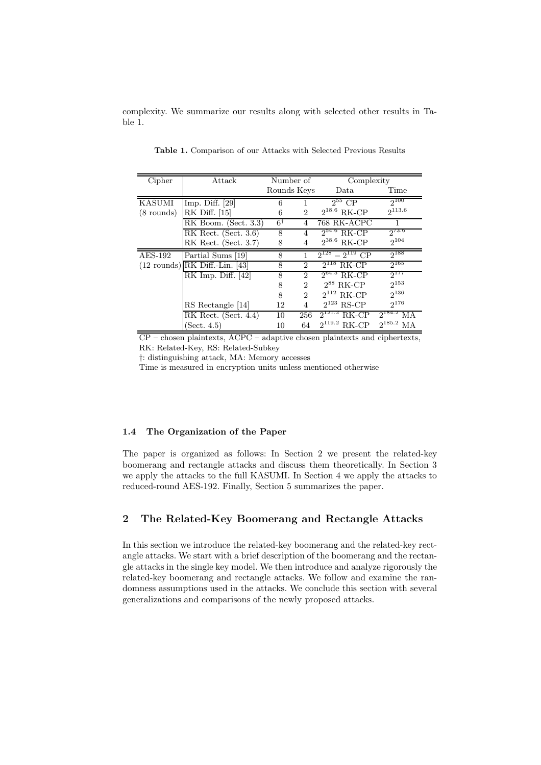complexity. We summarize our results along with selected other results in Table 1.

| Cipher               | Attack                           | Number of     |                | Complexity             |                   |
|----------------------|----------------------------------|---------------|----------------|------------------------|-------------------|
|                      |                                  | Rounds Keys   |                | Data                   | Time              |
| <b>KASUMI</b>        | Imp. Diff. $[29]$                | 6             |                | $2^{55}$ CP            | $2^{100}$         |
| $(8 \text{ rounds})$ | RK Diff. [15]                    | 6             | $\overline{2}$ | $2^{18.6}$ RK-CP       | $2^{113.6}$       |
|                      | RK Boom. (Sect. 3.3)             | $6^{\dagger}$ | 4              | 768 RK-ACPC            |                   |
|                      | RK Rect. $(Set. 3.6)$            | 8             | 4              | $2^{54.6}$ RK-CP       | $2^{73.6}$        |
|                      | RK Rect. (Sect. 3.7)             | 8             | 4              | $2^{38.6}$ RK-CP       | $2^{104}$         |
| $AES-192$            | Partial Sums [19]                | 8             |                | $2^{128} - 2^{119}$ CP | $2^{188}$         |
|                      | $(12$ rounds) RK Diff.-Lin. [43] | 8             | $\overline{2}$ | $2^{118}$ RK-CP        | $2^{165}$         |
|                      | RK Imp. Diff. $[42]$             | 8             | 2              | $2^{64.5}$ RK-CP       | $2^{177}$         |
|                      |                                  | 8             | $\overline{2}$ | $2^{88}$ RK-CP         | $2^{153}$         |
|                      |                                  | 8             | 2              | $2^{112}$ RK-CP        | $2^{136}$         |
|                      | RS Rectangle [14]                | 12            | 4              | $2^{123}$ RS-CP        | $2^{176}$         |
|                      | RK Rect. (Sect. 4.4)             | 10            | 256            | RK-CP                  | $2^{184.2}$<br>MА |
|                      | (Sect. 4.5)                      | 10            | 64             | $2^{119.2}$<br>RK-CP   | $2^{185.2}$ MA    |

Table 1. Comparison of our Attacks with Selected Previous Results

 $\overline{\text{CP}}$  – chosen plaintexts, ACPC – adaptive chosen plaintexts and ciphertexts, RK: Related-Key, RS: Related-Subkey

†: distinguishing attack, MA: Memory accesses

Time is measured in encryption units unless mentioned otherwise

## 1.4 The Organization of the Paper

The paper is organized as follows: In Section 2 we present the related-key boomerang and rectangle attacks and discuss them theoretically. In Section 3 we apply the attacks to the full KASUMI. In Section 4 we apply the attacks to reduced-round AES-192. Finally, Section 5 summarizes the paper.

# 2 The Related-Key Boomerang and Rectangle Attacks

In this section we introduce the related-key boomerang and the related-key rectangle attacks. We start with a brief description of the boomerang and the rectangle attacks in the single key model. We then introduce and analyze rigorously the related-key boomerang and rectangle attacks. We follow and examine the randomness assumptions used in the attacks. We conclude this section with several generalizations and comparisons of the newly proposed attacks.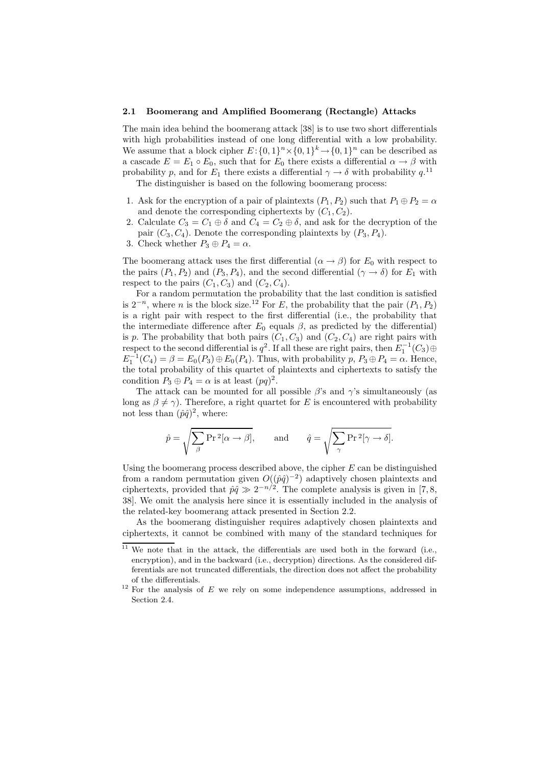#### 2.1 Boomerang and Amplified Boomerang (Rectangle) Attacks

The main idea behind the boomerang attack [38] is to use two short differentials with high probabilities instead of one long differential with a low probability. We assume that a block cipher  $E: \{0,1\}^n \times \{0,1\}^k \to \{0,1\}^n$  can be described as a cascade  $E = E_1 \circ E_0$ , such that for  $E_0$  there exists a differential  $\alpha \to \beta$  with probability p, and for  $E_1$  there exists a differential  $\gamma \to \delta$  with probability  $q$ <sup>11</sup>

The distinguisher is based on the following boomerang process:

- 1. Ask for the encryption of a pair of plaintexts  $(P_1, P_2)$  such that  $P_1 \oplus P_2 = \alpha$ and denote the corresponding ciphertexts by  $(C_1, C_2)$ .
- 2. Calculate  $C_3 = C_1 \oplus \delta$  and  $C_4 = C_2 \oplus \delta$ , and ask for the decryption of the pair  $(C_3, C_4)$ . Denote the corresponding plaintexts by  $(P_3, P_4)$ .
- 3. Check whether  $P_3 \oplus P_4 = \alpha$ .

The boomerang attack uses the first differential  $(\alpha \rightarrow \beta)$  for  $E_0$  with respect to the pairs  $(P_1, P_2)$  and  $(P_3, P_4)$ , and the second differential  $(\gamma \to \delta)$  for  $E_1$  with respect to the pairs  $(C_1, C_3)$  and  $(C_2, C_4)$ .

For a random permutation the probability that the last condition is satisfied is  $2^{-n}$ , where *n* is the block size.<sup>12</sup> For *E*, the probability that the pair  $(P_1, P_2)$ is a right pair with respect to the first differential (i.e., the probability that the intermediate difference after  $E_0$  equals  $\beta$ , as predicted by the differential) is p. The probability that both pairs  $(C_1, C_3)$  and  $(C_2, C_4)$  are right pairs with respect to the second differential is  $q^2$ . If all these are right pairs, then  $E_1^{-1}(C_3) \oplus$  $E_1^{-1}(C_4) = \beta = E_0(P_3) \oplus E_0(P_4)$ . Thus, with probability  $p, P_3 \oplus P_4 = \alpha$ . Hence, the total probability of this quartet of plaintexts and ciphertexts to satisfy the condition  $P_3 \oplus P_4 = \alpha$  is at least  $(pq)^2$ .

The attack can be mounted for all possible  $\beta$ 's and  $\gamma$ 's simultaneously (as long as  $\beta \neq \gamma$ ). Therefore, a right quartet for E is encountered with probability not less than  $(\hat{p}\hat{q})^2$ , where:

$$
\hat{p} = \sqrt{\sum_{\beta} \Pr^2[\alpha \to \beta]}, \quad \text{and} \quad \hat{q} = \sqrt{\sum_{\gamma} \Pr^2[\gamma \to \delta]}.
$$

Using the boomerang process described above, the cipher  $E$  can be distinguished from a random permutation given  $O((\hat{p}\hat{q})^{-2})$  adaptively chosen plaintexts and ciphertexts, provided that  $\hat{p}\hat{q} \gg 2^{-n/2}$ . The complete analysis is given in [7, 8, 38]. We omit the analysis here since it is essentially included in the analysis of the related-key boomerang attack presented in Section 2.2.

As the boomerang distinguisher requires adaptively chosen plaintexts and ciphertexts, it cannot be combined with many of the standard techniques for

 $\frac{11}{11}$  We note that in the attack, the differentials are used both in the forward (i.e., encryption), and in the backward (i.e., decryption) directions. As the considered differentials are not truncated differentials, the direction does not affect the probability of the differentials.

 $12$  For the analysis of E we rely on some independence assumptions, addressed in Section 2.4.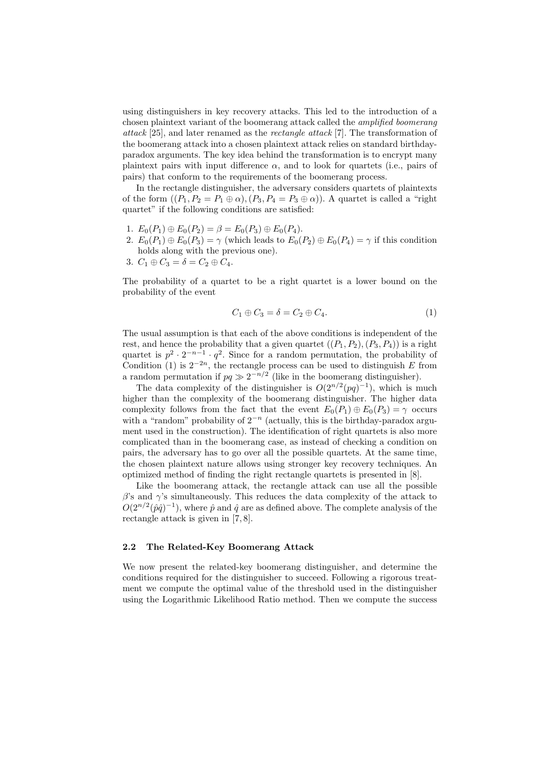using distinguishers in key recovery attacks. This led to the introduction of a chosen plaintext variant of the boomerang attack called the *amplified boomerang attack* [25], and later renamed as the *rectangle attack* [7]. The transformation of the boomerang attack into a chosen plaintext attack relies on standard birthdayparadox arguments. The key idea behind the transformation is to encrypt many plaintext pairs with input difference  $\alpha$ , and to look for quartets (i.e., pairs of pairs) that conform to the requirements of the boomerang process.

In the rectangle distinguisher, the adversary considers quartets of plaintexts of the form  $((P_1, P_2 = P_1 \oplus \alpha), (P_3, P_4 = P_3 \oplus \alpha))$ . A quartet is called a "right" quartet" if the following conditions are satisfied:

- 1.  $E_0(P_1) \oplus E_0(P_2) = \beta = E_0(P_3) \oplus E_0(P_4)$ .
- 2.  $E_0(P_1) \oplus E_0(P_3) = \gamma$  (which leads to  $E_0(P_2) \oplus E_0(P_4) = \gamma$  if this condition holds along with the previous one).
- 3.  $C_1 \oplus C_3 = \delta = C_2 \oplus C_4.$

The probability of a quartet to be a right quartet is a lower bound on the probability of the event

$$
C_1 \oplus C_3 = \delta = C_2 \oplus C_4. \tag{1}
$$

The usual assumption is that each of the above conditions is independent of the rest, and hence the probability that a given quartet  $((P_1, P_2), (P_3, P_4))$  is a right quartet is  $p^2 \cdot 2^{-n-1} \cdot q^2$ . Since for a random permutation, the probability of Condition (1) is  $2^{-2n}$ , the rectangle process can be used to distinguish E from a random permutation if  $pq \gg 2^{-n/2}$  (like in the boomerang distinguisher).

The data complexity of the distinguisher is  $O(2^{n/2}(pq)^{-1})$ , which is much higher than the complexity of the boomerang distinguisher. The higher data complexity follows from the fact that the event  $E_0(P_1) \oplus E_0(P_3) = \gamma$  occurs with a "random" probability of  $2^{-n}$  (actually, this is the birthday-paradox argument used in the construction). The identification of right quartets is also more complicated than in the boomerang case, as instead of checking a condition on pairs, the adversary has to go over all the possible quartets. At the same time, the chosen plaintext nature allows using stronger key recovery techniques. An optimized method of finding the right rectangle quartets is presented in [8].

Like the boomerang attack, the rectangle attack can use all the possible  $\beta$ 's and  $\gamma$ 's simultaneously. This reduces the data complexity of the attack to  $O(2^{n/2}(\hat{p}\hat{q})^{-1})$ , where  $\hat{p}$  and  $\hat{q}$  are as defined above. The complete analysis of the rectangle attack is given in [7, 8].

#### 2.2 The Related-Key Boomerang Attack

We now present the related-key boomerang distinguisher, and determine the conditions required for the distinguisher to succeed. Following a rigorous treatment we compute the optimal value of the threshold used in the distinguisher using the Logarithmic Likelihood Ratio method. Then we compute the success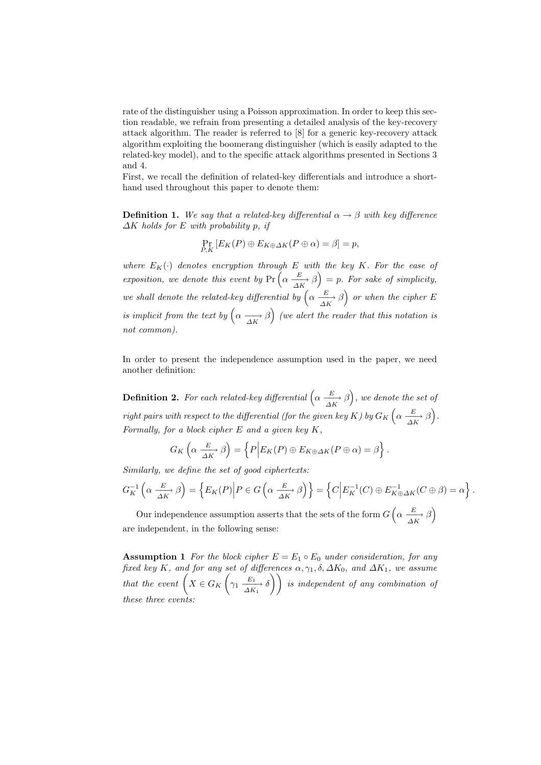rate of the distinguisher using a Poisson approximation. In order to keep this section readable, we refrain from presenting a detailed analysis of the key-recovery attack algorithm. The reader is referred to [8] for a generic key-recovery attack algorithm exploiting the boomerang distinguisher (which is easily adapted to the related-key model), and to the specific attack algorithms presented in Sections 3 and 4.

First, we recall the definition of related-key differentials and introduce a shorthand used throughout this paper to denote them:

**Definition 1.** We say that a related-key differential  $\alpha \rightarrow \beta$  with key difference ∆K *holds for* E *with probability* p*, if*

$$
\Pr_{P,K}[E_K(P) \oplus E_{K \oplus \Delta K}(P \oplus \alpha) = \beta] = p,
$$

*where*  $E_K(\cdot)$  *denotes encryption through* E *with the key* K. For the ease of exposition, we denote this event by  $Pr\left(\alpha \xrightarrow[\Delta K]{E} \beta\right) = p$ . For sake of simplicity, *we shall denote the related-key differential by*  $\left(\alpha \frac{E}{\Delta K} \beta\right)$  *or when the cipher* E *is implicit from the text by*  $\left(\alpha \xrightarrow[\Delta K]{} \beta\right)$  (we alert the reader that this notation is *not common).*

In order to present the independence assumption used in the paper, we need another definition:

**Definition 2.** For each related-key differential  $\left(\alpha \frac{E}{\Delta K}, \beta\right)$ , we denote the set of *right pairs with respect to the differential (for the given key K) by*  $G_K$   $\left(\alpha \frac{E}{\Delta K} \beta\right)$ . *Formally, for a block cipher* E *and a given key* K*,*

$$
G_K\left(\alpha \xrightarrow[\Delta K]{E} \beta\right) = \left\{P\Big| E_K(P) \oplus E_{K \oplus \Delta K}(P \oplus \alpha) = \beta\right\}.
$$

*Similarly, we define the set of good ciphertexts:*

$$
G_K^{-1}\left(\alpha \xrightarrow[\Delta K]{E} \beta\right) = \left\{E_K(P)\Big|P \in G\left(\alpha \xrightarrow[\Delta K]{E} \beta\right)\right\} = \left\{C\Big|E_K^{-1}(C) \oplus E_{K \oplus \Delta K}^{-1}(C \oplus \beta) = \alpha\right\}.
$$

Our independence assumption asserts that the sets of the form  $G\left(\alpha\;\frac{E}{\Delta K}\;\beta\right)$ are independent, in the following sense:

**Assumption 1** *For the block cipher*  $E = E_1 \circ E_0$  *under consideration, for any fixed key* K, and for any set of differences  $\alpha$ ,  $\gamma_1$ ,  $\delta$ ,  $\Delta K_0$ , and  $\Delta K_1$ , we assume *that the event*  $\left(X \in G_K\right)$  $\sqrt{ }$  $\gamma_1 \xrightarrow[ \Delta K_1 ]{E_1} \delta$  *is independent of any combination of these three events:*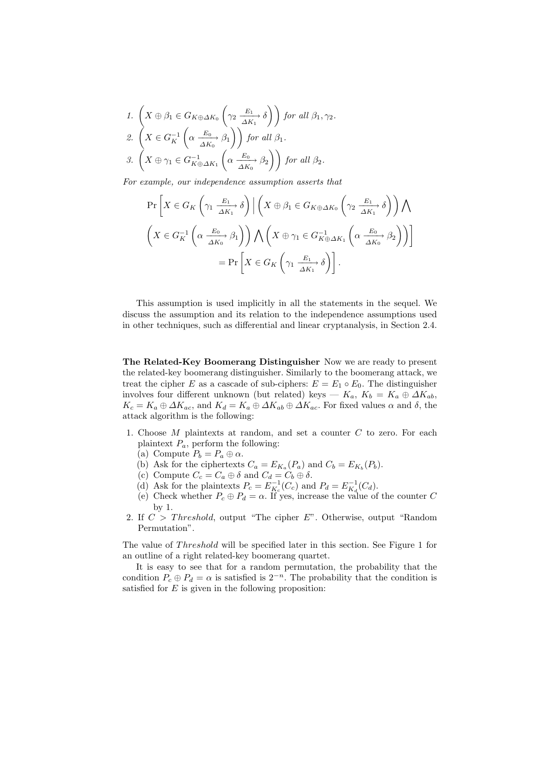1. 
$$
\left(X \oplus \beta_1 \in G_{K \oplus \Delta K_0} \left(\gamma_2 \frac{E_1}{\Delta K_1} \delta\right)\right)
$$
 for all  $\beta_1, \gamma_2$ .  
\n2.  $\left(X \in G_K^{-1} \left(\alpha \frac{E_0}{\Delta K_0} \beta_1\right)\right)$  for all  $\beta_1$ .  
\n3.  $\left(X \oplus \gamma_1 \in G_{K \oplus \Delta K_1}^{-1} \left(\alpha \frac{E_0}{\Delta K_0} \beta_2\right)\right)$  for all  $\beta_2$ .

*For example, our independence assumption asserts that*

$$
\Pr\left[X \in G_K\left(\gamma_1 \xrightarrow[ \Delta K_1 ]]{} \delta\right) \middle| \left(X \oplus \beta_1 \in G_{K \oplus \Delta K_0}\left(\gamma_2 \xrightarrow[ \Delta K_1 ]]{} \delta\right)\right) \bigwedge \left(X \in G_K^{-1}\left(\alpha \xrightarrow[ \Delta K_0 ]]{} \beta_1\right)\right) \bigwedge \left(X \oplus \gamma_1 \in G_{K \oplus \Delta K_1}^{-1}\left(\alpha \xrightarrow[ \Delta K_0 ]]{} \beta_2\right)\right)\right] \n= \Pr\left[X \in G_K\left(\gamma_1 \xrightarrow[ \Delta K_1 ]]{} \delta\right].
$$

This assumption is used implicitly in all the statements in the sequel. We discuss the assumption and its relation to the independence assumptions used in other techniques, such as differential and linear cryptanalysis, in Section 2.4.

The Related-Key Boomerang Distinguisher Now we are ready to present the related-key boomerang distinguisher. Similarly to the boomerang attack, we treat the cipher E as a cascade of sub-ciphers:  $E = E_1 \circ E_0$ . The distinguisher involves four different unknown (but related) keys —  $K_a$ ,  $K_b = K_a \oplus \Delta K_{ab}$ ,  $K_c = K_a \oplus \Delta K_{ac}$ , and  $K_d = K_a \oplus \Delta K_{ab} \oplus \Delta K_{ac}$ . For fixed values  $\alpha$  and  $\delta$ , the attack algorithm is the following:

- 1. Choose M plaintexts at random, and set a counter C to zero. For each plaintext  $P_a$ , perform the following:
	- (a) Compute  $P_b = P_a \oplus \alpha$ .
	- (b) Ask for the ciphertexts  $C_a = E_{K_a}(P_a)$  and  $C_b = E_{K_b}(P_b)$ .
	- (c) Compute  $C_c = C_a \oplus \delta$  and  $C_d = C_b \oplus \delta$ .
	- (d) Ask for the plaintexts  $P_c = E_{K_c}^{-1}(C_c)$  and  $P_d = E_{K_d}^{-1}(C_d)$ .
	- (e) Check whether  $P_c \oplus P_d = \alpha$ . If yes, increase the value of the counter C by 1.
- 2. If  $C > Threshold$ , output "The cipher E". Otherwise, output "Random Permutation".

The value of *Threshold* will be specified later in this section. See Figure 1 for an outline of a right related-key boomerang quartet.

It is easy to see that for a random permutation, the probability that the condition  $P_c \oplus P_d = \alpha$  is satisfied is  $2^{-n}$ . The probability that the condition is satisfied for  $E$  is given in the following proposition: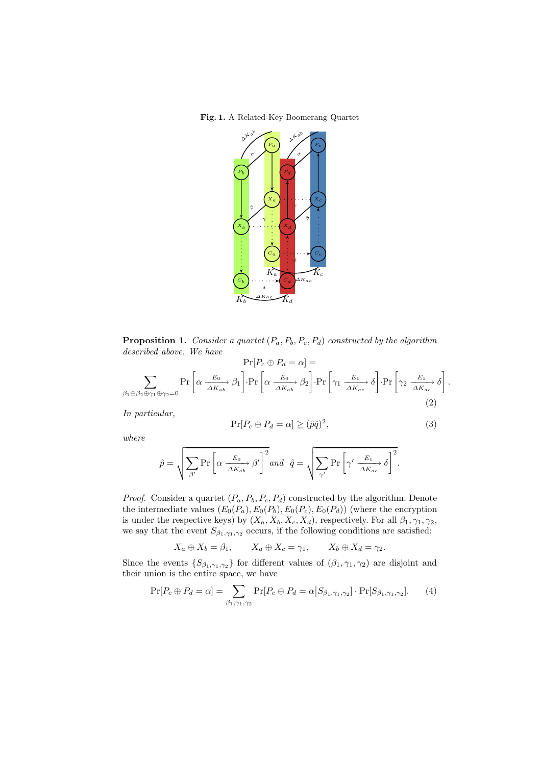Fig. 1. A Related-Key Boomerang Quartet



**Proposition 1.** *Consider a quartet*  $(P_a, P_b, P_c, P_d)$  *constructed by the algorithm described above. We have*

$$
\Pr[P_c \oplus P_d = \alpha] =
$$
\n
$$
\sum_{\beta_1 \oplus \beta_2 \oplus \gamma_1 \oplus \gamma_2 = 0} \Pr\left[\alpha \xrightarrow{\underline{E_0}} \beta_1\right] \cdot \Pr\left[\alpha \xrightarrow{\underline{E_0}} \beta_2\right] \cdot \Pr\left[\gamma_1 \xrightarrow{\underline{E_1}} \delta\right] \cdot \Pr\left[\gamma_2 \xrightarrow{\underline{E_1}} \delta\right]
$$
\n
$$
(2)
$$

*In particular,*

$$
\Pr[P_c \oplus P_d = \alpha] \ge (\hat{p}\hat{q})^2,\tag{3}
$$

.

*where*

$$
\hat{p} = \sqrt{\sum_{\beta'} \Pr\left[\alpha \frac{E_0}{\Delta K_{ab}} \beta'\right]^2} \text{ and } \hat{q} = \sqrt{\sum_{\gamma'} \Pr\left[\gamma' \frac{E_1}{\Delta K_{ac}} \delta\right]^2}.
$$

*Proof.* Consider a quartet  $(P_a, P_b, P_c, P_d)$  constructed by the algorithm. Denote the intermediate values  $(E_0(P_a), E_0(P_b), E_0(P_c), E_0(P_d))$  (where the encryption is under the respective keys) by  $(X_a, X_b, X_c, X_d)$ , respectively. For all  $\beta_1, \gamma_1, \gamma_2$ , we say that the event  $S_{\beta_1,\gamma_1,\gamma_2}$  occurs, if the following conditions are satisfied:

$$
X_a \oplus X_b = \beta_1
$$
,  $X_a \oplus X_c = \gamma_1$ ,  $X_b \oplus X_d = \gamma_2$ .

Since the events  $\{S_{\beta_1,\gamma_1,\gamma_2}\}$  for different values of  $(\beta_1,\gamma_1,\gamma_2)$  are disjoint and their union is the entire space, we have

$$
\Pr[P_c \oplus P_d = \alpha] = \sum_{\beta_1, \gamma_1, \gamma_2} \Pr[P_c \oplus P_d = \alpha | S_{\beta_1, \gamma_1, \gamma_2}] \cdot \Pr[S_{\beta_1, \gamma_1, \gamma_2}]. \tag{4}
$$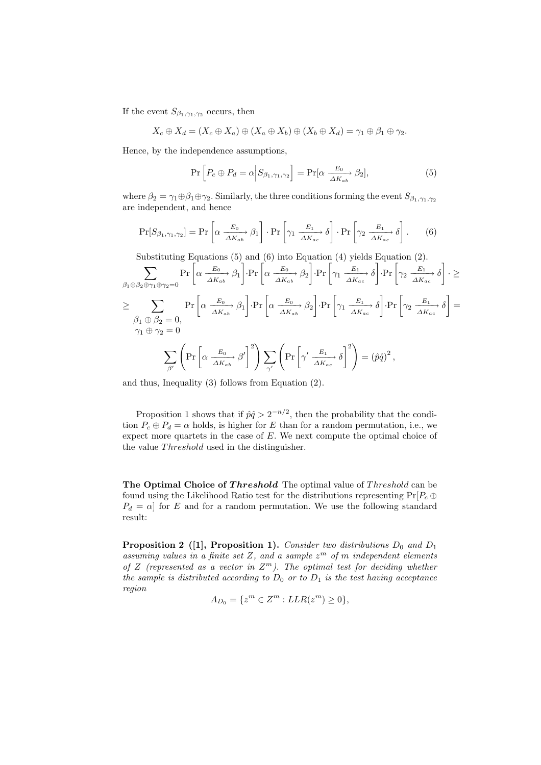If the event  $S_{\beta_1,\gamma_1,\gamma_2}$  occurs, then

$$
X_c \oplus X_d = (X_c \oplus X_a) \oplus (X_a \oplus X_b) \oplus (X_b \oplus X_d) = \gamma_1 \oplus \beta_1 \oplus \gamma_2.
$$

Hence, by the independence assumptions,

$$
\Pr\left[P_c \oplus P_d = \alpha \middle| S_{\beta_1, \gamma_1, \gamma_2}\right] = \Pr[\alpha \xrightarrow[\Delta K_{ab}]{} \beta_2],\tag{5}
$$

where  $\beta_2 = \gamma_1 \oplus \beta_1 \oplus \gamma_2$ . Similarly, the three conditions forming the event  $S_{\beta_1,\gamma_1,\gamma_2}$ are independent, and hence

$$
\Pr[S_{\beta_1,\gamma_1,\gamma_2}] = \Pr\left[\alpha \, \frac{E_0}{\Delta K_{ab}} \, \beta_1\right] \cdot \Pr\left[\gamma_1 \, \frac{E_1}{\Delta K_{ac}} \, \delta\right] \cdot \Pr\left[\gamma_2 \, \frac{E_1}{\Delta K_{ac}} \, \delta\right].\tag{6}
$$

Substituting Equations (5) and (6) into Equation (4) yields Equation (2).

Substituting Equations (5) and (0) into Equation (4) yields Equation (2).  
\n
$$
\sum_{\beta_1 \oplus \beta_2 \oplus \gamma_1 \oplus \gamma_2 = 0} \Pr \left[ \alpha \frac{E_0}{\Delta K_{ab}} \beta_1 \right] \cdot \Pr \left[ \alpha \frac{E_0}{\Delta K_{ab}} \beta_2 \right] \cdot \Pr \left[ \gamma_1 \frac{E_1}{\Delta K_{ac}} \delta \right] \cdot \Pr \left[ \gamma_2 \frac{E_1}{\Delta K_{ac}} \delta \right] \cdot \ge
$$
\n
$$
\geq \sum_{\substack{\beta_1 \oplus \beta_2 = 0, \\ \gamma_1 \oplus \gamma_2 = 0}} \Pr \left[ \alpha \frac{E_0}{\Delta K_{ab}} \beta_1 \right] \cdot \Pr \left[ \alpha \frac{E_0}{\Delta K_{ab}} \beta_2 \right] \cdot \Pr \left[ \gamma_1 \frac{E_1}{\Delta K_{ac}} \delta \right] \cdot \Pr \left[ \gamma_2 \frac{E_1}{\Delta K_{ac}} \delta \right] =
$$
\n
$$
\gamma_1 \oplus \gamma_2 = 0
$$
\n
$$
\sum_{\beta'} \left( \Pr \left[ \alpha \frac{E_0}{\Delta K_{ab}} \beta' \right]^2 \right) \sum_{\gamma'} \left( \Pr \left[ \gamma' \frac{E_1}{\Delta K_{ac}} \delta \right]^2 \right) = (\hat{p}\hat{q})^2,
$$

and thus, Inequality (3) follows from Equation (2).

Proposition 1 shows that if  $\hat{p}\hat{q} > 2^{-n/2}$ , then the probability that the condition  $P_c \oplus P_d = \alpha$  holds, is higher for E than for a random permutation, i.e., we expect more quartets in the case of  $E$ . We next compute the optimal choice of the value *Threshold* used in the distinguisher.

The Optimal Choice of Threshold The optimal value of Threshold can be found using the Likelihood Ratio test for the distributions representing  $Pr[P_c \oplus$  $P_d = \alpha$  for E and for a random permutation. We use the following standard result:

**Proposition 2** (1), Proposition 1). *Consider two distributions*  $D_0$  *and*  $D_1$ assuming values in a finite set Z, and a sample  $z<sup>m</sup>$  of m independent elements *of* Z *(represented as a vector in* Z <sup>m</sup>*). The optimal test for deciding whether the sample is distributed according to*  $D_0$  *or to*  $D_1$  *is the test having acceptance region*

$$
A_{D_0} = \{ z^m \in Z^m : LLR(z^m) \ge 0 \},\
$$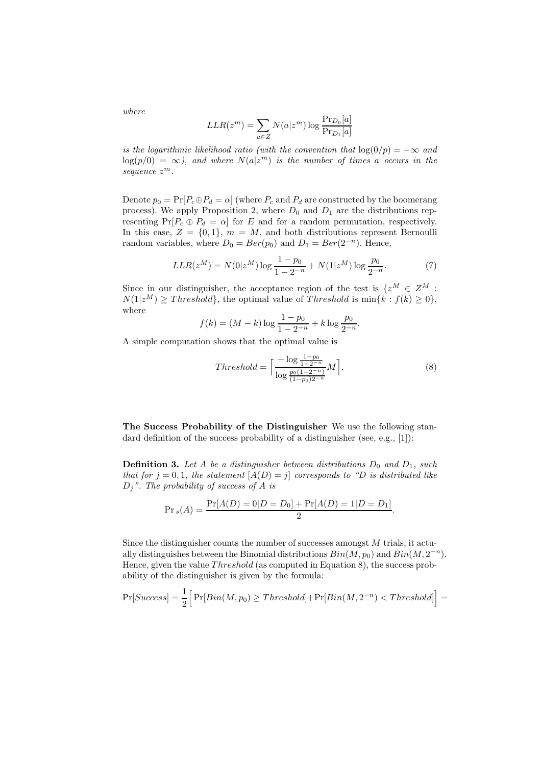*where*

$$
LLR(z^m) = \sum_{a \in Z} N(a|z^m) \log \frac{\Pr_{D_0}[a]}{\Pr_{D_1}[a]}
$$

*is the logarithmic likelihood ratio (with the convention that*  $log(0/p) = -\infty$  *and*  $log(p/0) = \infty$ ), and where  $N(a|z^m)$  is the number of times a occurs in the *sequence* z m*.*

Denote  $p_0 = \Pr[P_c \oplus P_d = \alpha]$  (where  $P_c$  and  $P_d$  are constructed by the boomerang process). We apply Proposition 2, where  $D_0$  and  $D_1$  are the distributions representing  $Pr[P_c \oplus P_d = \alpha]$  for E and for a random permutation, respectively. In this case,  $Z = \{0, 1\}$ ,  $m = M$ , and both distributions represent Bernoulli random variables, where  $D_0 = Ber(p_0)$  and  $D_1 = Ber(2^{-n})$ . Hence,

$$
LLR(z^M) = N(0|z^M) \log \frac{1 - p_0}{1 - 2^{-n}} + N(1|z^M) \log \frac{p_0}{2^{-n}}.
$$
 (7)

Since in our distinguisher, the acceptance region of the test is  $\{z^M\in Z^M:$  $N(1|z^M) \geq Threshold\}$ , the optimal value of *Threshold* is  $\min\{k : f(k) \geq 0\}$ , where

$$
f(k) = (M - k) \log \frac{1 - p_0}{1 - 2^{-n}} + k \log \frac{p_0}{2^{-n}}.
$$

A simple computation shows that the optimal value is

$$
Threshold = \left\lceil \frac{-\log \frac{1 - p_0}{1 - 2^{-n}}}{\log \frac{p_0(1 - 2^{-n})}{(1 - p_0)2^{-n}}} M \right\rceil. \tag{8}
$$

The Success Probability of the Distinguisher We use the following standard definition of the success probability of a distinguisher (see, e.g., [1]):

**Definition 3.** Let A be a distinguisher between distributions  $D_0$  and  $D_1$ , such *that for*  $j = 0, 1$ *, the statement*  $[A(D) = j]$  *corresponds to "D is distributed like* Dj*". The probability of success of* A *is*

$$
Pr_s(A) = \frac{Pr[A(D) = 0|D = D_0] + Pr[A(D) = 1|D = D_1]}{2}.
$$

Since the distinguisher counts the number of successes amongst M trials, it actually distinguishes between the Binomial distributions  $Bin(M, p_0)$  and  $Bin(M, 2^{-n})$ . Hence, given the value  $Threshold$  (as computed in Equation 8), the success probability of the distinguisher is given by the formula:

$$
Pr[Success] = \frac{1}{2} \Big[ Pr[Bin(M, p_0) \geq Threshold] + Pr[Bin(M, 2^{-n}) < Threshold] \Big] =
$$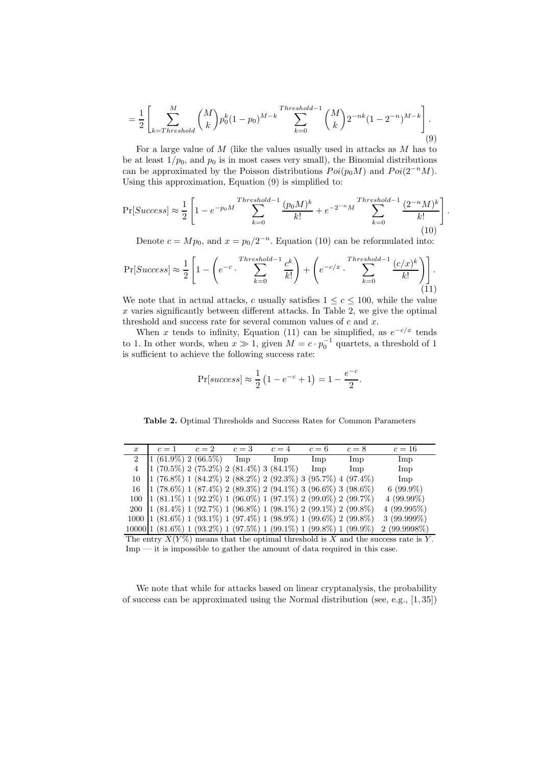$$
= \frac{1}{2} \left[ \sum_{k=Threshold}^{M} {M \choose k} p_0^k (1-p_0)^{M-k} \sum_{k=0}^{Threshold-1} {M \choose k} 2^{-nk} (1-2^{-n})^{M-k} \right].
$$
\n(9)

For a large value of M (like the values usually used in attacks as M has to be at least  $1/p_0$ , and  $p_0$  is in most cases very small), the Binomial distributions can be approximated by the Poisson distributions  $Poi(p_0M)$  and  $Poi(2^{-n}M)$ . Using this approximation, Equation (9) is simplified to:

$$
\Pr[Success] \approx \frac{1}{2} \left[ 1 - e^{-p_0 M} \sum_{k=0}^{Threshold - 1} \frac{(p_0 M)^k}{k!} + e^{-2^{-n} M} \sum_{k=0}^{Threshold - 1} \frac{(2^{-n} M)^k}{k!} \right]
$$
\n(10)

.

Denote  $c = Mp_0$ , and  $x = p_0/2^{-n}$ . Equation (10) can be reformulated into:

$$
\Pr[Success] \approx \frac{1}{2} \left[ 1 - \left( e^{-c} \cdot \sum_{k=0}^{Threshold-1} \frac{c^k}{k!} \right) + \left( e^{-c/x} \cdot \sum_{k=0}^{Threshold-1} \frac{(c/x)^k}{k!} \right) \right].
$$
\n(11)

We note that in actual attacks, c usually satisfies  $1 \leq c \leq 100$ , while the value  $x$  varies significantly between different attacks. In Table 2, we give the optimal threshold and success rate for several common values of  $c$  and  $x$ .

When x tends to infinity, Equation (11) can be simplified, as  $e^{-c/x}$  tends to 1. In other words, when  $x \gg 1$ , given  $M = c \cdot p_0^{-1}$  quartets, a threshold of 1 is sufficient to achieve the following success rate:

$$
Pr[success] \approx \frac{1}{2} (1 - e^{-c} + 1) = 1 - \frac{e^{-c}}{2}.
$$

Table 2. Optimal Thresholds and Success Rates for Common Parameters

| $\boldsymbol{x}$ | $c=1$ $c=2$ $c=3$ $c=4$                                                               |  | $c=6$ | $c=8$ | $c=16$                                                                              |
|------------------|---------------------------------------------------------------------------------------|--|-------|-------|-------------------------------------------------------------------------------------|
|                  | 2   1 (61.9%) 2 (66.5%) Imp Imp                                                       |  | Imp   | Imp   | Imp                                                                                 |
|                  | $(1 (70.5\%) 2 (75.2\%) 2 (81.4\%) 3 (84.1\%)$                                        |  | Imp   | Imp   | Imp                                                                                 |
| 10               | $(1 (76.8\%) 1 (84.2\%) 2 (88.2\%) 2 (92.3\%) 3 (95.7\%) 4 (97.4\%)$                  |  |       |       | Imp                                                                                 |
|                  | $16$   $1(78.6\%)$ 1 $(87.4\%)$ 2 $(89.3\%)$ 2 $(94.1\%)$ 3 $(96.6\%)$ 3 $(98.6\%)$   |  |       |       | $6(99.9\%)$                                                                         |
|                  | $100$   $1(81.1\%)$ $1(92.2\%)$ $1(96.0\%)$ $1(97.1\%)$ $2(99.0\%)$ $2(99.7\%)$       |  |       |       | $4(99.99\%)$                                                                        |
|                  | 200   1 (81.4%) 1 (92.7%) 1 (96.8%) 1 (98.1%) 2 (99.1%) 2 (99.8%)                     |  |       |       | 4(99.995%)                                                                          |
|                  | $1000$   $1(81.6\%)$ 1 $(93.1\%)$ 1 $(97.4\%)$ 1 $(98.9\%)$ 1 $(99.6\%)$ 2 $(99.8\%)$ |  |       |       | $3(99.999\%)$                                                                       |
|                  | $10000 1 (81.6\%) 1 (93.2\%) 1 (97.5\%) 1 (99.1\%) 1 (99.8\%) 1 (99.9\%)$             |  |       |       | $2(99.9998\%)$                                                                      |
|                  |                                                                                       |  |       |       | The entry $X(Y\%)$ means that the optimal threshold is X and the success rate is Y. |

Imp — it is impossible to gather the amount of data required in this case.

We note that while for attacks based on linear cryptanalysis, the probability of success can be approximated using the Normal distribution (see, e.g., [1, 35])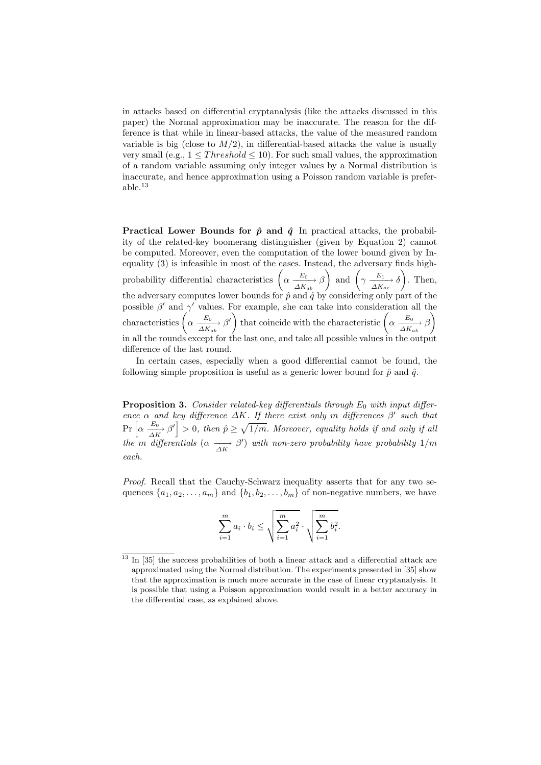in attacks based on differential cryptanalysis (like the attacks discussed in this paper) the Normal approximation may be inaccurate. The reason for the difference is that while in linear-based attacks, the value of the measured random variable is big (close to  $M/2$ ), in differential-based attacks the value is usually very small (e.g.,  $1 \leq Threshold \leq 10$ ). For such small values, the approximation of a random variable assuming only integer values by a Normal distribution is inaccurate, and hence approximation using a Poisson random variable is preferable.<sup>13</sup>

**Practical Lower Bounds for**  $\hat{p}$  **and**  $\hat{q}$  In practical attacks, the probability of the related-key boomerang distinguisher (given by Equation 2) cannot be computed. Moreover, even the computation of the lower bound given by Inequality (3) is infeasible in most of the cases. Instead, the adversary finds highprobability differential characteristics  $\left( \alpha \frac{E_0}{\Delta K_{ab}} \beta \right)$ ) and  $\left(\gamma \xrightarrow[\Delta K_{ac}]{} \delta\right)$  $\setminus$ . Then, the adversary computes lower bounds for  $\hat{p}$  and  $\hat{q}$  by considering only part of the possible  $\beta'$  and  $\gamma'$  values. For example, she can take into consideration all the characteristics  $\left(\alpha \xrightarrow[{\Delta K_{ab}}]{E_0} \beta'\right)$  that coincide with the characteristic  $\left(\alpha \xrightarrow[{\Delta K_{ab}}]{E_0} \beta'\right)$  $\overline{\phantom{0}}$ in all the rounds except for the last one, and take all possible values in the output difference of the last round.

In certain cases, especially when a good differential cannot be found, the following simple proposition is useful as a generic lower bound for  $\hat{p}$  and  $\hat{q}$ .

**Proposition 3.** *Consider related-key differentials through*  $E_0$  *with input difference*  $\alpha$  *and key difference*  $\Delta K$ *. If there exist only* m *differences*  $\beta'$  *such that*  $\Pr\left[\alpha \frac{E_0}{\Delta K}, \beta'\right] > 0$ , then  $\hat{p} \ge \sqrt{1/m}$ . Moreover, equality holds if and only if all *the* m differentials  $(\alpha \longrightarrow \beta')$  with non-zero probability have probability 1/m *each.*

*Proof.* Recall that the Cauchy-Schwarz inequality asserts that for any two sequences  $\{a_1, a_2, \ldots, a_m\}$  and  $\{b_1, b_2, \ldots, b_m\}$  of non-negative numbers, we have

$$
\sum_{i=1}^{m} a_i \cdot b_i \le \sqrt{\sum_{i=1}^{m} a_i^2} \cdot \sqrt{\sum_{i=1}^{m} b_i^2}.
$$

 $^{13}$  In  $\left[ 35\right]$  the success probabilities of both a linear attack and a differential attack are approximated using the Normal distribution. The experiments presented in [35] show that the approximation is much more accurate in the case of linear cryptanalysis. It is possible that using a Poisson approximation would result in a better accuracy in the differential case, as explained above.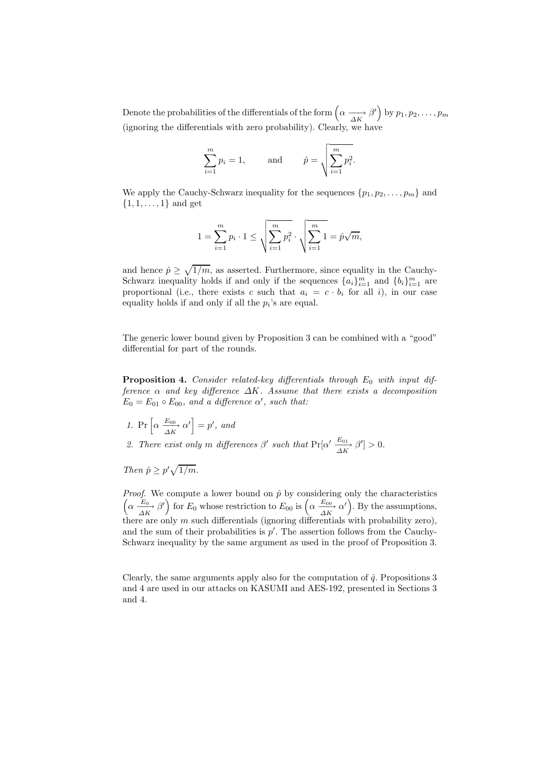Denote the probabilities of the differentials of the form <sup>α</sup> −−→∆K β ′ by p1, p2, . . . , p<sup>m</sup> (ignoring the differentials with zero probability). Clearly, we have

$$
\sum_{i=1}^{m} p_i = 1
$$
, and  $\hat{p} = \sqrt{\sum_{i=1}^{m} p_i^2}$ .

We apply the Cauchy-Schwarz inequality for the sequences  $\{p_1, p_2, \ldots, p_m\}$  and  $\{1, 1, \ldots, 1\}$  and get

$$
1 = \sum_{i=1}^{m} p_i \cdot 1 \le \sqrt{\sum_{i=1}^{m} p_i^2} \cdot \sqrt{\sum_{i=1}^{m} 1} = \hat{p}\sqrt{m},
$$

and hence  $\hat{p} \ge \sqrt{1/m}$ , as asserted. Furthermore, since equality in the Cauchy-Schwarz inequality holds if and only if the sequences  $\{a_i\}_{i=1}^m$  and  $\{b_i\}_{i=1}^m$  are proportional (i.e., there exists c such that  $a_i = c \cdot b_i$  for all i), in our case equality holds if and only if all the  $p_i$ 's are equal.

The generic lower bound given by Proposition 3 can be combined with a "good" differential for part of the rounds.

**Proposition 4.** Consider related-key differentials through  $E_0$  with input dif*ference* α *and key difference* ∆K*. Assume that there exists a decomposition*  $E_0 = E_{01} \circ E_{00}$ , and a difference  $\alpha'$ , such that:

*1.* Pr  $\left[\alpha \xrightarrow[\Delta K]{E_{00}} \alpha'\right] = p'$ , and

2. There exist only m differences  $\beta'$  such that  $Pr[\alpha' \frac{E_{01}}{\Delta K} \beta'] > 0$ .

*Then*  $\hat{p} \geq p' \sqrt{1/m}$ *.* 

*Proof.* We compute a lower bound on  $\hat{p}$  by considering only the characteristics  $\left(\alpha \frac{E_0}{\Delta K} \beta'\right)$  for  $E_0$  whose restriction to  $E_{00}$  is  $\left(\alpha \frac{E_{00}}{\Delta K} \alpha'\right)$ . By the assumptions, there are only  $m$  such differentials (ignoring differentials with probability zero), and the sum of their probabilities is  $p'$ . The assertion follows from the Cauchy-Schwarz inequality by the same argument as used in the proof of Proposition 3.

Clearly, the same arguments apply also for the computation of  $\hat{q}$ . Propositions 3 and 4 are used in our attacks on KASUMI and AES-192, presented in Sections 3 and 4.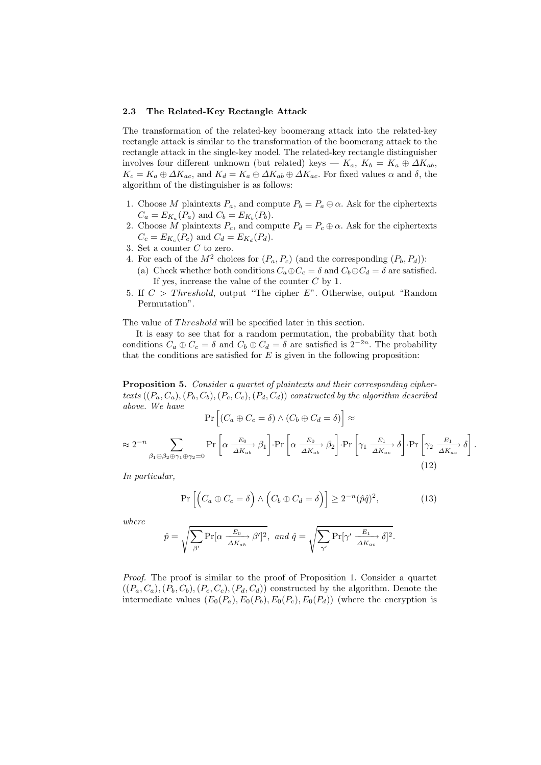#### 2.3 The Related-Key Rectangle Attack

The transformation of the related-key boomerang attack into the related-key rectangle attack is similar to the transformation of the boomerang attack to the rectangle attack in the single-key model. The related-key rectangle distinguisher involves four different unknown (but related) keys —  $K_a$ ,  $K_b = K_a \oplus \Delta K_{ab}$ ,  $K_c = K_a \oplus \Delta K_{ac}$ , and  $K_d = K_a \oplus \Delta K_{ab} \oplus \Delta K_{ac}$ . For fixed values  $\alpha$  and  $\delta$ , the algorithm of the distinguisher is as follows:

- 1. Choose M plaintexts  $P_a$ , and compute  $P_b = P_a \oplus \alpha$ . Ask for the ciphertexts  $C_a = E_{K_a}(P_a)$  and  $C_b = E_{K_b}(P_b)$ .
- 2. Choose M plaintexts  $P_c$ , and compute  $P_d = P_c \oplus \alpha$ . Ask for the ciphertexts  $C_c = E_{K_c}(P_c)$  and  $C_d = E_{K_d}(P_d)$ .
- 3. Set a counter C to zero.
- 4. For each of the  $M^2$  choices for  $(P_a, P_c)$  (and the corresponding  $(P_b, P_d)$ ):
	- (a) Check whether both conditions  $C_a \oplus C_c = \delta$  and  $C_b \oplus C_d = \delta$  are satisfied. If yes, increase the value of the counter  $C$  by 1.
- 5. If  $C > Threshold$ , output "The cipher E". Otherwise, output "Random Permutation".

The value of *Threshold* will be specified later in this section.

It is easy to see that for a random permutation, the probability that both conditions  $C_a \oplus C_c = \delta$  and  $C_b \oplus C_d = \delta$  are satisfied is  $2^{-2n}$ . The probability that the conditions are satisfied for  $E$  is given in the following proposition:

Proposition 5. *Consider a quartet of plaintexts and their corresponding ciphertexts*  $((P_a, C_a), (P_b, C_b), (P_c, C_c), (P_d, C_d))$  *constructed by the algorithm described above. We have*

$$
\Pr\left[\left(C_a \oplus C_c = \delta\right) \wedge \left(C_b \oplus C_d = \delta\right)\right] \approx
$$

 $\approx 2^{-n}$  $-n$   $\sum$  $\beta_1\oplus\beta_2\oplus\gamma_1\oplus\gamma_2=0$  $Pr\left[\alpha \xrightarrow[\Delta K_{ab}]{} \beta_1\right]$  $\cdot$ Pr  $\left[\alpha \xrightarrow[\Delta K_{ab}]{} \beta_2\right]$  $\cdot \Pr \left[ \gamma_1 \xrightarrow[\Delta K_{ac}]{E_1} \delta$  $\cdot \Pr \left[ \gamma_2 \xrightarrow[\Delta K_{ac}]{E_1} \delta$ 1  $(12)$ 

*In particular,*

$$
\Pr\left[\left(C_a \oplus C_c = \delta\right) \wedge \left(C_b \oplus C_d = \delta\right)\right] \ge 2^{-n}(\hat{p}\hat{q})^2,\tag{13}
$$

.

*where*

$$
\hat{p} = \sqrt{\sum_{\beta'} \Pr[\alpha \xrightarrow{\overline{E_0}} \beta']^2}, \text{ and } \hat{q} = \sqrt{\sum_{\gamma'} \Pr[\gamma' \xrightarrow{\overline{E_1}} \delta]^2}.
$$

*Proof.* The proof is similar to the proof of Proposition 1. Consider a quartet  $((P_a, C_a), (P_b, C_b), (P_c, C_c), (P_d, C_d))$  constructed by the algorithm. Denote the intermediate values  $(E_0(P_a), E_0(P_b), E_0(P_c), E_0(P_d))$  (where the encryption is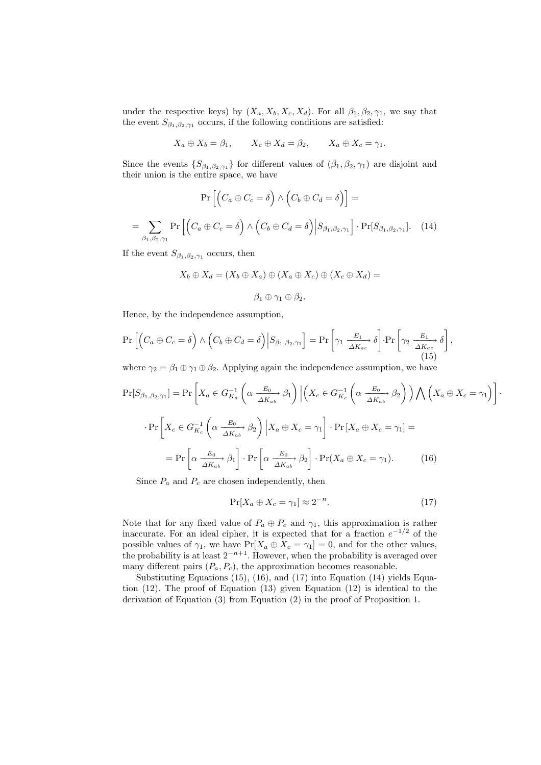under the respective keys) by  $(X_a, X_b, X_c, X_d)$ . For all  $\beta_1, \beta_2, \gamma_1$ , we say that the event  $S_{\beta_1,\beta_2,\gamma_1}$  occurs, if the following conditions are satisfied:

$$
X_a \oplus X_b = \beta_1, \qquad X_c \oplus X_d = \beta_2, \qquad X_a \oplus X_c = \gamma_1.
$$

Since the events  $\{S_{\beta_1,\beta_2,\gamma_1}\}$  for different values of  $(\beta_1,\beta_2,\gamma_1)$  are disjoint and their union is the entire space, we have

$$
\Pr\left[\left(C_a \oplus C_c = \delta\right) \wedge \left(C_b \oplus C_d = \delta\right)\right] =
$$
\n
$$
= \sum_{\beta_1, \beta_2, \gamma_1} \Pr\left[\left(C_a \oplus C_c = \delta\right) \wedge \left(C_b \oplus C_d = \delta\right) \middle| S_{\beta_1, \beta_2, \gamma_1} \right] \cdot \Pr[S_{\beta_1, \beta_2, \gamma_1}]. \quad (14)
$$

If the event  $S_{\beta_1,\beta_2,\gamma_1}$  occurs, then

$$
X_b \oplus X_d = (X_b \oplus X_a) \oplus (X_a \oplus X_c) \oplus (X_c \oplus X_d) =
$$
  

$$
\beta_1 \oplus \gamma_1 \oplus \beta_2.
$$

Hence, by the independence assumption,

$$
\Pr\left[\left(C_a \oplus C_c = \delta\right) \wedge \left(C_b \oplus C_d = \delta\right) \middle| S_{\beta_1, \beta_2, \gamma_1} \right] = \Pr\left[\gamma_1 \xrightarrow[\Delta K_{ac}]{E_1} \delta\right] \cdot \Pr\left[\gamma_2 \xrightarrow[\Delta K_{ac}]{E_1} \delta\right],\tag{15}
$$

where  $\gamma_2 = \beta_1 \oplus \gamma_1 \oplus \beta_2$ . Applying again the independence assumption, we have

$$
\Pr[S_{\beta_1, \beta_2, \gamma_1}] = \Pr\left[X_a \in G_{K_a}^{-1}\left(\alpha \frac{E_0}{\Delta K_{ab}} \beta_1\right) \Big| \left(X_c \in G_{K_c}^{-1}\left(\alpha \frac{E_0}{\Delta K_{ab}} \beta_2\right)\right) \bigwedge \left(X_a \oplus X_c = \gamma_1\right)\right].
$$

$$
\Pr\left[X_c \in G_{K_c}^{-1}\left(\alpha \frac{E_0}{\Delta K_{ab}} \beta_2\right) \Big| X_a \oplus X_c = \gamma_1\right] \cdot \Pr\left[X_a \oplus X_c = \gamma_1\right] =
$$

$$
= \Pr\left[\alpha \frac{E_0}{\Delta K_{ab}} \beta_1\right] \cdot \Pr\left[\alpha \frac{E_0}{\Delta K_{ab}} \beta_2\right] \cdot \Pr(X_a \oplus X_c = \gamma_1). \tag{16}
$$

Since  $P_a$  and  $P_c$  are chosen independently, then

$$
\Pr[X_a \oplus X_c = \gamma_1] \approx 2^{-n}.\tag{17}
$$

Note that for any fixed value of  $P_a \oplus P_c$  and  $\gamma_1$ , this approximation is rather inaccurate. For an ideal cipher, it is expected that for a fraction  $e^{-1/2}$  of the possible values of  $\gamma_1$ , we have  $Pr[X_a \oplus X_c = \gamma_1] = 0$ , and for the other values, the probability is at least  $2^{-n+1}$ . However, when the probability is averaged over many different pairs  $(P_a, P_c)$ , the approximation becomes reasonable.

Substituting Equations (15), (16), and (17) into Equation (14) yields Equation  $(12)$ . The proof of Equation  $(13)$  given Equation  $(12)$  is identical to the derivation of Equation (3) from Equation (2) in the proof of Proposition 1.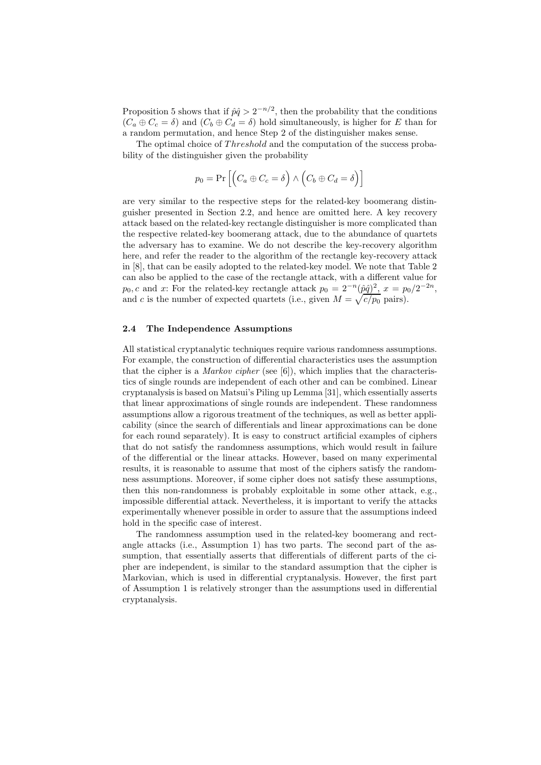Proposition 5 shows that if  $\hat{p}\hat{q} > 2^{-n/2}$ , then the probability that the conditions  $(C_a \oplus C_c = \delta)$  and  $(C_b \oplus C_d = \delta)$  hold simultaneously, is higher for E than for a random permutation, and hence Step 2 of the distinguisher makes sense.

The optimal choice of Threshold and the computation of the success probability of the distinguisher given the probability

$$
p_0 = \Pr\left[ \left( C_a \oplus C_c = \delta \right) \wedge \left( C_b \oplus C_d = \delta \right) \right]
$$

are very similar to the respective steps for the related-key boomerang distinguisher presented in Section 2.2, and hence are omitted here. A key recovery attack based on the related-key rectangle distinguisher is more complicated than the respective related-key boomerang attack, due to the abundance of quartets the adversary has to examine. We do not describe the key-recovery algorithm here, and refer the reader to the algorithm of the rectangle key-recovery attack in [8], that can be easily adopted to the related-key model. We note that Table 2 can also be applied to the case of the rectangle attack, with a different value for  $p_0, c$  and x: For the related-key rectangle attack  $p_0 = 2^{-n}(\hat{p}\hat{q})^2$ ,  $x = p_0/2^{-2n}$ , and c is the number of expected quartets (i.e., given  $M = \sqrt{c/p_0}$  pairs).

#### 2.4 The Independence Assumptions

All statistical cryptanalytic techniques require various randomness assumptions. For example, the construction of differential characteristics uses the assumption that the cipher is a *Markov cipher* (see [6]), which implies that the characteristics of single rounds are independent of each other and can be combined. Linear cryptanalysis is based on Matsui's Piling up Lemma [31], which essentially asserts that linear approximations of single rounds are independent. These randomness assumptions allow a rigorous treatment of the techniques, as well as better applicability (since the search of differentials and linear approximations can be done for each round separately). It is easy to construct artificial examples of ciphers that do not satisfy the randomness assumptions, which would result in failure of the differential or the linear attacks. However, based on many experimental results, it is reasonable to assume that most of the ciphers satisfy the randomness assumptions. Moreover, if some cipher does not satisfy these assumptions, then this non-randomness is probably exploitable in some other attack, e.g., impossible differential attack. Nevertheless, it is important to verify the attacks experimentally whenever possible in order to assure that the assumptions indeed hold in the specific case of interest.

The randomness assumption used in the related-key boomerang and rectangle attacks (i.e., Assumption 1) has two parts. The second part of the assumption, that essentially asserts that differentials of different parts of the cipher are independent, is similar to the standard assumption that the cipher is Markovian, which is used in differential cryptanalysis. However, the first part of Assumption 1 is relatively stronger than the assumptions used in differential cryptanalysis.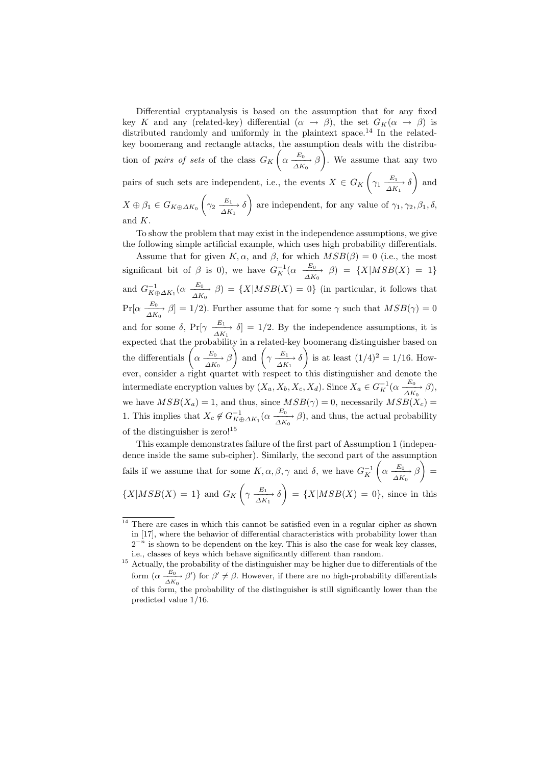Differential cryptanalysis is based on the assumption that for any fixed key K and any (related-key) differential  $(\alpha \rightarrow \beta)$ , the set  $G_K(\alpha \rightarrow \beta)$  is distributed randomly and uniformly in the plaintext space.<sup>14</sup> In the relatedkey boomerang and rectangle attacks, the assumption deals with the distribution of *pairs of sets* of the class  $G_K$  $\sqrt{ }$  $\alpha \xrightarrow[\Delta K_0]{E_0} \beta$ ) . We assume that any two pairs of such sets are independent, i.e., the events  $X \in G_K$  $\sqrt{ }$  $\gamma_1 \xrightarrow[\Delta K_1]{E_1} \delta$  $\overline{ }$ and  $X \oplus \beta_1 \in G_{K \oplus \Delta K_0}$  $\sqrt{ }$  $\gamma_2 \xrightarrow[\Delta K_1]{E_1} \delta$  $\overline{\phantom{0}}$ are independent, for any value of  $\gamma_1, \gamma_2, \beta_1, \delta$ , and K.

To show the problem that may exist in the independence assumptions, we give the following simple artificial example, which uses high probability differentials.

Assume that for given K,  $\alpha$ , and  $\beta$ , for which  $MSB(\beta) = 0$  (i.e., the most significant bit of  $\beta$  is 0), we have  $G_K^{-1}(\alpha \frac{E_0}{\Delta K_0} \beta) = \{X | MSB(X) = 1\}$ and  $G_{K\oplus \Delta K_1}^{-1}(\alpha \xrightarrow[\Delta K_0]{E_0} \beta) = \{X | MSB(X) = 0\}$  (in particular, it follows that  $Pr[\alpha \xrightarrow[\Delta K_0]{E_0} \beta] = 1/2$ . Further assume that for some  $\gamma$  such that  $MSB(\gamma) = 0$ and for some  $\delta$ , Pr[ $\gamma \frac{E_1}{\Delta K_1}$   $\delta$ ] = 1/2. By the independence assumptions, it is expected that the probability in a related-key boomerang distinguisher based on the differentials  $\left(\alpha \xrightarrow[{\Delta K_0}] {\Delta K_0}\right)$ ) and  $\left(\gamma \frac{E_1}{\Delta K_1} \delta\right)$ ) is at least  $(1/4)^2 = 1/16$ . However, consider a right quartet with respect to this distinguisher and denote the intermediate encryption values by  $(X_a, X_b, X_c, X_d)$ . Since  $X_a \in G_K^{-1}(\alpha \frac{E_0}{\Delta K_0}, \beta)$ , we have  $MSB(X_a) = 1$ , and thus, since  $MSB(\gamma) = 0$ , necessarily  $MSB(X_c) = 0$ 1. This implies that  $X_c \notin G_{K \oplus \Delta K_1}^{-1}(\alpha \frac{E_0}{\Delta K_0} \beta)$ , and thus, the actual probability of the distinguisher is zero!<sup>15</sup>

This example demonstrates failure of the first part of Assumption 1 (independence inside the same sub-cipher). Similarly, the second part of the assumption fails if we assume that for some  $K, \alpha, \beta, \gamma$  and  $\delta$ , we have  $G_K^{-1}$  $\sqrt{ }$  $\alpha \xrightarrow[\Delta K_0]{E_0} \beta$  $\lambda$ =  $\{X|MSB(X) = 1\}$  and  $G_K$  $\sqrt{ }$  $\gamma \xrightarrow[\Delta K_1]{E_1} \delta$  $\setminus$  $= \{X | MSB(X) = 0\}$ , since in this

<sup>&</sup>lt;sup>14</sup> There are cases in which this cannot be satisfied even in a regular cipher as shown in [17], where the behavior of differential characteristics with probability lower than  $2^{-n}$  is shown to be dependent on the key. This is also the case for weak key classes, i.e., classes of keys which behave significantly different than random.

 $^{\rm 15}$  Actually, the probability of the distinguisher may be higher due to differentials of the form  $(\alpha \frac{E_0}{\Delta K_0} \beta')$  for  $\beta' \neq \beta$ . However, if there are no high-probability differentials of this form, the probability of the distinguisher is still significantly lower than the predicted value 1/16.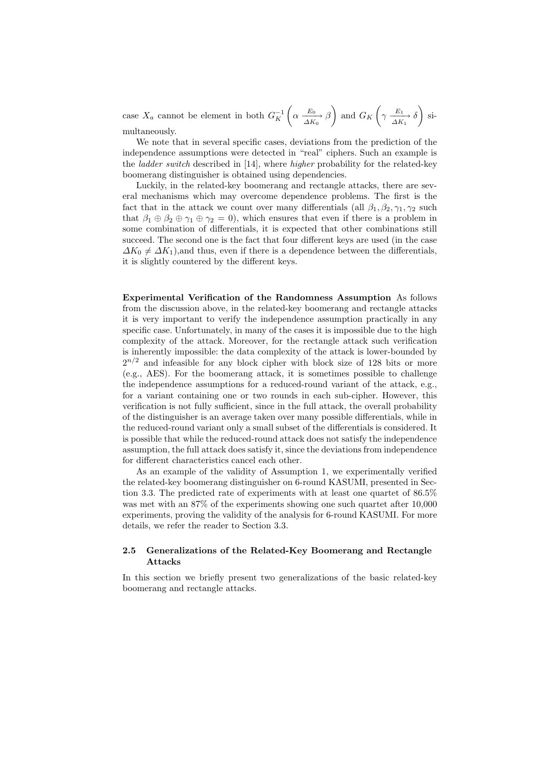case  $X_a$  cannot be element in both  $G_K^{-1}$  $\sqrt{ }$  $\alpha \xrightarrow[\Delta K_0]{E_0} \beta$  $\setminus$ and  $G_K$  $\sqrt{ }$  $\gamma \xrightarrow[\Delta K_1]{E_1} \delta$  $\setminus$ simultaneously.

We note that in several specific cases, deviations from the prediction of the independence assumptions were detected in "real" ciphers. Such an example is the *ladder switch* described in [14], where *higher* probability for the related-key boomerang distinguisher is obtained using dependencies.

Luckily, in the related-key boomerang and rectangle attacks, there are several mechanisms which may overcome dependence problems. The first is the fact that in the attack we count over many differentials (all  $\beta_1, \beta_2, \gamma_1, \gamma_2$  such that  $\beta_1 \oplus \beta_2 \oplus \gamma_1 \oplus \gamma_2 = 0$ , which ensures that even if there is a problem in some combination of differentials, it is expected that other combinations still succeed. The second one is the fact that four different keys are used (in the case  $\Delta K_0 \neq \Delta K_1$ ), and thus, even if there is a dependence between the differentials, it is slightly countered by the different keys.

Experimental Verification of the Randomness Assumption As follows from the discussion above, in the related-key boomerang and rectangle attacks it is very important to verify the independence assumption practically in any specific case. Unfortunately, in many of the cases it is impossible due to the high complexity of the attack. Moreover, for the rectangle attack such verification is inherently impossible: the data complexity of the attack is lower-bounded by  $2^{n/2}$  and infeasible for any block cipher with block size of 128 bits or more (e.g., AES). For the boomerang attack, it is sometimes possible to challenge the independence assumptions for a reduced-round variant of the attack, e.g., for a variant containing one or two rounds in each sub-cipher. However, this verification is not fully sufficient, since in the full attack, the overall probability of the distinguisher is an average taken over many possible differentials, while in the reduced-round variant only a small subset of the differentials is considered. It is possible that while the reduced-round attack does not satisfy the independence assumption, the full attack does satisfy it, since the deviations from independence for different characteristics cancel each other.

As an example of the validity of Assumption 1, we experimentally verified the related-key boomerang distinguisher on 6-round KASUMI, presented in Section 3.3. The predicted rate of experiments with at least one quartet of 86.5% was met with an 87% of the experiments showing one such quartet after 10,000 experiments, proving the validity of the analysis for 6-round KASUMI. For more details, we refer the reader to Section 3.3.

# 2.5 Generalizations of the Related-Key Boomerang and Rectangle Attacks

In this section we briefly present two generalizations of the basic related-key boomerang and rectangle attacks.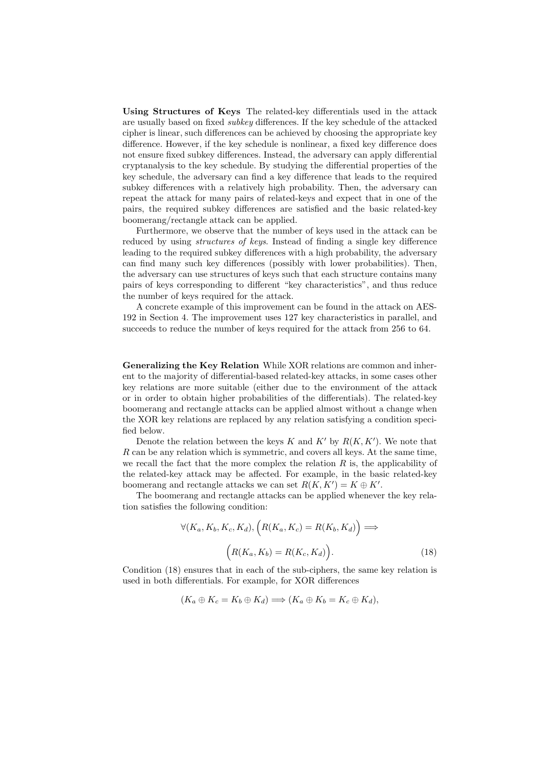Using Structures of Keys The related-key differentials used in the attack are usually based on fixed *subkey* differences. If the key schedule of the attacked cipher is linear, such differences can be achieved by choosing the appropriate key difference. However, if the key schedule is nonlinear, a fixed key difference does not ensure fixed subkey differences. Instead, the adversary can apply differential cryptanalysis to the key schedule. By studying the differential properties of the key schedule, the adversary can find a key difference that leads to the required subkey differences with a relatively high probability. Then, the adversary can repeat the attack for many pairs of related-keys and expect that in one of the pairs, the required subkey differences are satisfied and the basic related-key boomerang/rectangle attack can be applied.

Furthermore, we observe that the number of keys used in the attack can be reduced by using *structures of keys*. Instead of finding a single key difference leading to the required subkey differences with a high probability, the adversary can find many such key differences (possibly with lower probabilities). Then, the adversary can use structures of keys such that each structure contains many pairs of keys corresponding to different "key characteristics", and thus reduce the number of keys required for the attack.

A concrete example of this improvement can be found in the attack on AES-192 in Section 4. The improvement uses 127 key characteristics in parallel, and succeeds to reduce the number of keys required for the attack from 256 to 64.

Generalizing the Key Relation While XOR relations are common and inherent to the majority of differential-based related-key attacks, in some cases other key relations are more suitable (either due to the environment of the attack or in order to obtain higher probabilities of the differentials). The related-key boomerang and rectangle attacks can be applied almost without a change when the XOR key relations are replaced by any relation satisfying a condition specified below.

Denote the relation between the keys  $K$  and  $K'$  by  $R(K, K')$ . We note that R can be any relation which is symmetric, and covers all keys. At the same time, we recall the fact that the more complex the relation  $R$  is, the applicability of the related-key attack may be affected. For example, in the basic related-key boomerang and rectangle attacks we can set  $R(K, K') = K \oplus K'$ .

The boomerang and rectangle attacks can be applied whenever the key relation satisfies the following condition:

$$
\forall (K_a, K_b, K_c, K_d), \left( R(K_a, K_c) = R(K_b, K_d) \right) \Longrightarrow
$$

$$
\left( R(K_a, K_b) = R(K_c, K_d) \right). \tag{18}
$$

Condition (18) ensures that in each of the sub-ciphers, the same key relation is used in both differentials. For example, for XOR differences

$$
(K_a \oplus K_c = K_b \oplus K_d) \Longrightarrow (K_a \oplus K_b = K_c \oplus K_d),
$$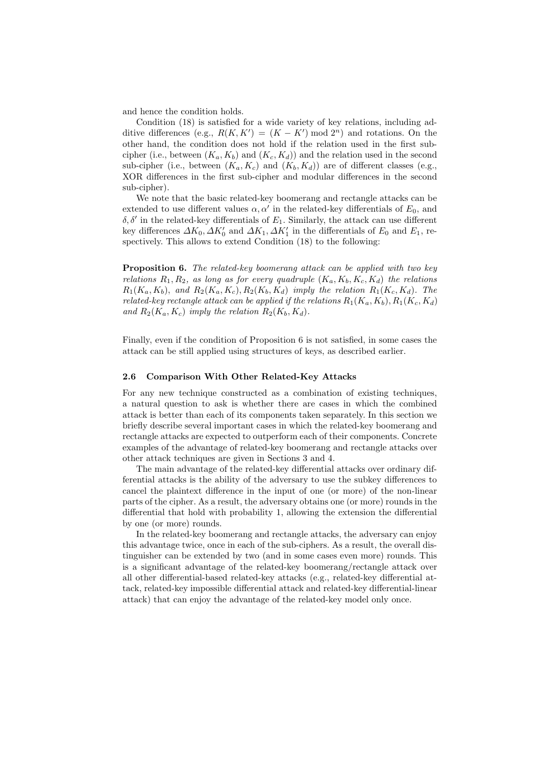and hence the condition holds.

Condition (18) is satisfied for a wide variety of key relations, including additive differences (e.g.,  $R(K, K') = (K - K') \mod 2^n$ ) and rotations. On the other hand, the condition does not hold if the relation used in the first subcipher (i.e., between  $(K_a, K_b)$  and  $(K_c, K_d)$ ) and the relation used in the second sub-cipher (i.e., between  $(K_a, K_c)$  and  $(K_b, K_d)$ ) are of different classes (e.g., XOR differences in the first sub-cipher and modular differences in the second sub-cipher).

We note that the basic related-key boomerang and rectangle attacks can be extended to use different values  $\alpha, \alpha'$  in the related-key differentials of  $E_0$ , and  $\delta, \delta'$  in the related-key differentials of  $E_1$ . Similarly, the attack can use different key differences  $\Delta K_0$ ,  $\Delta K'_0$  and  $\Delta K_1$ ,  $\Delta K'_1$  in the differentials of  $E_0$  and  $E_1$ , respectively. This allows to extend Condition (18) to the following:

Proposition 6. *The related-key boomerang attack can be applied with two key relations*  $R_1, R_2$ *, as long as for every quadruple*  $(K_a, K_b, K_c, K_d)$  *the relations*  $R_1(K_a, K_b)$ , and  $R_2(K_a, K_c)$ ,  $R_2(K_b, K_d)$  *imply the relation*  $R_1(K_c, K_d)$ *. The related-key rectangle attack can be applied if the relations*  $R_1(K_a, K_b)$ ,  $R_1(K_c, K_d)$ and  $R_2(K_a, K_c)$  *imply the relation*  $R_2(K_b, K_d)$ *.* 

Finally, even if the condition of Proposition 6 is not satisfied, in some cases the attack can be still applied using structures of keys, as described earlier.

#### 2.6 Comparison With Other Related-Key Attacks

For any new technique constructed as a combination of existing techniques, a natural question to ask is whether there are cases in which the combined attack is better than each of its components taken separately. In this section we briefly describe several important cases in which the related-key boomerang and rectangle attacks are expected to outperform each of their components. Concrete examples of the advantage of related-key boomerang and rectangle attacks over other attack techniques are given in Sections 3 and 4.

The main advantage of the related-key differential attacks over ordinary differential attacks is the ability of the adversary to use the subkey differences to cancel the plaintext difference in the input of one (or more) of the non-linear parts of the cipher. As a result, the adversary obtains one (or more) rounds in the differential that hold with probability 1, allowing the extension the differential by one (or more) rounds.

In the related-key boomerang and rectangle attacks, the adversary can enjoy this advantage twice, once in each of the sub-ciphers. As a result, the overall distinguisher can be extended by two (and in some cases even more) rounds. This is a significant advantage of the related-key boomerang/rectangle attack over all other differential-based related-key attacks (e.g., related-key differential attack, related-key impossible differential attack and related-key differential-linear attack) that can enjoy the advantage of the related-key model only once.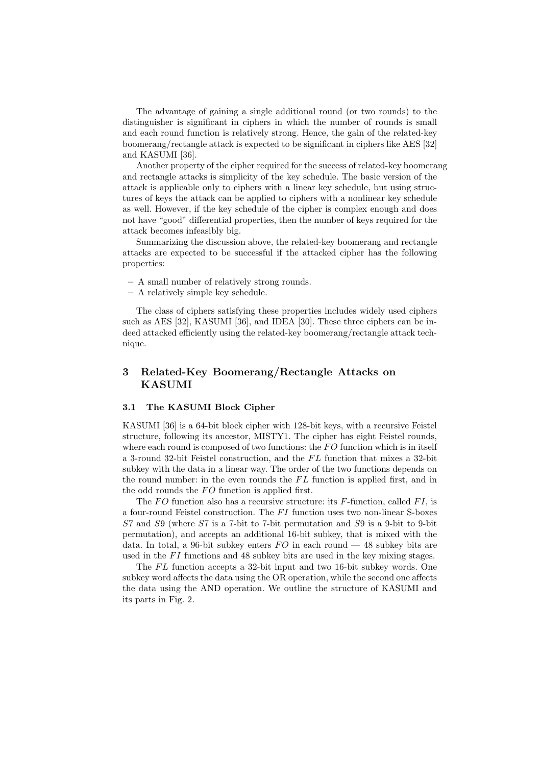The advantage of gaining a single additional round (or two rounds) to the distinguisher is significant in ciphers in which the number of rounds is small and each round function is relatively strong. Hence, the gain of the related-key boomerang/rectangle attack is expected to be significant in ciphers like AES [32] and KASUMI [36].

Another property of the cipher required for the success of related-key boomerang and rectangle attacks is simplicity of the key schedule. The basic version of the attack is applicable only to ciphers with a linear key schedule, but using structures of keys the attack can be applied to ciphers with a nonlinear key schedule as well. However, if the key schedule of the cipher is complex enough and does not have "good" differential properties, then the number of keys required for the attack becomes infeasibly big.

Summarizing the discussion above, the related-key boomerang and rectangle attacks are expected to be successful if the attacked cipher has the following properties:

- A small number of relatively strong rounds.
- A relatively simple key schedule.

The class of ciphers satisfying these properties includes widely used ciphers such as AES [32], KASUMI [36], and IDEA [30]. These three ciphers can be indeed attacked efficiently using the related-key boomerang/rectangle attack technique.

# 3 Related-Key Boomerang/Rectangle Attacks on KASUMI

#### 3.1 The KASUMI Block Cipher

KASUMI [36] is a 64-bit block cipher with 128-bit keys, with a recursive Feistel structure, following its ancestor, MISTY1. The cipher has eight Feistel rounds, where each round is composed of two functions: the  $FO$  function which is in itself a 3-round 32-bit Feistel construction, and the  $FL$  function that mixes a 32-bit subkey with the data in a linear way. The order of the two functions depends on the round number: in the even rounds the  $FL$  function is applied first, and in the odd rounds the  $FO$  function is applied first.

The  $FO$  function also has a recursive structure: its  $F\text{-function}$ , called  $FI$ , is a four-round Feistel construction. The  $FI$  function uses two non-linear S-boxes S7 and S9 (where S7 is a 7-bit to 7-bit permutation and S9 is a 9-bit to 9-bit permutation), and accepts an additional 16-bit subkey, that is mixed with the data. In total, a 96-bit subkey enters  $FO$  in each round  $-48$  subkey bits are used in the  $FI$  functions and 48 subkey bits are used in the key mixing stages.

The  $FL$  function accepts a 32-bit input and two 16-bit subkey words. One subkey word affects the data using the OR operation, while the second one affects the data using the AND operation. We outline the structure of KASUMI and its parts in Fig. 2.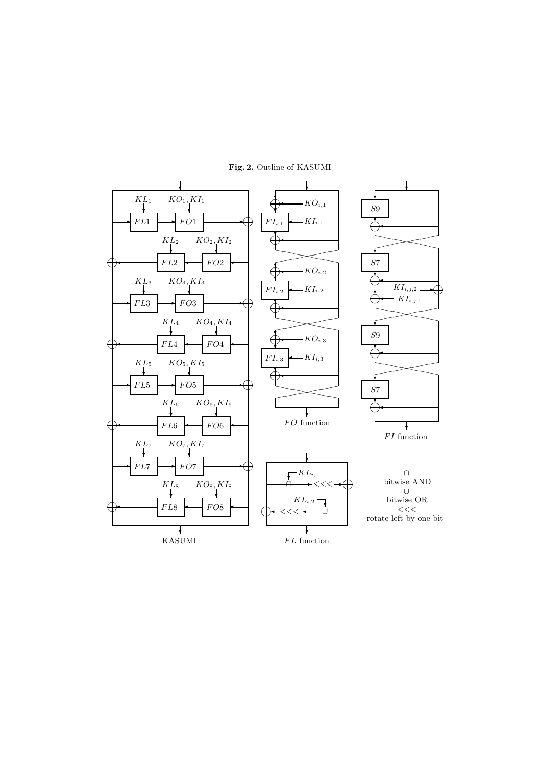

Fig. 2. Outline of KASUMI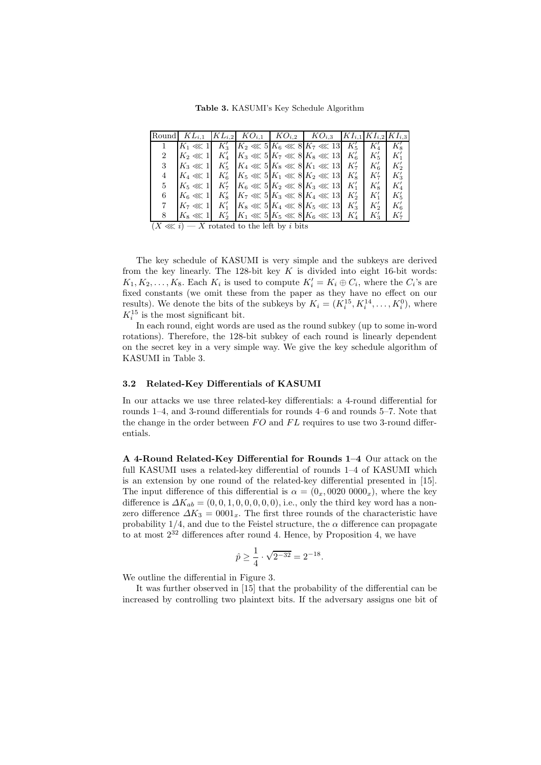Table 3. KASUMI's Key Schedule Algorithm

|    |                        |  | Round $KL_{i,1}$ $ KL_{i,2} $ $KO_{i,1}$ $ KO_{i,2} $ $KO_{i,3}$ $ KI_{i,1} KI_{i,2} KI_{i,3}$ |                    |          |
|----|------------------------|--|------------------------------------------------------------------------------------------------|--------------------|----------|
|    |                        |  | $ K_1 \lll 1  K'_3  K_2 \lll 5  K_6 \lll 8 K_7 \lll 13  K'_5$                                  |                    |          |
|    | $K_2 \lll 1$ $K'_4$    |  | $K_3 \ll 5K_7 \ll 8K_8 \ll 13K_6$                                                              | $K'_{\varepsilon}$ | $K_1'$   |
| 3  |                        |  | $ K_3 \lll 1  K'_5  K_4 \lll 5  K_8 \lll 8 K_1 \lll 13  K'_7$                                  | $K'_6$             | K,       |
| 4  |                        |  | $K_4 \lll 1 \mid K'_6 \mid K_5 \lll 5 \mid K_1 \lll 8 \mid K_2 \lll 13 \mid K'_8$              | $K'_7$             | $K_2'$   |
| 5. | $K_5 \lll 1 \mid K_7'$ |  | $ K_6 \ll 5 K_2 \ll 8 K_3 \ll 13 K_1$                                                          | $K'_{8}$           | $K_4'$   |
| 6  |                        |  | $K_6 \lll 1 \mid K'_8 \mid K_7 \lll 5 \mid K_3 \lll 8 \mid K_4 \lll 13 \mid K'_2$              | $K_1'$             | $K'_{5}$ |
|    | $K_7 \lll 1$ $K'_1$    |  | $ K_8 \ll 5 K_4 \ll 8 K_5 \ll 13 K_3$                                                          | $K_2'$             | $K_6'$   |
|    | $K_8 \lll 1 \, K_2'$   |  | $ K_1 \ll 5 K_5 \ll 8 K_6 \ll 13 K'_4$                                                         | $K_3'$             | K',      |

 $(X \ll i)$  — X rotated to the left by i bits

The key schedule of KASUMI is very simple and the subkeys are derived from the key linearly. The 128-bit key  $K$  is divided into eight 16-bit words:  $K_1, K_2, \ldots, K_8$ . Each  $K_i$  is used to compute  $K'_i = K_i \oplus C_i$ , where the  $C_i$ 's are fixed constants (we omit these from the paper as they have no effect on our results). We denote the bits of the subkeys by  $K_i = (K_i^{15}, K_i^{14}, \dots, K_i^0)$ , where  $K_i^{15}$  is the most significant bit.

In each round, eight words are used as the round subkey (up to some in-word rotations). Therefore, the 128-bit subkey of each round is linearly dependent on the secret key in a very simple way. We give the key schedule algorithm of KASUMI in Table 3.

#### 3.2 Related-Key Differentials of KASUMI

In our attacks we use three related-key differentials: a 4-round differential for rounds 1–4, and 3-round differentials for rounds 4–6 and rounds 5–7. Note that the change in the order between  $FO$  and  $FL$  requires to use two 3-round differentials.

A 4-Round Related-Key Differential for Rounds 1–4 Our attack on the full KASUMI uses a related-key differential of rounds 1–4 of KASUMI which is an extension by one round of the related-key differential presented in [15]. The input difference of this differential is  $\alpha = (0_x, 0020, 0000_x)$ , where the key difference is  $\Delta K_{ab} = (0, 0, 1, 0, 0, 0, 0, 0)$ , i.e., only the third key word has a nonzero difference  $\Delta K_3 = 0001_x$ . The first three rounds of the characteristic have probability  $1/4$ , and due to the Feistel structure, the  $\alpha$  difference can propagate to at most  $2^{32}$  differences after round 4. Hence, by Proposition 4, we have

$$
\hat{p} \ge \frac{1}{4} \cdot \sqrt{2^{-32}} = 2^{-18}.
$$

We outline the differential in Figure 3.

It was further observed in [15] that the probability of the differential can be increased by controlling two plaintext bits. If the adversary assigns one bit of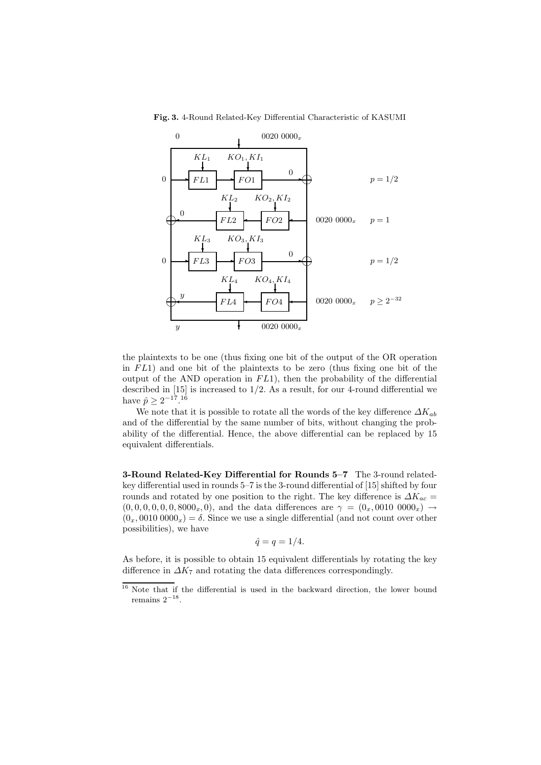

Fig. 3. 4-Round Related-Key Differential Characteristic of KASUMI

the plaintexts to be one (thus fixing one bit of the output of the OR operation in  $FL1$ ) and one bit of the plaintexts to be zero (thus fixing one bit of the output of the AND operation in  $FL1$ ), then the probability of the differential described in  $[15]$  is increased to  $1/2$ . As a result, for our 4-round differential we have  $\hat{p} \ge 2^{-17}$ .<sup>16</sup>

We note that it is possible to rotate all the words of the key difference  $\Delta K_{ab}$ and of the differential by the same number of bits, without changing the probability of the differential. Hence, the above differential can be replaced by 15 equivalent differentials.

3-Round Related-Key Differential for Rounds 5–7 The 3-round relatedkey differential used in rounds 5–7 is the 3-round differential of [15] shifted by four rounds and rotated by one position to the right. The key difference is  $\Delta K_{ac}$  =  $(0, 0, 0, 0, 0, 0, 8000<sub>x</sub>, 0)$ , and the data differences are  $\gamma = (0_x, 0010, 0000<sub>x</sub>) \rightarrow$  $(0_x, 0010\,0000_x) = \delta$ . Since we use a single differential (and not count over other possibilities), we have

$$
\hat{q} = q = 1/4.
$$

As before, it is possible to obtain 15 equivalent differentials by rotating the key difference in  $\Delta K_7$  and rotating the data differences correspondingly.

<sup>&</sup>lt;sup>16</sup> Note that if the differential is used in the backward direction, the lower bound remains  $2^{-18}$ .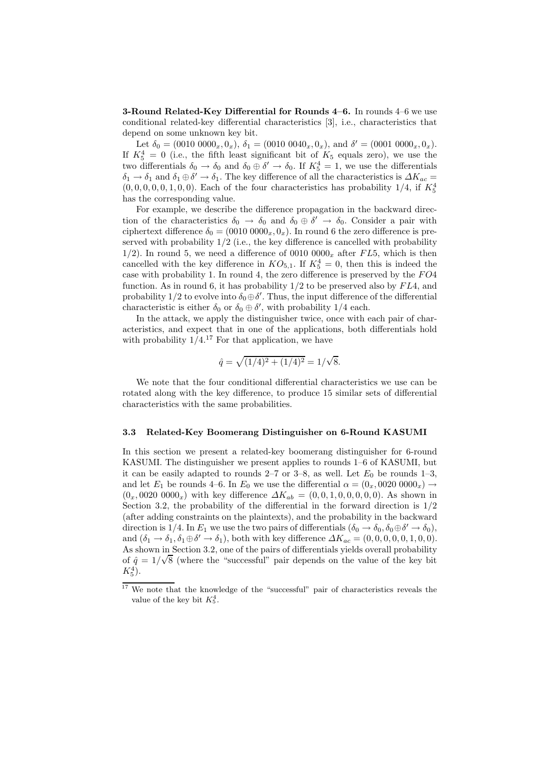**3-Round Related-Key Differential for Rounds 4–6.** In rounds  $4-6$  we use conditional related-key differential characteristics [3], i.e., characteristics that depend on some unknown key bit.

Let  $\delta_0 = (0010\ 0000_x, 0_x)$ ,  $\delta_1 = (0010\ 0040_x, 0_x)$ , and  $\delta' = (0001\ 0000_x, 0_x)$ . If  $K_5^4 = 0$  (i.e., the fifth least significant bit of  $K_5$  equals zero), we use the two differentials  $\delta_0 \to \delta_0$  and  $\delta_0 \oplus \delta' \to \delta_0$ . If  $K_5^4 = 1$ , we use the differentials  $\delta_1 \to \delta_1$  and  $\delta_1 \oplus \delta' \to \delta_1$ . The key difference of all the characteristics is  $\Delta K_{ac} =$  $(0, 0, 0, 0, 0, 1, 0, 0)$ . Each of the four characteristics has probability  $1/4$ , if  $K_5^4$ has the corresponding value.

For example, we describe the difference propagation in the backward direction of the characteristics  $\delta_0 \to \delta_0$  and  $\delta_0 \oplus \delta' \to \delta_0$ . Consider a pair with ciphertext difference  $\delta_0 = (0010\ 0000_x, 0_x)$ . In round 6 the zero difference is preserved with probability  $1/2$  (i.e., the key difference is cancelled with probability 1/2). In round 5, we need a difference of 0010  $0000<sub>x</sub>$  after FL5, which is then cancelled with the key difference in  $KO_{5,1}$ . If  $K_5^4 = 0$ , then this is indeed the case with probability 1. In round 4, the zero difference is preserved by the  $FO4$ function. As in round 6, it has probability  $1/2$  to be preserved also by  $FL4$ , and probability 1/2 to evolve into  $\delta_0 \oplus \delta'$ . Thus, the input difference of the differential characteristic is either  $\delta_0$  or  $\delta_0 \oplus \delta'$ , with probability 1/4 each.

In the attack, we apply the distinguisher twice, once with each pair of characteristics, and expect that in one of the applications, both differentials hold with probability  $1/4$ .<sup>17</sup> For that application, we have

$$
\hat{q} = \sqrt{(1/4)^2 + (1/4)^2} = 1/\sqrt{8}.
$$

We note that the four conditional differential characteristics we use can be rotated along with the key difference, to produce 15 similar sets of differential characteristics with the same probabilities.

#### 3.3 Related-Key Boomerang Distinguisher on 6-Round KASUMI

In this section we present a related-key boomerang distinguisher for 6-round KASUMI. The distinguisher we present applies to rounds 1–6 of KASUMI, but it can be easily adapted to rounds  $2-7$  or  $3-8$ , as well. Let  $E_0$  be rounds  $1-3$ , and let  $E_1$  be rounds 4–6. In  $E_0$  we use the differential  $\alpha = (0_x, 0020, 0000_x) \rightarrow$  $(0_x, 0020\ 0000_x)$  with key difference  $\Delta K_{ab} = (0, 0, 1, 0, 0, 0, 0, 0)$ . As shown in Section 3.2, the probability of the differential in the forward direction is  $1/2$ (after adding constraints on the plaintexts), and the probability in the backward direction is 1/4. In  $E_1$  we use the two pairs of differentials  $(\delta_0 \to \delta_0, \delta_0 \oplus \delta' \to \delta_0)$ , and  $(\delta_1 \to \delta_1, \delta_1 \oplus \delta' \to \delta_1)$ , both with key difference  $\Delta K_{ac} = (0, 0, 0, 0, 0, 1, 0, 0)$ . As shown in Section 3.2, one of the pairs of differentials yields overall probability of  $\hat{q} = 1/\sqrt{8}$  (where the "successful" pair depends on the value of the key bit  $K_5^4$ ).

<sup>&</sup>lt;sup>17</sup> We note that the knowledge of the "successful" pair of characteristics reveals the value of the key bit  $K_5^4$ .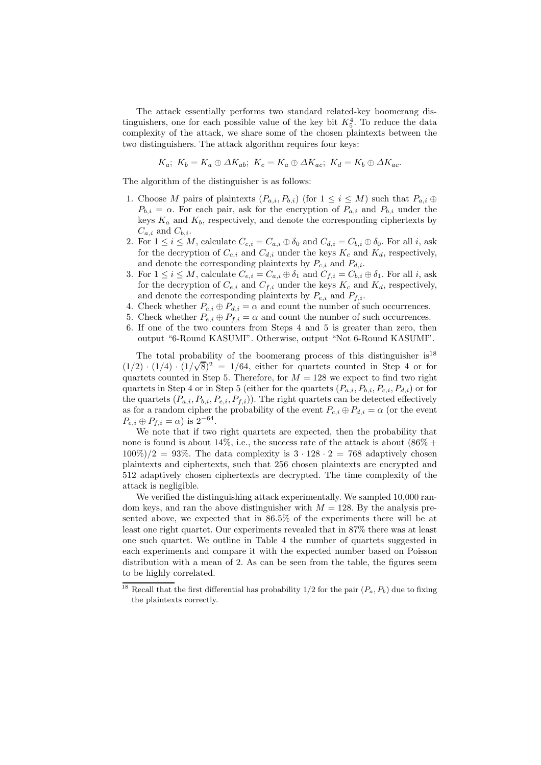The attack essentially performs two standard related-key boomerang distinguishers, one for each possible value of the key bit  $K_5^4$ . To reduce the data complexity of the attack, we share some of the chosen plaintexts between the two distinguishers. The attack algorithm requires four keys:

$$
K_a; K_b = K_a \oplus \Delta K_{ab}; K_c = K_a \oplus \Delta K_{ac}; K_d = K_b \oplus \Delta K_{ac}.
$$

The algorithm of the distinguisher is as follows:

- 1. Choose M pairs of plaintexts  $(P_{a,i}, P_{b,i})$  (for  $1 \leq i \leq M$ ) such that  $P_{a,i} \oplus$  $P_{b,i} = \alpha$ . For each pair, ask for the encryption of  $P_{a,i}$  and  $P_{b,i}$  under the keys  $K_a$  and  $K_b$ , respectively, and denote the corresponding ciphertexts by  $C_{a,i}$  and  $C_{b,i}$ .
- 2. For  $1 \leq i \leq M$ , calculate  $C_{c,i} = C_{a,i} \oplus \delta_0$  and  $C_{d,i} = C_{b,i} \oplus \delta_0$ . For all i, ask for the decryption of  $C_{c,i}$  and  $C_{d,i}$  under the keys  $K_c$  and  $K_d$ , respectively, and denote the corresponding plaintexts by  $P_{c,i}$  and  $P_{d,i}$ .
- 3. For  $1 \leq i \leq M$ , calculate  $C_{e,i} = C_{a,i} \oplus \delta_1$  and  $C_{f,i} = C_{b,i} \oplus \delta_1$ . For all i, ask for the decryption of  $C_{e,i}$  and  $C_{f,i}$  under the keys  $K_c$  and  $K_d$ , respectively, and denote the corresponding plaintexts by  $P_{e,i}$  and  $P_{f,i}$ .
- 4. Check whether  $P_{c,i} \oplus P_{d,i} = \alpha$  and count the number of such occurrences.
- 5. Check whether  $P_{e,i} \oplus P_{f,i} = \alpha$  and count the number of such occurrences.
- 6. If one of the two counters from Steps 4 and 5 is greater than zero, then output "6-Round KASUMI". Otherwise, output "Not 6-Round KASUMI".

The total probability of the boomerang process of this distinguisher  $is^{18}$  $(1/2) \cdot (1/4) \cdot (1/\sqrt{8})^2 = 1/64$ , either for quartets counted in Step 4 or for quartets counted in Step 5. Therefore, for  $M = 128$  we expect to find two right quartets in Step 4 or in Step 5 (either for the quartets  $(P_{a,i}, P_{b,i}, P_{c,i}, P_{d,i})$  or for the quartets  $(P_{a,i}, P_{b,i}, P_{e,i}, P_{f,i})$ . The right quartets can be detected effectively as for a random cipher the probability of the event  $P_{c,i} \oplus P_{d,i} = \alpha$  (or the event  $P_{e,i} \oplus P_{f,i} = \alpha$ ) is  $2^{-64}$ .

We note that if two right quartets are expected, then the probability that none is found is about  $14\%$ , i.e., the success rate of the attack is about  $(86\% +$  $100\%$  /2 = 93\%. The data complexity is  $3 \cdot 128 \cdot 2 = 768$  adaptively chosen plaintexts and ciphertexts, such that 256 chosen plaintexts are encrypted and 512 adaptively chosen ciphertexts are decrypted. The time complexity of the attack is negligible.

We verified the distinguishing attack experimentally. We sampled 10,000 random keys, and ran the above distinguisher with  $M = 128$ . By the analysis presented above, we expected that in 86.5% of the experiments there will be at least one right quartet. Our experiments revealed that in 87% there was at least one such quartet. We outline in Table 4 the number of quartets suggested in each experiments and compare it with the expected number based on Poisson distribution with a mean of 2. As can be seen from the table, the figures seem to be highly correlated.

<sup>&</sup>lt;sup>18</sup> Recall that the first differential has probability  $1/2$  for the pair  $(P_a, P_b)$  due to fixing the plaintexts correctly.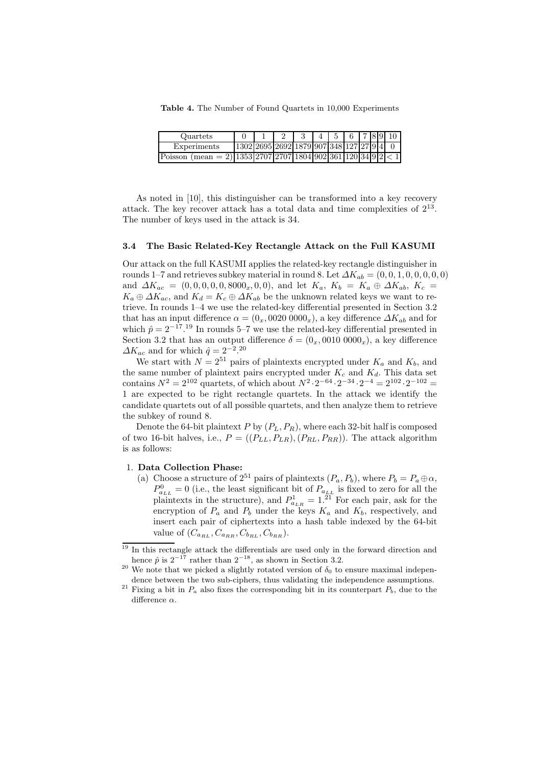Table 4. The Number of Found Quartets in 10,000 Experiments

| Quartets                                                                                                                                                            |                                          |  |  | 6 7 8 9 |  |  |
|---------------------------------------------------------------------------------------------------------------------------------------------------------------------|------------------------------------------|--|--|---------|--|--|
| Experiments                                                                                                                                                         | 1302 2695 2692 1879 907 348 127 27 9 4 0 |  |  |         |  |  |
| $(\text{mean} = 2) \cdot \frac{1353}{2707} \cdot \frac{2707}{1804} \cdot \frac{902}{361} \cdot \frac{361}{120} \cdot \frac{34}{9} \cdot \frac{9}{2} < 1$<br>Poisson |                                          |  |  |         |  |  |

As noted in [10], this distinguisher can be transformed into a key recovery attack. The key recover attack has a total data and time complexities of 2<sup>13</sup> . The number of keys used in the attack is 34.

#### 3.4 The Basic Related-Key Rectangle Attack on the Full KASUMI

Our attack on the full KASUMI applies the related-key rectangle distinguisher in rounds 1–7 and retrieves subkey material in round 8. Let  $\Delta K_{ab} = (0, 0, 1, 0, 0, 0, 0, 0)$ and  $\Delta K_{ac} = (0, 0, 0, 0, 0, 8000_x, 0, 0)$ , and let  $K_a$ ,  $K_b = K_a \oplus \Delta K_{ab}$ ,  $K_c =$  $K_a \oplus \Delta K_{ac}$ , and  $K_d = K_c \oplus \Delta K_{ab}$  be the unknown related keys we want to retrieve. In rounds 1–4 we use the related-key differential presented in Section 3.2 that has an input difference  $\alpha = (0_x, 0020, 0000_x)$ , a key difference  $\Delta K_{ab}$  and for which  $\hat{p} = 2^{-17}$ .<sup>19</sup> In rounds 5–7 we use the related-key differential presented in Section 3.2 that has an output difference  $\delta = (0_x, 0010, 0000_x)$ , a key difference  $\Delta K_{ac}$  and for which  $\hat{q} = 2^{-2}$ .<sup>20</sup>

We start with  $N = 2^{51}$  pairs of plaintexts encrypted under  $K_a$  and  $K_b$ , and the same number of plaintext pairs encrypted under  $K_c$  and  $K_d$ . This data set contains  $N^2 = 2^{102}$  quartets, of which about  $N^2 \cdot 2^{-64} \cdot 2^{-34} \cdot 2^{-4} = 2^{102} \cdot 2^{-102} =$ 1 are expected to be right rectangle quartets. In the attack we identify the candidate quartets out of all possible quartets, and then analyze them to retrieve the subkey of round 8.

Denote the 64-bit plaintext P by  $(P_L, P_R)$ , where each 32-bit half is composed of two 16-bit halves, i.e.,  $P = ((P_{LL}, P_{LR}), (P_{RL}, P_{RR}))$ . The attack algorithm is as follows:

### 1. Data Collection Phase:

(a) Choose a structure of  $2^{51}$  pairs of plaintexts  $(P_a, P_b)$ , where  $P_b = P_a \oplus \alpha$ ,  $P_{a_{LL}}^0 = 0$  (i.e., the least significant bit of  $P_{a_{LL}}$  is fixed to zero for all the plaintexts in the structure), and  $P_{a_{LR}}^1 = 1.^{21}$  For each pair, ask for the encryption of  $P_a$  and  $P_b$  under the keys  $K_a$  and  $K_b$ , respectively, and insert each pair of ciphertexts into a hash table indexed by the 64-bit value of  $(C_{a_{BL}}, C_{a_{BR}}, C_{b_{BL}}, C_{b_{BR}})$ .

 $19$  In this rectangle attack the differentials are used only in the forward direction and hence  $\hat{p}$  is  $2^{-17}$  rather than  $2^{-18}$ , as shown in Section 3.2.

<sup>&</sup>lt;sup>20</sup> We note that we picked a slightly rotated version of  $\delta_0$  to ensure maximal independence between the two sub-ciphers, thus validating the independence assumptions.

<sup>&</sup>lt;sup>21</sup> Fixing a bit in  $P_a$  also fixes the corresponding bit in its counterpart  $P_b$ , due to the difference  $\alpha$ .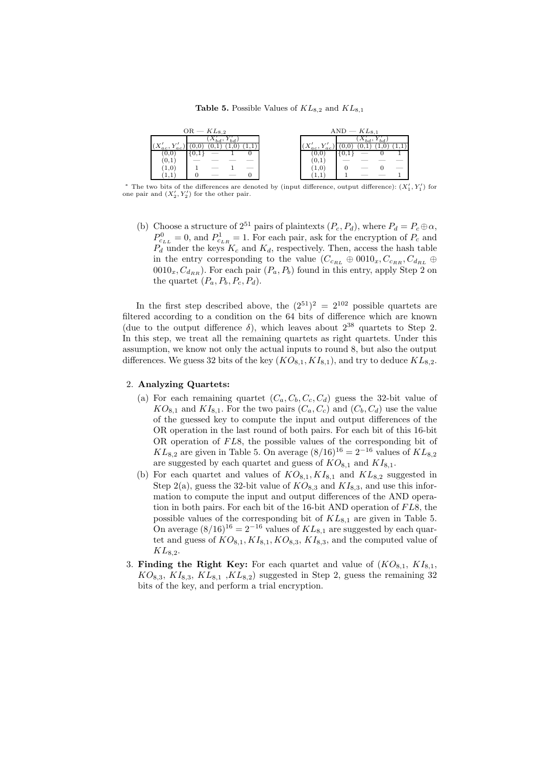#### **Table 5.** Possible Values of  $KL_{8,2}$  and  $KL_{8,1}$

|                 | $OR - KL_{8,2}$ |                   | $AND - KL_{8.1}$ |  |  |
|-----------------|-----------------|-------------------|------------------|--|--|
|                 |                 |                   |                  |  |  |
| $_{ac}$ ,<br>ac |                 | $(X'_{ac},$<br>ac |                  |  |  |
| U.U             |                 | 1 U, U            | 1 U.I            |  |  |
| (0,1)           |                 | (0,1)             |                  |  |  |
| 1,0             |                 | L.U               |                  |  |  |
|                 |                 | . .               |                  |  |  |

\* The two bits of the differences are denoted by (input difference, output difference):  $(X'_1, Y'_1)$  for one pair and  $(X'_2, Y'_2)$  for the other pair.

(b) Choose a structure of  $2^{51}$  pairs of plaintexts  $(P_c, P_d)$ , where  $P_d = P_c \oplus \alpha$ ,  $P_{c_{LL}}^0 = 0$ , and  $P_{c_{LR}}^1 = 1$ . For each pair, ask for the encryption of  $P_c$  and  $P_d$  under the keys  $K_c$  and  $K_d$ , respectively. Then, access the hash table in the entry corresponding to the value  $(C_{c_{RL}} \oplus 0010_x, C_{c_{RR}}, C_{d_{RL}} \oplus$  $0010_x, C_{d_{RR}}$ ). For each pair  $(P_a, P_b)$  found in this entry, apply Step 2 on the quartet  $(P_a, P_b, P_c, P_d)$ .

In the first step described above, the  $(2^{51})^2 = 2^{102}$  possible quartets are filtered according to a condition on the 64 bits of difference which are known (due to the output difference  $\delta$ ), which leaves about  $2^{38}$  quartets to Step 2. In this step, we treat all the remaining quartets as right quartets. Under this assumption, we know not only the actual inputs to round 8, but also the output differences. We guess 32 bits of the key  $(KO_{8,1}, KI_{8,1})$ , and try to deduce  $KL_{8,2}$ .

### 2. Analyzing Quartets:

- (a) For each remaining quartet  $(C_a, C_b, C_c, C_d)$  guess the 32-bit value of  $KO_{8,1}$  and  $KI_{8,1}$ . For the two pairs  $(C_a, C_c)$  and  $(C_b, C_d)$  use the value of the guessed key to compute the input and output differences of the OR operation in the last round of both pairs. For each bit of this 16-bit OR operation of  $FL8$ , the possible values of the corresponding bit of  $KL_{8,2}$  are given in Table 5. On average  $(8/16)^{16} = 2^{-16}$  values of  $KL_{8,2}$ are suggested by each quartet and guess of  $KO_{8,1}$  and  $KI_{8,1}$ .
- (b) For each quartet and values of  $KO_{8,1}$ ,  $KI_{8,1}$  and  $KL_{8,2}$  suggested in Step 2(a), guess the 32-bit value of  $KO_{8,3}$  and  $KI_{8,3}$ , and use this information to compute the input and output differences of the AND operation in both pairs. For each bit of the  $16$ -bit AND operation of  $FL8$ , the possible values of the corresponding bit of  $KL_{8,1}$  are given in Table 5. On average  $(8/16)^{16} = 2^{-16}$  values of  $KL_{8,1}$  are suggested by each quartet and guess of  $KO_{8,1}$ ,  $KI_{8,1}$ ,  $KO_{8,3}$ ,  $KI_{8,3}$ , and the computed value of  $KL_{8,2}.$
- 3. Finding the Right Key: For each quartet and value of  $(KO_{8,1}, KI_{8,1},$  $KO_{8,3}$ ,  $KI_{8,3}$ ,  $KL_{8,1}$ ,  $KL_{8,2}$ ) suggested in Step 2, guess the remaining 32 bits of the key, and perform a trial encryption.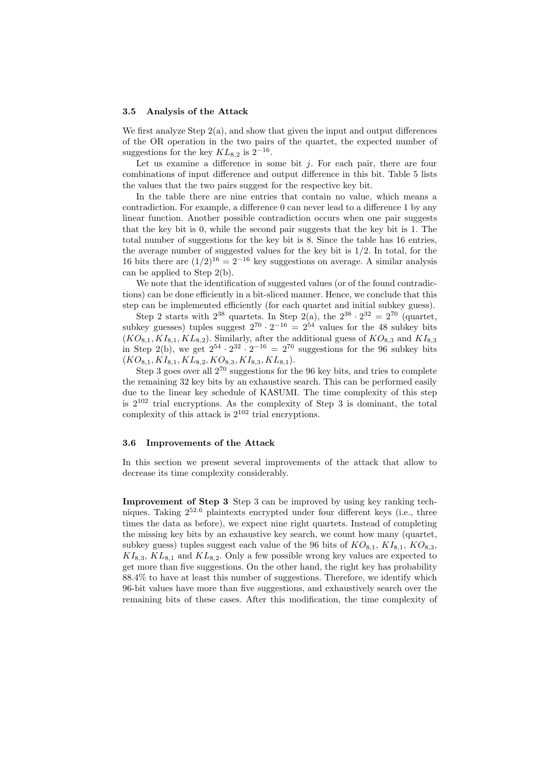#### 3.5 Analysis of the Attack

We first analyze Step  $2(a)$ , and show that given the input and output differences of the OR operation in the two pairs of the quartet, the expected number of suggestions for the key  $KL_{8,2}$  is  $2^{-16}$ .

Let us examine a difference in some bit  $j$ . For each pair, there are four combinations of input difference and output difference in this bit. Table 5 lists the values that the two pairs suggest for the respective key bit.

In the table there are nine entries that contain no value, which means a contradiction. For example, a difference 0 can never lead to a difference 1 by any linear function. Another possible contradiction occurs when one pair suggests that the key bit is 0, while the second pair suggests that the key bit is 1. The total number of suggestions for the key bit is 8. Since the table has 16 entries, the average number of suggested values for the key bit is  $1/2$ . In total, for the 16 bits there are  $(1/2)^{16} = 2^{-16}$  key suggestions on average. A similar analysis can be applied to Step 2(b).

We note that the identification of suggested values (or of the found contradictions) can be done efficiently in a bit-sliced manner. Hence, we conclude that this step can be implemented efficiently (for each quartet and initial subkey guess).

Step 2 starts with  $2^{38}$  quartets. In Step  $2(a)$ , the  $2^{38} \cdot 2^{32} = 2^{70}$  (quartet, subkey guesses) tuples suggest  $2^{70} \cdot 2^{-16} = 2^{54}$  values for the 48 subkey bits  $(KO_{8,1}, KI_{8,1}, KL_{8,2})$ . Similarly, after the additional guess of  $KO_{8,3}$  and  $KI_{8,3}$ in Step 2(b), we get  $2^{54} \cdot 2^{32} \cdot 2^{-16} = 2^{70}$  suggestions for the 96 subkey bits  $(KO_{8,1}, KI_{8,1}, KL_{8,2}, KO_{8,3}, KI_{8,3}, KL_{8,1}).$ 

Step 3 goes over all  $2^{70}$  suggestions for the 96 key bits, and tries to complete the remaining 32 key bits by an exhaustive search. This can be performed easily due to the linear key schedule of KASUMI. The time complexity of this step is  $2^{102}$  trial encryptions. As the complexity of Step 3 is dominant, the total complexity of this attack is  $2^{102}$  trial encryptions.

#### 3.6 Improvements of the Attack

In this section we present several improvements of the attack that allow to decrease its time complexity considerably.

Improvement of Step 3 Step 3 can be improved by using key ranking techniques. Taking 2<sup>52</sup>.<sup>6</sup> plaintexts encrypted under four different keys (i.e., three times the data as before), we expect nine right quartets. Instead of completing the missing key bits by an exhaustive key search, we count how many (quartet, subkey guess) tuples suggest each value of the 96 bits of  $KO_{8,1}$ ,  $KI_{8,1}$ ,  $KO_{8,3}$ ,  $KI_{8,3}$ ,  $KL_{8,1}$  and  $KL_{8,2}$ . Only a few possible wrong key values are expected to get more than five suggestions. On the other hand, the right key has probability 88.4% to have at least this number of suggestions. Therefore, we identify which 96-bit values have more than five suggestions, and exhaustively search over the remaining bits of these cases. After this modification, the time complexity of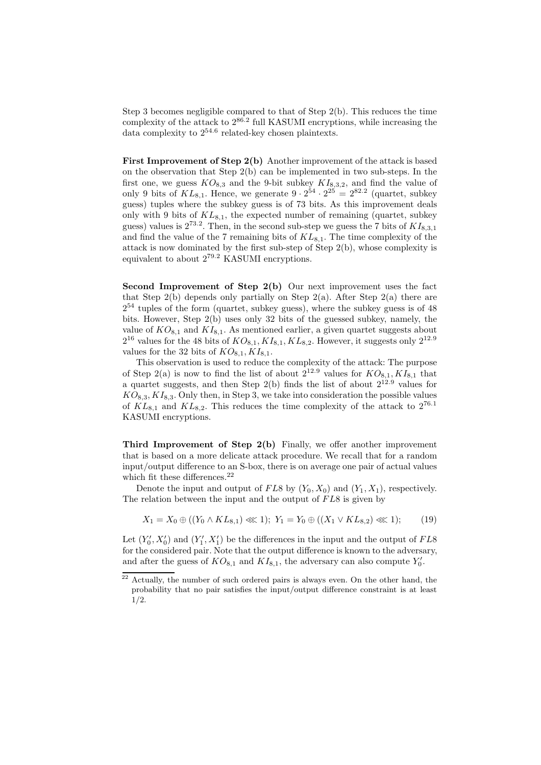Step 3 becomes negligible compared to that of Step 2(b). This reduces the time complexity of the attack to  $2^{86.2}$  full KASUMI encryptions, while increasing the data complexity to  $2^{54.6}$  related-key chosen plaintexts.

First Improvement of Step 2(b) Another improvement of the attack is based on the observation that Step 2(b) can be implemented in two sub-steps. In the first one, we guess  $KO_{8,3}$  and the 9-bit subkey  $KI_{8,3,2}$ , and find the value of only 9 bits of  $KL_{8,1}$ . Hence, we generate  $9 \cdot 2^{54} \cdot 2^{25} = 2^{82.2}$  (quartet, subkey guess) tuples where the subkey guess is of 73 bits. As this improvement deals only with 9 bits of  $KL_{8,1}$ , the expected number of remaining (quartet, subkey guess) values is  $2^{73.2}$ . Then, in the second sub-step we guess the 7 bits of  $KI_{8,3,1}$ and find the value of the 7 remaining bits of  $KL_{8,1}$ . The time complexity of the attack is now dominated by the first sub-step of Step  $2(b)$ , whose complexity is equivalent to about 2<sup>79</sup>.<sup>2</sup> KASUMI encryptions.

Second Improvement of Step 2(b) Our next improvement uses the fact that Step  $2(b)$  depends only partially on Step  $2(a)$ . After Step  $2(a)$  there are 2 <sup>54</sup> tuples of the form (quartet, subkey guess), where the subkey guess is of 48 bits. However, Step 2(b) uses only 32 bits of the guessed subkey, namely, the value of  $KO_{8,1}$  and  $KI_{8,1}$ . As mentioned earlier, a given quartet suggests about  $2^{16}$  values for the 48 bits of  $KO_{8,1}$ ,  $KI_{8,1}$ ,  $KL_{8,2}$ . However, it suggests only  $2^{12.9}$ values for the 32 bits of  $KO_{8,1}, KI_{8,1}.$ 

This observation is used to reduce the complexity of the attack: The purpose of Step 2(a) is now to find the list of about  $2^{12.9}$  values for  $KO_{8,1}, KI_{8,1}$  that a quartet suggests, and then Step  $2(b)$  finds the list of about  $2^{12.9}$  values for  $KO_{8,3}$ ,  $KI_{8,3}$ . Only then, in Step 3, we take into consideration the possible values of  $KL_{8,1}$  and  $KL_{8,2}$ . This reduces the time complexity of the attack to  $2^{76.1}$ KASUMI encryptions.

Third Improvement of Step 2(b) Finally, we offer another improvement that is based on a more delicate attack procedure. We recall that for a random input/output difference to an S-box, there is on average one pair of actual values which fit these differences.<sup>22</sup>

Denote the input and output of FL8 by  $(Y_0, X_0)$  and  $(Y_1, X_1)$ , respectively. The relation between the input and the output of  $FL8$  is given by

$$
X_1 = X_0 \oplus ((Y_0 \wedge KL_{8,1}) \ll 1); \ Y_1 = Y_0 \oplus ((X_1 \vee KL_{8,2}) \ll 1); \tag{19}
$$

Let  $(Y'_0, X'_0)$  and  $(Y'_1, X'_1)$  be the differences in the input and the output of  $FL8$ for the considered pair. Note that the output difference is known to the adversary, and after the guess of  $KO_{8,1}$  and  $KI_{8,1}$ , the adversary can also compute  $Y'_0$ .

<sup>22</sup> Actually, the number of such ordered pairs is always even. On the other hand, the probability that no pair satisfies the input/output difference constraint is at least 1/2.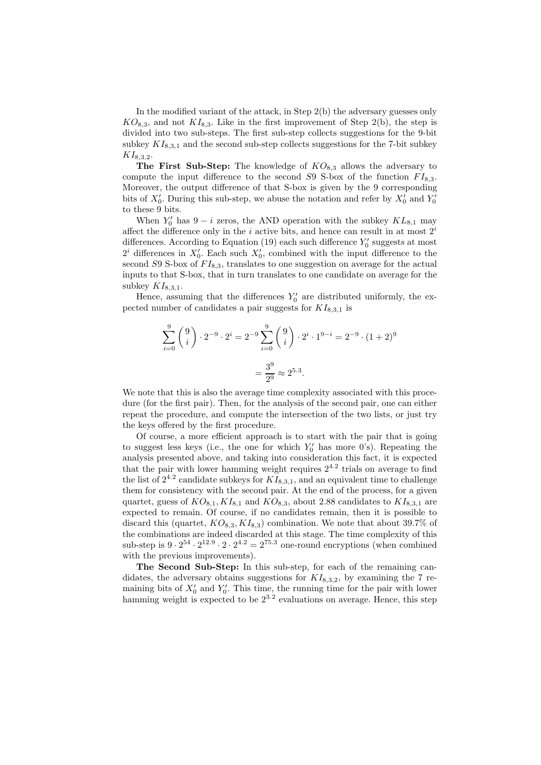In the modified variant of the attack, in Step 2(b) the adversary guesses only  $KO_{8,3}$ , and not  $KI_{8,3}$ . Like in the first improvement of Step 2(b), the step is divided into two sub-steps. The first sub-step collects suggestions for the 9-bit subkey  $KI_{8,3,1}$  and the second sub-step collects suggestions for the 7-bit subkey  $KI_{8,3,2}.$ 

The First Sub-Step: The knowledge of  $KO_{8,3}$  allows the adversary to compute the input difference to the second  $S9$  S-box of the function  $FI_{8,3}$ . Moreover, the output difference of that S-box is given by the 9 corresponding bits of  $X'_0$ . During this sub-step, we abuse the notation and refer by  $X'_0$  and  $Y'_0$ to these 9 bits.

When  $Y'_0$  has  $9 - i$  zeros, the AND operation with the subkey  $KL_{8,1}$  may affect the difference only in the i active bits, and hence can result in at most  $2<sup>i</sup>$ differences. According to Equation (19) each such difference  $Y'_0$  suggests at most  $2^i$  differences in  $X'_0$ . Each such  $X'_0$ , combined with the input difference to the second  $S9$  S-box of  $FI_{8,3}$ , translates to one suggestion on average for the actual inputs to that S-box, that in turn translates to one candidate on average for the subkey  $KI_{8,3,1}$ .

Hence, assuming that the differences  $Y'_0$  are distributed uniformly, the expected number of candidates a pair suggests for  $KI_{8,3,1}$  is

$$
\sum_{i=0}^{9} \binom{9}{i} \cdot 2^{-9} \cdot 2^{i} = 2^{-9} \sum_{i=0}^{9} \binom{9}{i} \cdot 2^{i} \cdot 1^{9-i} = 2^{-9} \cdot (1+2)^{9}
$$

$$
= \frac{3^{9}}{2^{9}} \approx 2^{5.3}.
$$

We note that this is also the average time complexity associated with this procedure (for the first pair). Then, for the analysis of the second pair, one can either repeat the procedure, and compute the intersection of the two lists, or just try the keys offered by the first procedure.

Of course, a more efficient approach is to start with the pair that is going to suggest less keys (i.e., the one for which  $Y'_0$  has more 0's). Repeating the analysis presented above, and taking into consideration this fact, it is expected that the pair with lower hamming weight requires  $2^{4.2}$  trials on average to find the list of  $2^{4.2}$  candidate subkeys for  $KI_{8,3,1}$ , and an equivalent time to challenge them for consistency with the second pair. At the end of the process, for a given quartet, guess of  $KO_{8,1}$ ,  $KI_{8,1}$  and  $KO_{8,3}$ , about 2.88 candidates to  $KI_{8,3,1}$  are expected to remain. Of course, if no candidates remain, then it is possible to discard this (quartet,  $KO_{8,3}$ ,  $KI_{8,3}$ ) combination. We note that about 39.7% of the combinations are indeed discarded at this stage. The time complexity of this sub-step is  $9 \cdot 2^{54} \cdot 2^{12.9} \cdot 2 \cdot 2^{4.2} = 2^{75.3}$  one-round encryptions (when combined with the previous improvements).

The Second Sub-Step: In this sub-step, for each of the remaining candidates, the adversary obtains suggestions for  $KI_{8,3,2}$ , by examining the 7 remaining bits of  $X'_0$  and  $Y'_0$ . This time, the running time for the pair with lower hamming weight is expected to be  $2^{3.2}$  evaluations on average. Hence, this step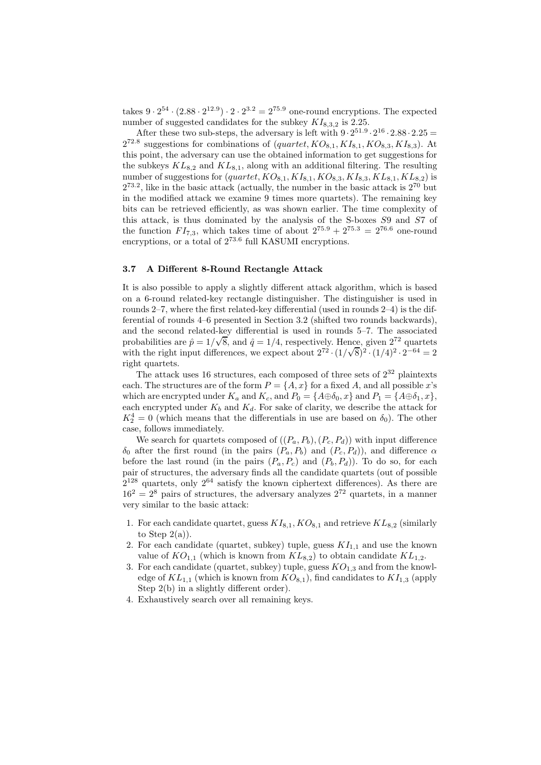takes  $9 \cdot 2^{54} \cdot (2.88 \cdot 2^{12.9}) \cdot 2 \cdot 2^{3.2} = 2^{75.9}$  one-round encryptions. The expected number of suggested candidates for the subkey  $KI_{8,3,2}$  is 2.25.

After these two sub-steps, the adversary is left with  $9 \cdot 2^{51.9} \cdot 2^{16} \cdot 2.88 \cdot 2.25 =$  $2^{72.8}$  suggestions for combinations of  $-quartet, KO_{8,1}, Kl_{8,1}, KO_{8,3}, Kl_{8,3}$ . At this point, the adversary can use the obtained information to get suggestions for the subkeys  $KL_{8,2}$  and  $KL_{8,1}$ , along with an additional filtering. The resulting number of suggestions for  $-quartet, KO_{8,1}, KI_{8,1}, KO_{8,3}, KI_{8,3}, KL_{8,1}, KL_{8,2})$  is  $2^{73.2}$ , like in the basic attack (actually, the number in the basic attack is  $2^{70}$  but in the modified attack we examine 9 times more quartets). The remaining key bits can be retrieved efficiently, as was shown earlier. The time complexity of this attack, is thus dominated by the analysis of the S-boxes S9 and S7 of the function  $FI_{7,3}$ , which takes time of about  $2^{75.9} + 2^{75.3} = 2^{76.6}$  one-round encryptions, or a total of  $2^{73.6}$  full KASUMI encryptions.

### 3.7 A Different 8-Round Rectangle Attack

It is also possible to apply a slightly different attack algorithm, which is based on a 6-round related-key rectangle distinguisher. The distinguisher is used in rounds 2–7, where the first related-key differential (used in rounds 2–4) is the differential of rounds 4–6 presented in Section 3.2 (shifted two rounds backwards), and the second related-key differential is used in rounds 5–7. The associated probabilities are  $\hat{p} = 1/\sqrt{8}$ , and  $\hat{q} = 1/4$ , respectively. Hence, given  $2^{72}$  quartets with the right input differences, we expect about  $2^{72} \cdot (1/\sqrt{8})^2 \cdot (1/4)^2 \cdot 2^{-64} = 2$ right quartets.

The attack uses 16 structures, each composed of three sets of 2 <sup>32</sup> plaintexts each. The structures are of the form  $P = \{A, x\}$  for a fixed A, and all possible x's which are encrypted under  $K_a$  and  $K_c$ , and  $P_0 = \{A \oplus \delta_0, x\}$  and  $P_1 = \{A \oplus \delta_1, x\}$ , each encrypted under  $K_b$  and  $K_d$ . For sake of clarity, we describe the attack for  $K_2^4 = 0$  (which means that the differentials in use are based on  $\delta_0$ ). The other case, follows immediately.

We search for quartets composed of  $((P_a, P_b), (P_c, P_d))$  with input difference  $\delta_0$  after the first round (in the pairs  $(P_a, P_b)$  and  $(P_c, P_d)$ ), and difference  $\alpha$ before the last round (in the pairs  $(P_a, P_c)$  and  $(P_b, P_d)$ ). To do so, for each pair of structures, the adversary finds all the candidate quartets (out of possible  $2^{128}$  quartets, only  $2^{64}$  satisfy the known ciphertext differences). As there are  $16^2 = 2^8$  pairs of structures, the adversary analyzes  $2^{72}$  quartets, in a manner very similar to the basic attack:

- 1. For each candidate quartet, guess  $KI_{8,1}$ ,  $KO_{8,1}$  and retrieve  $KL_{8,2}$  (similarly to Step  $2(a)$ ).
- 2. For each candidate (quartet, subkey) tuple, guess  $KI_{1,1}$  and use the known value of  $KO_{1,1}$  (which is known from  $KL_{8,2}$ ) to obtain candidate  $KL_{1,2}$ .
- 3. For each candidate (quartet, subkey) tuple, guess  $KO_{1,3}$  and from the knowledge of  $KL_{1,1}$  (which is known from  $KO_{8,1}$ ), find candidates to  $KI_{1,3}$  (apply Step 2(b) in a slightly different order).
- 4. Exhaustively search over all remaining keys.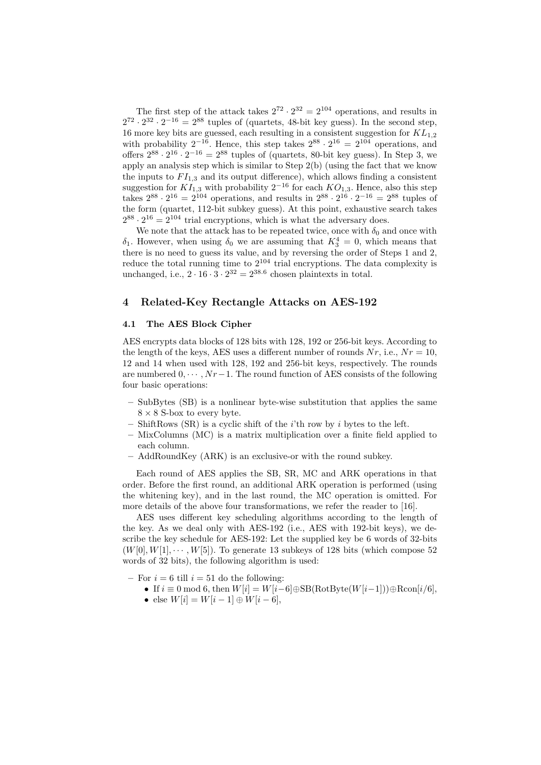The first step of the attack takes  $2^{72} \cdot 2^{32} = 2^{104}$  operations, and results in  $2^{72} \cdot 2^{32} \cdot 2^{-16} = 2^{88}$  tuples of (quartets, 48-bit key guess). In the second step, 16 more key bits are guessed, each resulting in a consistent suggestion for  $KL_{1,2}$ with probability  $2^{-16}$ . Hence, this step takes  $2^{88} \cdot 2^{16} = 2^{104}$  operations, and offers  $2^{88} \cdot 2^{16} \cdot 2^{-16} = 2^{88}$  tuples of (quartets, 80-bit key guess). In Step 3, we apply an analysis step which is similar to Step 2(b) (using the fact that we know the inputs to  $FI_{1,3}$  and its output difference), which allows finding a consistent suggestion for  $KI_{1,3}$  with probability  $2^{-16}$  for each  $KO_{1,3}$ . Hence, also this step takes  $2^{88} \cdot 2^{16} = 2^{104}$  operations, and results in  $2^{88} \cdot 2^{16} \cdot 2^{-16} = 2^{88}$  tuples of the form (quartet, 112-bit subkey guess). At this point, exhaustive search takes  $2^{88} \cdot 2^{16} = 2^{104}$  trial encryptions, which is what the adversary does.

We note that the attack has to be repeated twice, once with  $\delta_0$  and once with  $\delta_1$ . However, when using  $\delta_0$  we are assuming that  $K_3^4 = 0$ , which means that there is no need to guess its value, and by reversing the order of Steps 1 and 2, reduce the total running time to  $2^{104}$  trial encryptions. The data complexity is unchanged, i.e.,  $2 \cdot 16 \cdot 3 \cdot 2^{32} = 2^{38.6}$  chosen plaintexts in total.

# 4 Related-Key Rectangle Attacks on AES-192

### 4.1 The AES Block Cipher

AES encrypts data blocks of 128 bits with 128, 192 or 256-bit keys. According to the length of the keys, AES uses a different number of rounds  $Nr$ , i.e.,  $Nr = 10$ , 12 and 14 when used with 128, 192 and 256-bit keys, respectively. The rounds are numbered  $0, \dots, Nr-1$ . The round function of AES consists of the following four basic operations:

- SubBytes (SB) is a nonlinear byte-wise substitution that applies the same  $8 \times 8$  S-box to every byte.
- ShiftRows (SR) is a cyclic shift of the  $i$ 'th row by i bytes to the left.
- MixColumns (MC) is a matrix multiplication over a finite field applied to each column.
- AddRoundKey (ARK) is an exclusive-or with the round subkey.

Each round of AES applies the SB, SR, MC and ARK operations in that order. Before the first round, an additional ARK operation is performed (using the whitening key), and in the last round, the MC operation is omitted. For more details of the above four transformations, we refer the reader to [16].

AES uses different key scheduling algorithms according to the length of the key. As we deal only with AES-192 (i.e., AES with 192-bit keys), we describe the key schedule for AES-192: Let the supplied key be 6 words of 32-bits  $(W[0], W[1], \cdots, W[5])$ . To generate 13 subkeys of 128 bits (which compose 52 words of 32 bits), the following algorithm is used:

– For  $i = 6$  till  $i = 51$  do the following:

- If  $i \equiv 0 \mod 6$ , then  $W[i] = W[i-6] \oplus SB(RotByte(W[i-1])) \oplus Rcon[i/6],$
- else  $W[i] = W[i-1] \oplus W[i-6],$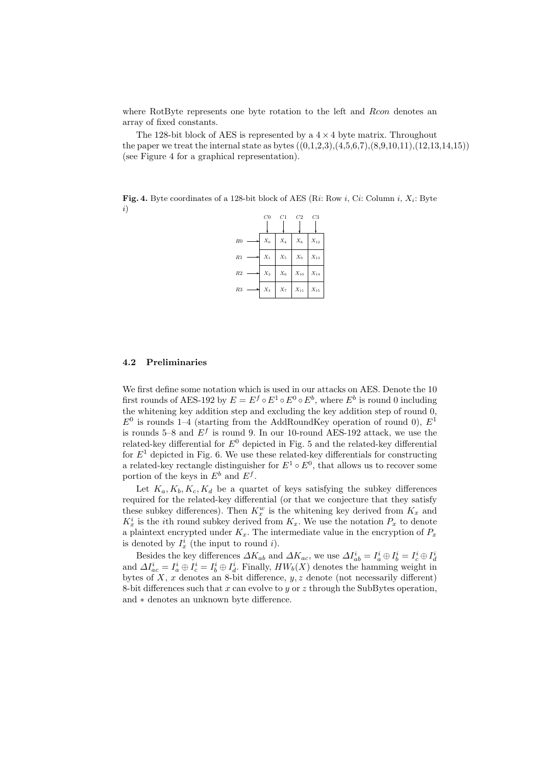where RotByte represents one byte rotation to the left and Rcon denotes an array of fixed constants.

The 128-bit block of AES is represented by a  $4 \times 4$  byte matrix. Throughout the paper we treat the internal state as bytes  $((0.1.2.3),(4.5.6.7),(8.9.10.11),(12.13.14.15))$ (see Figure 4 for a graphical representation).

**Fig. 4.** Byte coordinates of a 128-bit block of AES (Ri: Row i, Ci: Column i,  $X_i$ : Byte i)

|                | C0    | C1    | C2       | $C_{3}$  |
|----------------|-------|-------|----------|----------|
| R <sub>0</sub> | $X_0$ | $X_4$ | $X_8$    | $X_{12}$ |
| R1             | $X_1$ | $X_5$ | $X_9$    | $X_{13}$ |
| R <sub>2</sub> | $X_2$ | $X_6$ | $X_{10}$ | $X_{14}$ |
| R3             | $X_3$ | $X_7$ | $X_{11}$ | $X_{15}$ |

# 4.2 Preliminaries

We first define some notation which is used in our attacks on AES. Denote the 10 first rounds of AES-192 by  $E = E^f \circ E^1 \circ E^0 \circ E^b$ , where  $E^b$  is round 0 including the whitening key addition step and excluding the key addition step of round 0,  $E^0$  is rounds 1–4 (starting from the AddRoundKey operation of round 0),  $E^1$ is rounds 5–8 and  $E^f$  is round 9. In our 10-round AES-192 attack, we use the related-key differential for  $E^0$  depicted in Fig. 5 and the related-key differential for  $E<sup>1</sup>$  depicted in Fig. 6. We use these related-key differentials for constructing a related-key rectangle distinguisher for  $E^1 \circ E^0$ , that allows us to recover some portion of the keys in  $E^b$  and  $E^f$ .

Let  $K_a, K_b, K_c, K_d$  be a quartet of keys satisfying the subkey differences required for the related-key differential (or that we conjecture that they satisfy these subkey differences). Then  $K_x^w$  is the whitening key derived from  $K_x$  and  $K_x^i$  is the *i*th round subkey derived from  $K_x$ . We use the notation  $P_x$  to denote a plaintext encrypted under  $K_x$ . The intermediate value in the encryption of  $P_x$ is denoted by  $I_x^i$  (the input to round i).

Besides the key differences  $\Delta K_{ab}$  and  $\Delta K_{ac}$ , we use  $\Delta I_{ab}^i = I_a^i \oplus I_c^i \oplus I_d^i$ <br>and  $\Delta I_{ac}^i = I_a^i \oplus I_c^i = I_b^i \oplus I_d^i$ . Finally,  $HW_b(X)$  denotes the hamming weight in bytes of  $X$ ,  $x$  denotes an 8-bit difference,  $y$ ,  $z$  denote (not necessarily different) 8-bit differences such that x can evolve to y or z through the SubBytes operation, and ∗ denotes an unknown byte difference.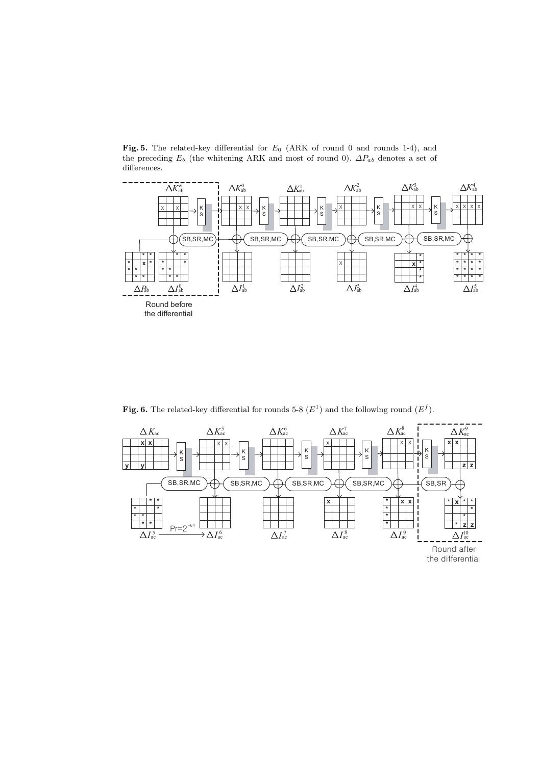Fig. 5. The related-key differential for  $E_0$  (ARK of round 0 and rounds 1-4), and the preceding  $E_b$  (the whitening ARK and most of round 0).  $\Delta P_{ab}$  denotes a set of differences.



Fig. 6. The related-key differential for rounds 5-8  $(E^1)$  and the following round  $(E^f)$ .

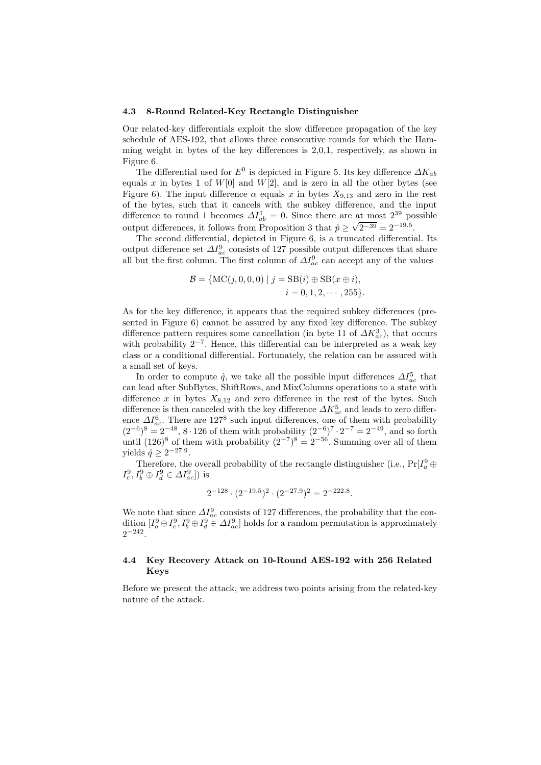#### 4.3 8-Round Related-Key Rectangle Distinguisher

Our related-key differentials exploit the slow difference propagation of the key schedule of AES-192, that allows three consecutive rounds for which the Hamming weight in bytes of the key differences is 2,0,1, respectively, as shown in Figure 6.

The differential used for  $E^0$  is depicted in Figure 5. Its key difference  $\Delta K_{ab}$ equals x in bytes 1 of  $W[0]$  and  $W[2]$ , and is zero in all the other bytes (see Figure 6). The input difference  $\alpha$  equals x in bytes  $X_{9,13}$  and zero in the rest of the bytes, such that it cancels with the subkey difference, and the input difference to round 1 becomes  $\Delta I_{ab}^1 = 0$ . Since there are at most  $2^{39}$  possible output differences, it follows from Proposition 3 that  $\hat{p} \ge \sqrt{2^{-39}} = 2^{-19.5}$ .

The second differential, depicted in Figure 6, is a truncated differential. Its output difference set  $\Delta I_{ac}^9$  consists of 127 possible output differences that share all but the first column. The first column of  $\Delta I_{ac}^9$  can accept any of the values

$$
\mathcal{B} = \{ \text{MC}(j, 0, 0, 0) \mid j = \text{SB}(i) \oplus \text{SB}(x \oplus i), i = 0, 1, 2, \cdots, 255 \}.
$$

As for the key difference, it appears that the required subkey differences (presented in Figure 6) cannot be assured by any fixed key difference. The subkey difference pattern requires some cancellation (in byte 11 of  $\Delta K_{ac}^3$ ), that occurs with probability 2<sup>−</sup><sup>7</sup> . Hence, this differential can be interpreted as a weak key class or a conditional differential. Fortunately, the relation can be assured with a small set of keys.

In order to compute  $\hat{q}$ , we take all the possible input differences  $\Delta I_{ac}^5$  that can lead after SubBytes, ShiftRows, and MixColumns operations to a state with difference x in bytes  $X_{8,12}$  and zero difference in the rest of the bytes. Such difference is then canceled with the key difference  $\varDelta K_{ac}^{5}$  and leads to zero difference  $\Delta I_{ac}^6$ . There are 127<sup>8</sup> such input differences, one of them with probability  $(2^{-6})^8 = 2^{-48}$ , 8⋅126 of them with probability  $(2^{-6})^7 \cdot 2^{-7} = 2^{-49}$ , and so forth until  $(126)^8$  of them with probability  $(2^{-7})^8 = 2^{-56}$ . Summing over all of them yields  $\hat{q} \geq 2^{-27.9}$ .

Therefore, the overall probability of the rectangle distinguisher (i.e.,  $Pr[I_a^9 \oplus I_{a}^{9}]$  $I_c^9, I_b^9 \oplus I_d^9 \in \Delta I_{ac}^9]$  is

$$
2^{-128} \cdot (2^{-19.5})^2 \cdot (2^{-27.9})^2 = 2^{-222.8}.
$$

We note that since  $\Delta I_{ac}^9$  consists of 127 differences, the probability that the condition  $[I_a^9 \oplus I_c^9, I_b^9 \oplus I_d^9 \in \Delta I_{ac}^9]$  holds for a random permutation is approximately  $2^{-242}$ .

### 4.4 Key Recovery Attack on 10-Round AES-192 with 256 Related Keys

Before we present the attack, we address two points arising from the related-key nature of the attack.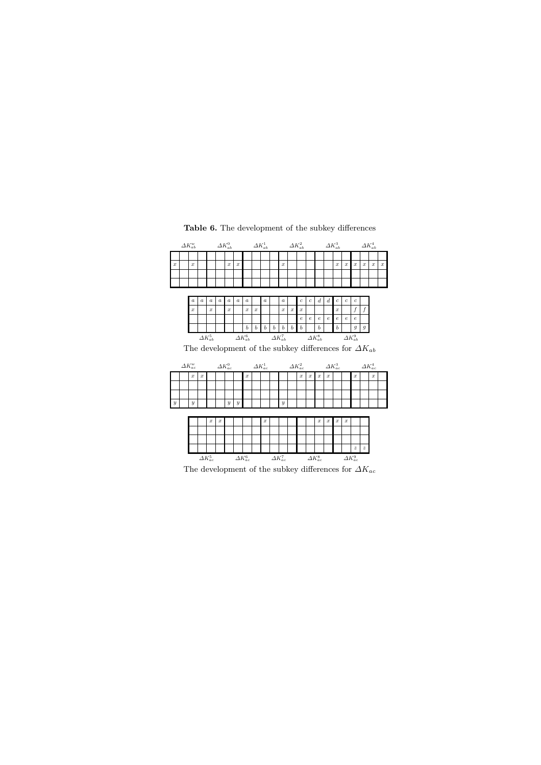|                  | $\Delta K_{ab}^w$ |                                                               |                  |                   |                  | $\varDelta K_{ab}^{0}$              |                  | $\Delta K_{ab}^2$<br>$\Delta K_{ab}^1$ |                  |                  |                  |                   |                   | $\varDelta K_{ab}^3$ |                  |                   |                  |                   | $\varDelta K_{ab}^{4}$ |                   |                  |                   |                  |
|------------------|-------------------|---------------------------------------------------------------|------------------|-------------------|------------------|-------------------------------------|------------------|----------------------------------------|------------------|------------------|------------------|-------------------|-------------------|----------------------|------------------|-------------------|------------------|-------------------|------------------------|-------------------|------------------|-------------------|------------------|
|                  |                   |                                                               |                  |                   |                  |                                     |                  |                                        |                  |                  |                  |                   |                   |                      |                  |                   |                  |                   |                        |                   |                  |                   |                  |
| $\boldsymbol{x}$ |                   | $\boldsymbol{x}$                                              |                  |                   |                  | $\boldsymbol{x}$                    | $\boldsymbol{x}$ |                                        |                  |                  |                  | $\boldsymbol{x}$  |                   |                      |                  |                   |                  | $\boldsymbol{x}$  | x                      | $\boldsymbol{x}$  | $\boldsymbol{x}$ | $\boldsymbol{x}$  | $\boldsymbol{x}$ |
|                  |                   |                                                               |                  |                   |                  |                                     |                  |                                        |                  |                  |                  |                   |                   |                      |                  |                   |                  |                   |                        |                   |                  |                   |                  |
|                  |                   |                                                               |                  |                   |                  |                                     |                  |                                        |                  |                  |                  |                   |                   |                      |                  |                   |                  |                   |                        |                   |                  |                   |                  |
|                  |                   |                                                               |                  |                   |                  |                                     |                  |                                        |                  |                  |                  |                   |                   |                      |                  |                   |                  |                   |                        |                   |                  |                   |                  |
|                  |                   | $\alpha$                                                      | $\boldsymbol{a}$ | $\boldsymbol{a}$  | $\boldsymbol{a}$ | $\boldsymbol{a}$                    | $\boldsymbol{a}$ | $\boldsymbol{a}$                       |                  | $\boldsymbol{a}$ |                  | $\boldsymbol{a}$  |                   | $\boldsymbol{c}$     | $\boldsymbol{c}$ | $\boldsymbol{d}$  | $\boldsymbol{d}$ | $\boldsymbol{c}$  | $\boldsymbol{c}$       | $\boldsymbol{c}$  |                  |                   |                  |
|                  |                   | $\boldsymbol{x}$                                              |                  | $\boldsymbol{x}$  |                  | $\boldsymbol{x}$                    |                  | $\boldsymbol{x}$                       | $\boldsymbol{x}$ |                  |                  | $\boldsymbol{x}$  | $\boldsymbol{x}$  | $\boldsymbol{x}$     |                  |                   |                  | $\boldsymbol{x}$  |                        | f                 | f                |                   |                  |
|                  |                   |                                                               |                  |                   |                  |                                     |                  |                                        |                  |                  |                  |                   |                   | $\epsilon$           | $\epsilon$       | $\epsilon$        | e.               | $\epsilon$        | $\epsilon$             | $\epsilon$        |                  |                   |                  |
|                  |                   |                                                               |                  |                   |                  |                                     |                  | $\boldsymbol{b}$                       | $\mathbf{b}$     | $\boldsymbol{b}$ | $\boldsymbol{b}$ | $\boldsymbol{b}$  | $\boldsymbol{b}$  | $\boldsymbol{b}$     |                  | $\boldsymbol{h}$  |                  | $\boldsymbol{b}$  |                        | q                 | $\mathfrak{g}$   |                   |                  |
|                  |                   |                                                               |                  | $\Delta K_{ab}^5$ |                  |                                     |                  | $\Delta K_{ab}^6$                      |                  |                  |                  |                   | $\Delta K_{ab}^7$ |                      |                  | $\Delta K_{ab}^8$ |                  |                   |                        | $\Delta K_{ab}^9$ |                  |                   |                  |
|                  |                   | The development of the subkey differences for $\Delta K_{ab}$ |                  |                   |                  |                                     |                  |                                        |                  |                  |                  |                   |                   |                      |                  |                   |                  |                   |                        |                   |                  |                   |                  |
|                  |                   |                                                               |                  |                   |                  |                                     |                  |                                        |                  |                  |                  |                   |                   |                      |                  |                   |                  |                   |                        |                   |                  |                   |                  |
|                  |                   |                                                               |                  |                   |                  |                                     |                  |                                        |                  |                  |                  |                   |                   |                      |                  |                   |                  |                   |                        |                   |                  |                   |                  |
|                  |                   | $\Delta K_{ac}^w$                                             |                  |                   |                  | $\Delta K_{ac}^0$ $\Delta K_{ac}^1$ |                  |                                        |                  |                  |                  |                   |                   | $\Delta K_{ac}^2$    |                  |                   |                  | $\Delta K_{ac}^3$ |                        |                   |                  | $\Delta K_{ac}^4$ |                  |
|                  |                   | $\boldsymbol{x}$                                              | $\boldsymbol{x}$ |                   |                  |                                     |                  | $\boldsymbol{x}$                       |                  |                  |                  |                   |                   | $\boldsymbol{x}$     | $\boldsymbol{x}$ | $\boldsymbol{x}$  | x                |                   |                        | $\boldsymbol{x}$  |                  | $\boldsymbol{x}$  |                  |
|                  |                   |                                                               |                  |                   |                  |                                     |                  |                                        |                  |                  |                  |                   |                   |                      |                  |                   |                  |                   |                        |                   |                  |                   |                  |
|                  |                   |                                                               |                  |                   |                  |                                     |                  |                                        |                  |                  |                  |                   |                   |                      |                  |                   |                  |                   |                        |                   |                  |                   |                  |
| $\overline{y}$   |                   | $\boldsymbol{y}$                                              |                  |                   |                  | $\overline{y}$                      | $\boldsymbol{y}$ |                                        |                  |                  |                  | $\boldsymbol{y}$  |                   |                      |                  |                   |                  |                   |                        |                   |                  |                   |                  |
|                  |                   |                                                               |                  |                   |                  |                                     |                  |                                        |                  |                  |                  |                   |                   |                      |                  |                   |                  |                   |                        |                   |                  |                   |                  |
|                  |                   |                                                               |                  | $\boldsymbol{x}$  | $\boldsymbol{x}$ |                                     |                  |                                        |                  | $\boldsymbol{x}$ |                  |                   |                   |                      |                  | $\boldsymbol{x}$  | $\boldsymbol{x}$ | $\boldsymbol{x}$  | $\boldsymbol{x}$       |                   |                  |                   |                  |
|                  |                   |                                                               |                  |                   |                  |                                     |                  |                                        |                  |                  |                  |                   |                   |                      |                  |                   |                  |                   |                        |                   |                  |                   |                  |
|                  |                   |                                                               |                  |                   |                  |                                     |                  |                                        |                  |                  |                  |                   |                   |                      |                  |                   |                  |                   |                        |                   |                  |                   |                  |
|                  |                   |                                                               |                  |                   |                  |                                     |                  |                                        |                  |                  |                  |                   |                   |                      |                  |                   |                  |                   |                        | $\boldsymbol{z}$  | $\boldsymbol{z}$ |                   |                  |
|                  |                   |                                                               |                  | $\Delta K_{ac}^5$ |                  |                                     |                  | $\Delta K_{ac}^6$                      |                  |                  |                  | $\Delta K_{ac}^7$ |                   |                      |                  | $\Delta K_{ac}^8$ |                  |                   |                        | $\Delta K_{ac}^9$ |                  |                   |                  |

Table 6. The development of the subkey differences

The development of the subkey differences for  $\varDelta K_{ac}$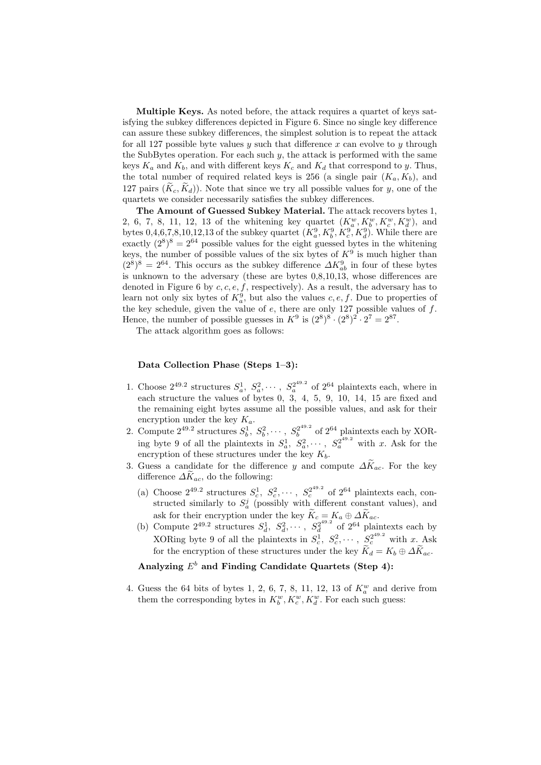Multiple Keys. As noted before, the attack requires a quartet of keys satisfying the subkey differences depicted in Figure 6. Since no single key difference can assure these subkey differences, the simplest solution is to repeat the attack for all 127 possible byte values  $y$  such that difference  $x$  can evolve to  $y$  through the SubBytes operation. For each such  $y$ , the attack is performed with the same keys  $K_a$  and  $K_b$ , and with different keys  $K_c$  and  $K_d$  that correspond to y. Thus, the total number of required related keys is 256 (a single pair  $(K_a, K_b)$ , and 127 pairs  $(\widetilde{K}_c, \widetilde{K}_d)$ ). Note that since we try all possible values for y, one of the quartets we consider necessarily satisfies the subkey differences.

The Amount of Guessed Subkey Material. The attack recovers bytes 1, 2, 6, 7, 8, 11, 12, 13 of the whitening key quartet  $(K_a^w, K_b^w, K_c^w, K_d^w)$ , and bytes  $0, 4, 6, 7, 8, 10, 12, 13$  of the subkey quartet  $(K_a^9, K_b^9, K_c^9, K_d^9)$ . While there are exactly  $(2^8)^8 = 2^{64}$  possible values for the eight guessed bytes in the whitening keys, the number of possible values of the six bytes of  $K^9$  is much higher than  $(2^8)^8 = 2^{64}$ . This occurs as the subkey difference  $\Delta K_{ab}^9$  in four of these bytes is unknown to the adversary (these are bytes 0,8,10,13, whose differences are denoted in Figure 6 by  $c, c, e, f$ , respectively). As a result, the adversary has to learn not only six bytes of  $K_a^9$ , but also the values  $c, e, f$ . Due to properties of the key schedule, given the value of  $e$ , there are only 127 possible values of  $f$ . Hence, the number of possible guesses in  $K^9$  is  $(2^8)^8 \cdot (2^8)^2 \cdot 2^7 = 2^{87}$ .

The attack algorithm goes as follows:

# Data Collection Phase (Steps 1–3):

- 1. Choose  $2^{49.2}$  structures  $S_a^1, S_a^2, \cdots, S_a^{2^{49.2}}$  $a^{2^{49.2}}$  of  $2^{64}$  plaintexts each, where in each structure the values of bytes 0, 3, 4, 5, 9, 10, 14, 15 are fixed and the remaining eight bytes assume all the possible values, and ask for their encryption under the key  $K_a$ .
- 2. Compute  $2^{49.2}$  structures  $S_b^1, S_b^2, \cdots, S_b^{2^{49.2}}$  $b_0^{2^{49.2}}$  of  $2^{64}$  plaintexts each by XORing byte 9 of all the plaintexts in  $S_a^1, S_a^2, \cdots, S_a^{2^{49.2}}$  with x. Ask for the encryption of these structures under the key  $K_b$ .
- 3. Guess a candidate for the difference y and compute  $\Delta \widetilde{K}_{ac}$ . For the key difference  $\Delta K_{ac}$ , do the following:
	- (a) Choose  $2^{49.2}$  structures  $S_c^1, S_c^2, \cdots, S_c^{2^{49.2}}$  $c^{2^{49.2}}$  of  $2^{64}$  plaintexts each, constructed similarly to  $S_a^j$  (possibly with different constant values), and ask for their encryption under the key  $K_c = K_a \oplus \Delta K_{ac}$ .
	- (b) Compute  $2^{49.2}$  structures  $S_d^1, S_d^2, \cdots, S_d^{2^{49.2}}$  $a_d^{2^{49.2}}$  of  $2^{64}$  plaintexts each by XORing byte 9 of all the plaintexts in  $S_c^1, S_c^2, \cdots, S_c^{2^{49.2}}$  with x. Ask for the encryption of these structures under the key  $K_d = K_b \oplus \Delta K_{ac}$ .

# Analyzing  $E^b$  and Finding Candidate Quartets (Step 4):

4. Guess the 64 bits of bytes 1, 2, 6, 7, 8, 11, 12, 13 of  $K_a^w$  and derive from them the corresponding bytes in  $K_b^w, K_c^w, K_d^w$ . For each such guess: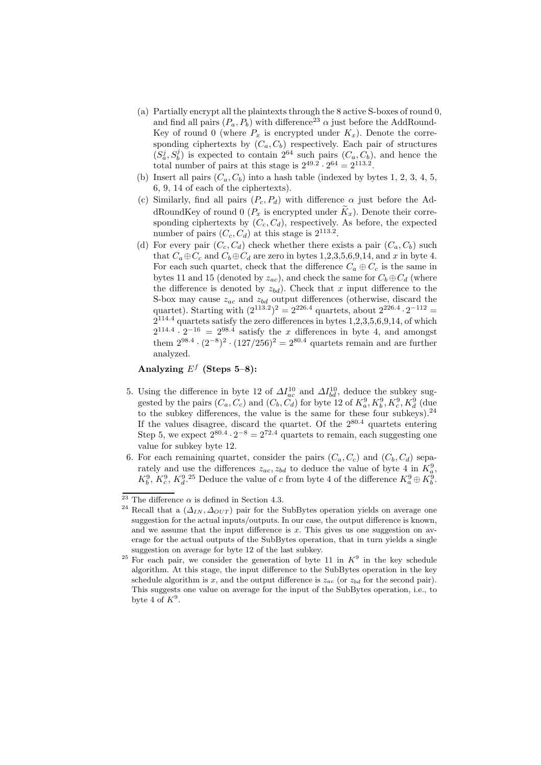- (a) Partially encrypt all the plaintexts through the 8 active S-boxes of round 0, and find all pairs  $(P_a, P_b)$  with difference<sup>23</sup>  $\alpha$  just before the AddRound-Key of round 0 (where  $P_x$  is encrypted under  $K_x$ ). Denote the corresponding ciphertexts by  $(C_a, C_b)$  respectively. Each pair of structures  $(S_a^j, S_b^j)$  is expected to contain  $2^{64}$  such pairs  $(C_a, C_b)$ , and hence the  $(\mathcal{A}, \mathcal{B})$  is expected to contain 2 such pairs  $(\mathcal{A}, \mathcal{C}_b)$ <br>total number of pairs at this stage is  $2^{49.2} \cdot 2^{64} = 2^{113.2}$ .
- (b) Insert all pairs  $(C_a, C_b)$  into a hash table (indexed by bytes 1, 2, 3, 4, 5, 6, 9, 14 of each of the ciphertexts).
- (c) Similarly, find all pairs  $(P_c, P_d)$  with difference  $\alpha$  just before the AddRoundKey of round 0 ( $P_x$  is encrypted under  $\widetilde{K}_x$ ). Denote their corresponding ciphertexts by  $(C_c, C_d)$ , respectively. As before, the expected number of pairs  $(C_c, C_d)$  at this stage is  $2^{113.2}$ .
- (d) For every pair  $(C_c, C_d)$  check whether there exists a pair  $(C_a, C_b)$  such that  $C_a \oplus C_c$  and  $C_b \oplus C_d$  are zero in bytes 1,2,3,5,6,9,14, and x in byte 4. For each such quartet, check that the difference  $C_a \oplus C_c$  is the same in bytes 11 and 15 (denoted by  $z_{ac}$ ), and check the same for  $C_b \oplus C_d$  (where the difference is denoted by  $z_{bd}$ ). Check that x input difference to the S-box may cause  $z_{ac}$  and  $z_{bd}$  output differences (otherwise, discard the quartet). Starting with  $(2^{113.2})^2 = 2^{226.4}$  quartets, about  $2^{226.4} \cdot 2^{-112} =$  $2^{114.4}$  quartets satisfy the zero differences in bytes  $1,2,3,5,6,9,14$ , of which  $2^{114.4} \cdot 2^{-16} = 2^{98.4}$  satisfy the x differences in byte 4, and amongst them  $2^{98.4} \cdot (2^{-8})^2 \cdot (127/256)^2 = 2^{80.4}$  quartets remain and are further analyzed.

## Analyzing  $E^f$  (Steps 5–8):

- 5. Using the difference in byte 12 of  $\Delta I_{ac}^{10}$  and  $\Delta I_{bd}^{10}$ , deduce the subkey suggested by the pairs  $(C_a, C_c)$  and  $(C_b, C_d)$  for byte 12 of  $K_a^9, K_b^9, K_c^9, K_d^9$  (due) to the subkey differences, the value is the same for these four subkeys).<sup>24</sup> If the values disagree, discard the quartet. Of the  $2^{80.4}$  quartets entering Step 5, we expect  $2^{80.4} \cdot 2^{-8} = 2^{72.4}$  quartets to remain, each suggesting one value for subkey byte 12.
- 6. For each remaining quartet, consider the pairs  $(C_a, C_c)$  and  $(C_b, C_d)$  separately and use the differences  $z_{ac}$ ,  $z_{bd}$  to deduce the value of byte 4 in  $K_q^9$ ,  $K_b^9$ ,  $K_c^9$ ,  $K_d^9$ .<sup>25</sup> Deduce the value of c from byte 4 of the difference  $K_a^9 \oplus K_b^9$ .

 $\overline{^{23}$  The difference  $\alpha$  is defined in Section 4.3.

<sup>&</sup>lt;sup>24</sup> Recall that a  $(\Delta_{IN}, \Delta_{OUT})$  pair for the SubBytes operation yields on average one suggestion for the actual inputs/outputs. In our case, the output difference is known, and we assume that the input difference is  $x$ . This gives us one suggestion on average for the actual outputs of the SubBytes operation, that in turn yields a single suggestion on average for byte 12 of the last subkey.

<sup>&</sup>lt;sup>25</sup> For each pair, we consider the generation of byte 11 in  $K^9$  in the key schedule algorithm. At this stage, the input difference to the SubBytes operation in the key schedule algorithm is x, and the output difference is  $z_{ac}$  (or  $z_{bd}$  for the second pair). This suggests one value on average for the input of the SubBytes operation, i.e., to byte 4 of  $K^9$ .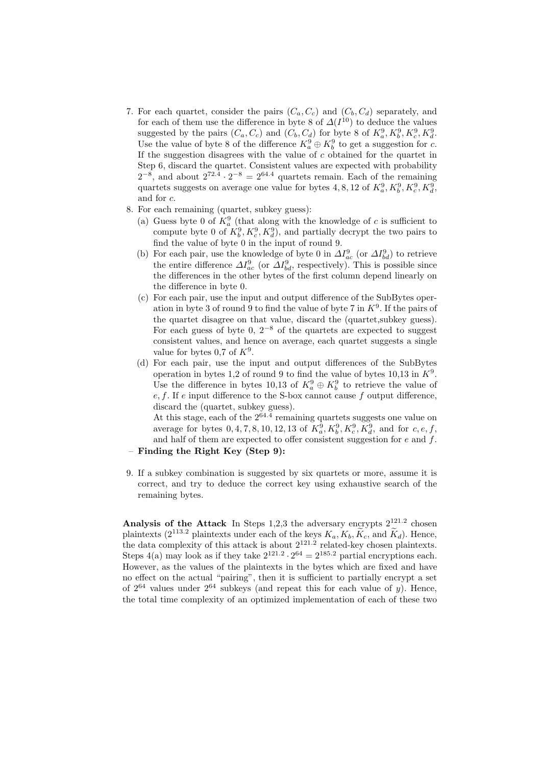- 7. For each quartet, consider the pairs  $(C_a, C_c)$  and  $(C_b, C_d)$  separately, and for each of them use the difference in byte 8 of  $\Delta(I^{10})$  to deduce the values suggested by the pairs  $(C_a, C_c)$  and  $(C_b, C_d)$  for byte 8 of  $K_a^9, K_b^9, K_c^9, K_d^9$ . Use the value of byte 8 of the difference  $K_a^9 \oplus K_b^9$  to get a suggestion for c. If the suggestion disagrees with the value of  $c$  obtained for the quartet in Step 6, discard the quartet. Consistent values are expected with probability  $2^{-8}$ , and about  $2^{72.4} \cdot 2^{-8} = 2^{64.4}$  quartets remain. Each of the remaining quartets suggests on average one value for bytes 4, 8, 12 of  $K^9_a$ ,  $K^9_b$ ,  $K^9_c$ ,  $K^9_d$ , and for c.
- 8. For each remaining (quartet, subkey guess):
	- (a) Guess byte 0 of  $K_a^9$  (that along with the knowledge of c is sufficient to compute byte 0 of  $K_b^9, K_c^9, K_d^9$ , and partially decrypt the two pairs to find the value of byte 0 in the input of round 9.
	- (b) For each pair, use the knowledge of byte 0 in  $\Delta I_{ac}^9$  (or  $\Delta I_{bd}^9$ ) to retrieve the entire difference  $\Delta I_{ac}^9$  (or  $\Delta I_{bd}^9$ , respectively). This is possible since the differences in the other bytes of the first column depend linearly on the difference in byte 0.
	- (c) For each pair, use the input and output difference of the SubBytes operation in byte 3 of round 9 to find the value of byte 7 in  $K^9$ . If the pairs of the quartet disagree on that value, discard the (quartet,subkey guess). For each guess of byte 0,  $2^{-8}$  of the quartets are expected to suggest consistent values, and hence on average, each quartet suggests a single value for bytes 0,7 of  $K^9$ .
	- (d) For each pair, use the input and output differences of the SubBytes operation in bytes 1,2 of round 9 to find the value of bytes  $10,13$  in  $K^9$ . Use the difference in bytes 10,13 of  $K_a^9 \oplus K_b^9$  to retrieve the value of  $e, f$ . If e input difference to the S-box cannot cause f output difference, discard the (quartet, subkey guess).

At this stage, each of the  $2^{64.4}$  remaining quartets suggests one value on average for bytes  $0, 4, 7, 8, 10, 12, 13$  of  $K_a^9, K_b^9, K_c^9, K_d^9$ , and for  $c, e, f$ , and half of them are expected to offer consistent suggestion for  $e$  and  $f$ .

- Finding the Right Key (Step 9):
- 9. If a subkey combination is suggested by six quartets or more, assume it is correct, and try to deduce the correct key using exhaustive search of the remaining bytes.

Analysis of the Attack In Steps  $1,2,3$  the adversary encrypts  $2^{121.2}$  chosen plaintexts (2<sup>113.2</sup> plaintexts under each of the keys  $K_a$ ,  $K_b$ ,  $\tilde{K}_c$ , and  $\tilde{K}_d$ ). Hence, the data complexity of this attack is about  $2^{121.2}$  related-key chosen plaintexts. Steps 4(a) may look as if they take  $2^{121.2} \cdot 2^{64} = 2^{185.2}$  partial encryptions each. However, as the values of the plaintexts in the bytes which are fixed and have no effect on the actual "pairing", then it is sufficient to partially encrypt a set of  $2^{64}$  values under  $2^{64}$  subkeys (and repeat this for each value of y). Hence, the total time complexity of an optimized implementation of each of these two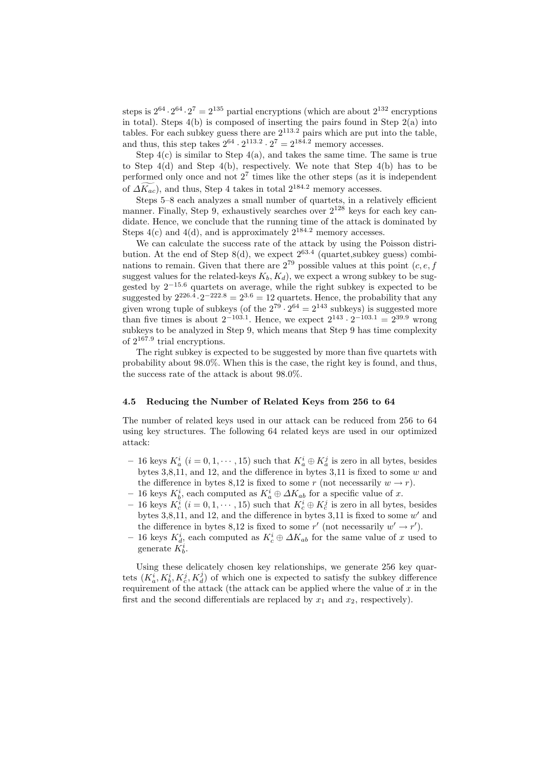steps is  $2^{64} \cdot 2^{64} \cdot 2^7 = 2^{135}$  partial encryptions (which are about  $2^{132}$  encryptions in total). Steps  $4(b)$  is composed of inserting the pairs found in Step  $2(a)$  into tables. For each subkey guess there are  $2^{113.2}$  pairs which are put into the table, and thus, this step takes  $2^{64} \cdot 2^{113.2} \cdot 2^7 = 2^{184.2}$  memory accesses.

Step  $4(c)$  is similar to Step  $4(a)$ , and takes the same time. The same is true to Step  $4(d)$  and Step  $4(b)$ , respectively. We note that Step  $4(b)$  has to be performed only once and not 2<sup>7</sup> times like the other steps (as it is independent of  $\widetilde{\Delta K_{ac}}$ , and thus, Step 4 takes in total  $2^{184.2}$  memory accesses.

Steps 5–8 each analyzes a small number of quartets, in a relatively efficient manner. Finally, Step 9, exhaustively searches over  $2^{128}$  keys for each key candidate. Hence, we conclude that the running time of the attack is dominated by Steps  $4(c)$  and  $4(d)$ , and is approximately  $2^{184.2}$  memory accesses.

We can calculate the success rate of the attack by using the Poisson distribution. At the end of Step  $8(d)$ , we expect  $2^{63.4}$  (quartet, subkey guess) combinations to remain. Given that there are  $2^{79}$  possible values at this point  $(c, e, f)$ suggest values for the related-keys  $K_b, K_d$ , we expect a wrong subkey to be suggested by 2−15.<sup>6</sup> quartets on average, while the right subkey is expected to be suggested by  $2^{226.4} \cdot 2^{-222.8} = 2^{3.6} = 12$  quartets. Hence, the probability that any given wrong tuple of subkeys (of the  $2^{79} \cdot 2^{64} = 2^{143}$  subkeys) is suggested more than five times is about  $2^{-103.1}$ . Hence, we expect  $2^{143} \cdot 2^{-103.1} = 2^{39.9}$  wrong subkeys to be analyzed in Step 9, which means that Step 9 has time complexity of  $2^{167.9}$  trial encryptions.

The right subkey is expected to be suggested by more than five quartets with probability about 98.0%. When this is the case, the right key is found, and thus, the success rate of the attack is about 98.0%.

#### 4.5 Reducing the Number of Related Keys from 256 to 64

The number of related keys used in our attack can be reduced from 256 to 64 using key structures. The following 64 related keys are used in our optimized attack:

- 16 keys  $K_a^i$   $(i = 0, 1, \dots, 15)$  such that  $K_a^i \oplus K_a^j$  is zero in all bytes, besides bytes  $3,8,11$ , and  $12$ , and the difference in bytes  $3,11$  is fixed to some w and the difference in bytes 8,12 is fixed to some r (not necessarily  $w \to r$ ).
- − 16 keys  $K_b^i$ , each computed as  $K_a^i \oplus \Delta K_{ab}$  for a specific value of x.
- 16 keys  $K_c^i$   $(i = 0, 1, \dots, 15)$  such that  $K_c^i \oplus K_c^j$  is zero in all bytes, besides bytes  $3,8,11$ , and  $12$ , and the difference in bytes  $3,11$  is fixed to some w' and the difference in bytes 8,12 is fixed to some  $r'$  (not necessarily  $w' \to r'$ ).
- − 16 keys  $K_d^i$ , each computed as  $K_c^i \oplus \Delta K_{ab}$  for the same value of x used to generate  $K_b^i$ .

Using these delicately chosen key relationships, we generate 256 key quartets  $(K_a^i, K_b^i, K_c^j, K_d^j)$  of which one is expected to satisfy the subkey difference requirement of the attack (the attack can be applied where the value of  $x$  in the first and the second differentials are replaced by  $x_1$  and  $x_2$ , respectively).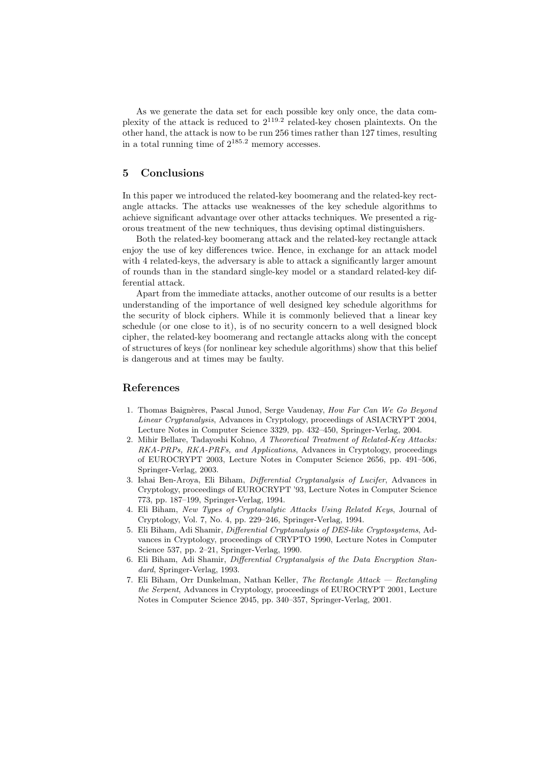As we generate the data set for each possible key only once, the data complexity of the attack is reduced to  $2^{119.2}$  related-key chosen plaintexts. On the other hand, the attack is now to be run 256 times rather than 127 times, resulting in a total running time of  $2^{185.2}$  memory accesses.

## 5 Conclusions

In this paper we introduced the related-key boomerang and the related-key rectangle attacks. The attacks use weaknesses of the key schedule algorithms to achieve significant advantage over other attacks techniques. We presented a rigorous treatment of the new techniques, thus devising optimal distinguishers.

Both the related-key boomerang attack and the related-key rectangle attack enjoy the use of key differences twice. Hence, in exchange for an attack model with 4 related-keys, the adversary is able to attack a significantly larger amount of rounds than in the standard single-key model or a standard related-key differential attack.

Apart from the immediate attacks, another outcome of our results is a better understanding of the importance of well designed key schedule algorithms for the security of block ciphers. While it is commonly believed that a linear key schedule (or one close to it), is of no security concern to a well designed block cipher, the related-key boomerang and rectangle attacks along with the concept of structures of keys (for nonlinear key schedule algorithms) show that this belief is dangerous and at times may be faulty.

# References

- 1. Thomas Baignères, Pascal Junod, Serge Vaudenay, How Far Can We Go Beyond Linear Cryptanalysis, Advances in Cryptology, proceedings of ASIACRYPT 2004, Lecture Notes in Computer Science 3329, pp. 432–450, Springer-Verlag, 2004.
- 2. Mihir Bellare, Tadayoshi Kohno, A Theoretical Treatment of Related-Key Attacks: RKA-PRPs, RKA-PRFs, and Applications, Advances in Cryptology, proceedings of EUROCRYPT 2003, Lecture Notes in Computer Science 2656, pp. 491–506, Springer-Verlag, 2003.
- 3. Ishai Ben-Aroya, Eli Biham, Differential Cryptanalysis of Lucifer, Advances in Cryptology, proceedings of EUROCRYPT '93, Lecture Notes in Computer Science 773, pp. 187–199, Springer-Verlag, 1994.
- 4. Eli Biham, New Types of Cryptanalytic Attacks Using Related Keys, Journal of Cryptology, Vol. 7, No. 4, pp. 229–246, Springer-Verlag, 1994.
- 5. Eli Biham, Adi Shamir, Differential Cryptanalysis of DES-like Cryptosystems, Advances in Cryptology, proceedings of CRYPTO 1990, Lecture Notes in Computer Science 537, pp. 2–21, Springer-Verlag, 1990.
- 6. Eli Biham, Adi Shamir, Differential Cryptanalysis of the Data Encryption Standard, Springer-Verlag, 1993.
- 7. Eli Biham, Orr Dunkelman, Nathan Keller, The Rectangle Attack Rectangling the Serpent, Advances in Cryptology, proceedings of EUROCRYPT 2001, Lecture Notes in Computer Science 2045, pp. 340–357, Springer-Verlag, 2001.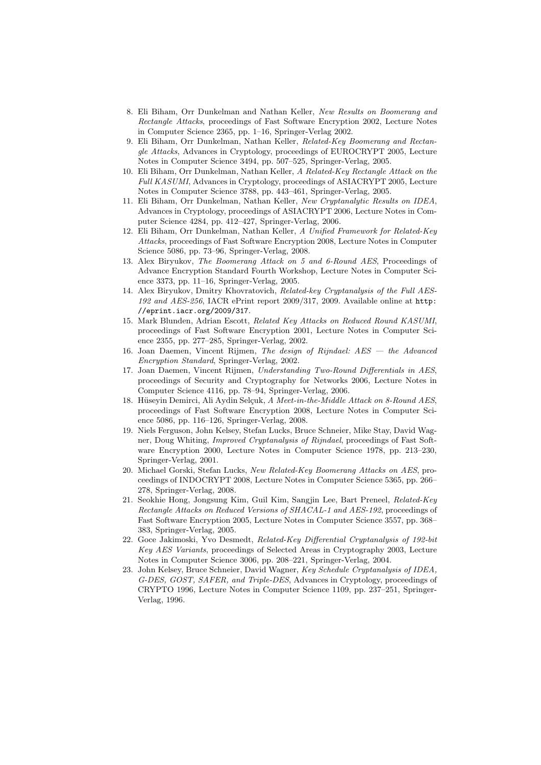- 8. Eli Biham, Orr Dunkelman and Nathan Keller, New Results on Boomerang and Rectangle Attacks, proceedings of Fast Software Encryption 2002, Lecture Notes in Computer Science 2365, pp. 1–16, Springer-Verlag 2002.
- 9. Eli Biham, Orr Dunkelman, Nathan Keller, Related-Key Boomerang and Rectangle Attacks, Advances in Cryptology, proceedings of EUROCRYPT 2005, Lecture Notes in Computer Science 3494, pp. 507–525, Springer-Verlag, 2005.
- 10. Eli Biham, Orr Dunkelman, Nathan Keller, A Related-Key Rectangle Attack on the Full KASUMI, Advances in Cryptology, proceedings of ASIACRYPT 2005, Lecture Notes in Computer Science 3788, pp. 443–461, Springer-Verlag, 2005.
- 11. Eli Biham, Orr Dunkelman, Nathan Keller, New Cryptanalytic Results on IDEA, Advances in Cryptology, proceedings of ASIACRYPT 2006, Lecture Notes in Computer Science 4284, pp. 412–427, Springer-Verlag, 2006.
- 12. Eli Biham, Orr Dunkelman, Nathan Keller, A Unified Framework for Related-Key Attacks, proceedings of Fast Software Encryption 2008, Lecture Notes in Computer Science 5086, pp. 73–96, Springer-Verlag, 2008.
- 13. Alex Biryukov, The Boomerang Attack on 5 and 6-Round AES, Proceedings of Advance Encryption Standard Fourth Workshop, Lecture Notes in Computer Science 3373, pp. 11–16, Springer-Verlag, 2005.
- 14. Alex Biryukov, Dmitry Khovratovich, Related-key Cryptanalysis of the Full AES-192 and AES-256, IACR ePrint report 2009/317, 2009. Available online at http: //eprint.iacr.org/2009/317.
- 15. Mark Blunden, Adrian Escott, Related Key Attacks on Reduced Round KASUMI, proceedings of Fast Software Encryption 2001, Lecture Notes in Computer Science 2355, pp. 277–285, Springer-Verlag, 2002.
- 16. Joan Daemen, Vincent Rijmen, The design of Rijndael: AES the Advanced Encryption Standard, Springer-Verlag, 2002.
- 17. Joan Daemen, Vincent Rijmen, Understanding Two-Round Differentials in AES, proceedings of Security and Cryptography for Networks 2006, Lecture Notes in Computer Science 4116, pp. 78–94, Springer-Verlag, 2006.
- 18. Hüseyin Demirci, Ali Aydin Selçuk, A Meet-in-the-Middle Attack on 8-Round AES, proceedings of Fast Software Encryption 2008, Lecture Notes in Computer Science 5086, pp. 116–126, Springer-Verlag, 2008.
- 19. Niels Ferguson, John Kelsey, Stefan Lucks, Bruce Schneier, Mike Stay, David Wagner, Doug Whiting, Improved Cryptanalysis of Rijndael, proceedings of Fast Software Encryption 2000, Lecture Notes in Computer Science 1978, pp. 213–230, Springer-Verlag, 2001.
- 20. Michael Gorski, Stefan Lucks, New Related-Key Boomerang Attacks on AES, proceedings of INDOCRYPT 2008, Lecture Notes in Computer Science 5365, pp. 266– 278, Springer-Verlag, 2008.
- 21. Seokhie Hong, Jongsung Kim, Guil Kim, Sangjin Lee, Bart Preneel, Related-Key Rectangle Attacks on Reduced Versions of SHACAL-1 and AES-192, proceedings of Fast Software Encryption 2005, Lecture Notes in Computer Science 3557, pp. 368– 383, Springer-Verlag, 2005.
- 22. Goce Jakimoski, Yvo Desmedt, Related-Key Differential Cryptanalysis of 192-bit Key AES Variants, proceedings of Selected Areas in Cryptography 2003, Lecture Notes in Computer Science 3006, pp. 208–221, Springer-Verlag, 2004.
- 23. John Kelsey, Bruce Schneier, David Wagner, Key Schedule Cryptanalysis of IDEA, G-DES, GOST, SAFER, and Triple-DES, Advances in Cryptology, proceedings of CRYPTO 1996, Lecture Notes in Computer Science 1109, pp. 237–251, Springer-Verlag, 1996.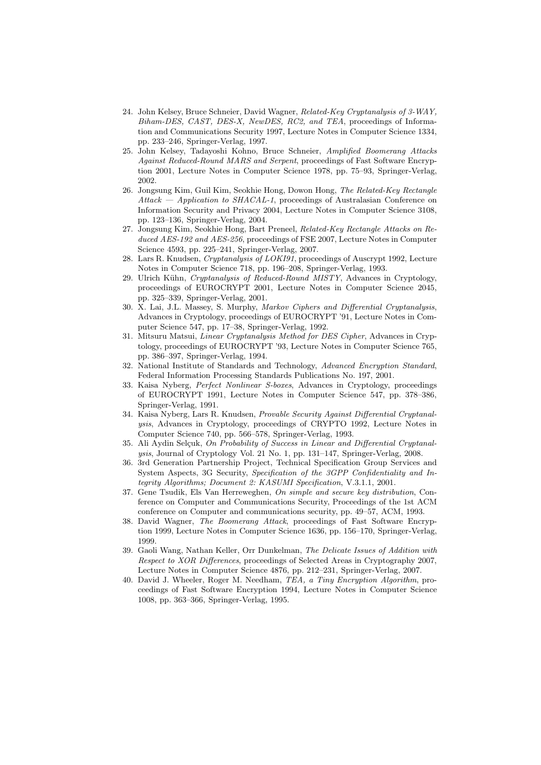- 24. John Kelsey, Bruce Schneier, David Wagner, Related-Key Cryptanalysis of 3-WAY, Biham-DES, CAST, DES-X, NewDES, RC2, and TEA, proceedings of Information and Communications Security 1997, Lecture Notes in Computer Science 1334, pp. 233–246, Springer-Verlag, 1997.
- 25. John Kelsey, Tadayoshi Kohno, Bruce Schneier, Amplified Boomerang Attacks Against Reduced-Round MARS and Serpent, proceedings of Fast Software Encryption 2001, Lecture Notes in Computer Science 1978, pp. 75–93, Springer-Verlag, 2002.
- 26. Jongsung Kim, Guil Kim, Seokhie Hong, Dowon Hong, The Related-Key Rectangle Attack — Application to SHACAL-1, proceedings of Australasian Conference on Information Security and Privacy 2004, Lecture Notes in Computer Science 3108, pp. 123–136, Springer-Verlag, 2004.
- 27. Jongsung Kim, Seokhie Hong, Bart Preneel, Related-Key Rectangle Attacks on Reduced AES-192 and AES-256, proceedings of FSE 2007, Lecture Notes in Computer Science 4593, pp. 225–241, Springer-Verlag, 2007.
- 28. Lars R. Knudsen, Cryptanalysis of LOKI91, proceedings of Auscrypt 1992, Lecture Notes in Computer Science 718, pp. 196–208, Springer-Verlag, 1993.
- 29. Ulrich Kühn, Cryptanalysis of Reduced-Round MISTY, Advances in Cryptology, proceedings of EUROCRYPT 2001, Lecture Notes in Computer Science 2045, pp. 325–339, Springer-Verlag, 2001.
- 30. X. Lai, J.L. Massey, S. Murphy, Markov Ciphers and Differential Cryptanalysis, Advances in Cryptology, proceedings of EUROCRYPT '91, Lecture Notes in Computer Science 547, pp. 17–38, Springer-Verlag, 1992.
- 31. Mitsuru Matsui, Linear Cryptanalysis Method for DES Cipher, Advances in Cryptology, proceedings of EUROCRYPT '93, Lecture Notes in Computer Science 765, pp. 386–397, Springer-Verlag, 1994.
- 32. National Institute of Standards and Technology, Advanced Encryption Standard, Federal Information Processing Standards Publications No. 197, 2001.
- 33. Kaisa Nyberg, Perfect Nonlinear S-boxes, Advances in Cryptology, proceedings of EUROCRYPT 1991, Lecture Notes in Computer Science 547, pp. 378–386, Springer-Verlag, 1991.
- 34. Kaisa Nyberg, Lars R. Knudsen, Provable Security Against Differential Cryptanalysis, Advances in Cryptology, proceedings of CRYPTO 1992, Lecture Notes in Computer Science 740, pp. 566–578, Springer-Verlag, 1993.
- 35. Ali Aydin Selçuk, On Probability of Success in Linear and Differential Cryptanalysis, Journal of Cryptology Vol. 21 No. 1, pp. 131–147, Springer-Verlag, 2008.
- 36. 3rd Generation Partnership Project, Technical Specification Group Services and System Aspects, 3G Security, Specification of the 3GPP Confidentiality and Integrity Algorithms; Document 2: KASUMI Specification, V.3.1.1, 2001.
- 37. Gene Tsudik, Els Van Herreweghen, On simple and secure key distribution, Conference on Computer and Communications Security, Proceedings of the 1st ACM conference on Computer and communications security, pp. 49–57, ACM, 1993.
- 38. David Wagner, The Boomerang Attack, proceedings of Fast Software Encryption 1999, Lecture Notes in Computer Science 1636, pp. 156–170, Springer-Verlag, 1999.
- 39. Gaoli Wang, Nathan Keller, Orr Dunkelman, The Delicate Issues of Addition with Respect to XOR Differences, proceedings of Selected Areas in Cryptography 2007, Lecture Notes in Computer Science 4876, pp. 212–231, Springer-Verlag, 2007.
- 40. David J. Wheeler, Roger M. Needham, TEA, a Tiny Encryption Algorithm, proceedings of Fast Software Encryption 1994, Lecture Notes in Computer Science 1008, pp. 363–366, Springer-Verlag, 1995.